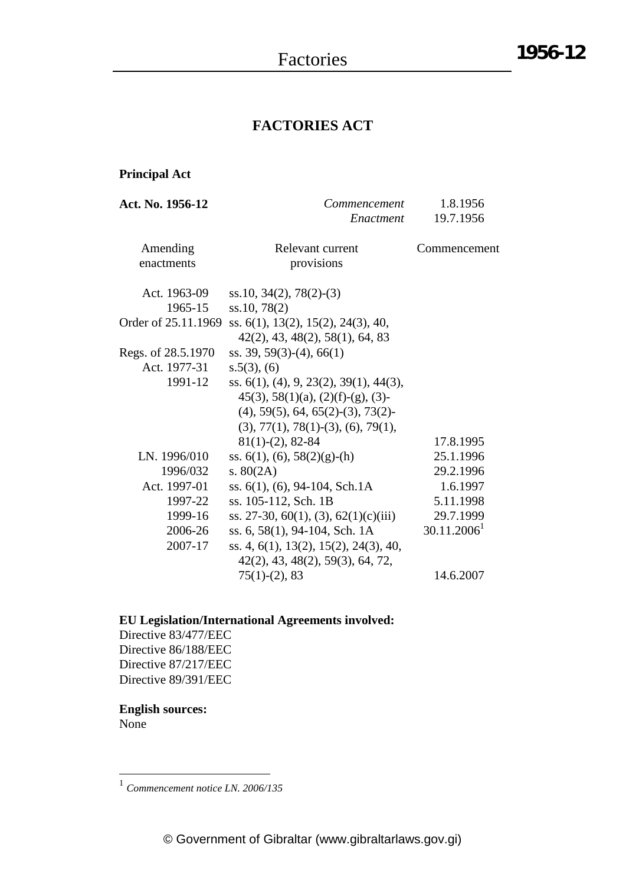# **FACTORIES ACT**

# **Principal Act**

| <b>Act. No. 1956-12</b> | Commencement                                             | 1.8.1956                |
|-------------------------|----------------------------------------------------------|-------------------------|
|                         | Enactment                                                | 19.7.1956               |
| Amending                | Relevant current                                         | Commencement            |
| enactments              | provisions                                               |                         |
| Act. 1963-09            | $ss.10, 34(2), 78(2)-(3)$                                |                         |
| 1965-15                 | ss.10, 78(2)                                             |                         |
| Order of 25.11.1969     | ss. 6(1), 13(2), 15(2), 24(3), 40,                       |                         |
|                         | 42(2), 43, 48(2), 58(1), 64, 83                          |                         |
| Regs. of 28.5.1970      | ss. 39, 59(3)-(4), 66(1)                                 |                         |
| Act. 1977-31            | $s.5(3)$ , (6)                                           |                         |
| 1991-12                 | ss. $6(1)$ , $(4)$ , $9$ , $23(2)$ , $39(1)$ , $44(3)$ , |                         |
|                         | $45(3), 58(1)(a), (2)(f)-(g), (3)$                       |                         |
|                         | $(4)$ , 59(5), 64, 65(2)-(3), 73(2)-                     |                         |
|                         | $(3), 77(1), 78(1)$ - $(3), (6), 79(1),$                 |                         |
|                         | $81(1)-(2)$ , 82-84                                      | 17.8.1995               |
| LN. 1996/010            | ss. $6(1)$ , $(6)$ , $58(2)(g)$ - $(h)$                  | 25.1.1996               |
| 1996/032                | s. $80(2A)$                                              | 29.2.1996               |
| Act. 1997-01            | ss. $6(1)$ , $(6)$ , $94-104$ , Sch. 1A                  | 1.6.1997                |
| 1997-22                 | ss. 105-112, Sch. 1B                                     | 5.11.1998               |
| 1999-16                 | ss. 27-30, 60(1), (3), 62(1)(c)(iii)                     | 29.7.1999               |
| 2006-26                 | ss. 6, 58(1), 94-104, Sch. 1A                            | 30.11.2006 <sup>1</sup> |
| 2007-17                 | ss. 4, 6(1), 13(2), 15(2), 24(3), 40,                    |                         |
|                         | 42(2), 43, 48(2), 59(3), 64, 72,                         |                         |
|                         | $75(1)-(2)$ , 83                                         | 14.6.2007               |

# **EU Legislation/International Agreements involved:**

Directive 83/477/EEC Directive 86/188/EEC Directive 87/217/EEC Directive 89/391/EEC

#### **English sources:** None

<sup>1</sup> *Commencement notice LN. 2006/135*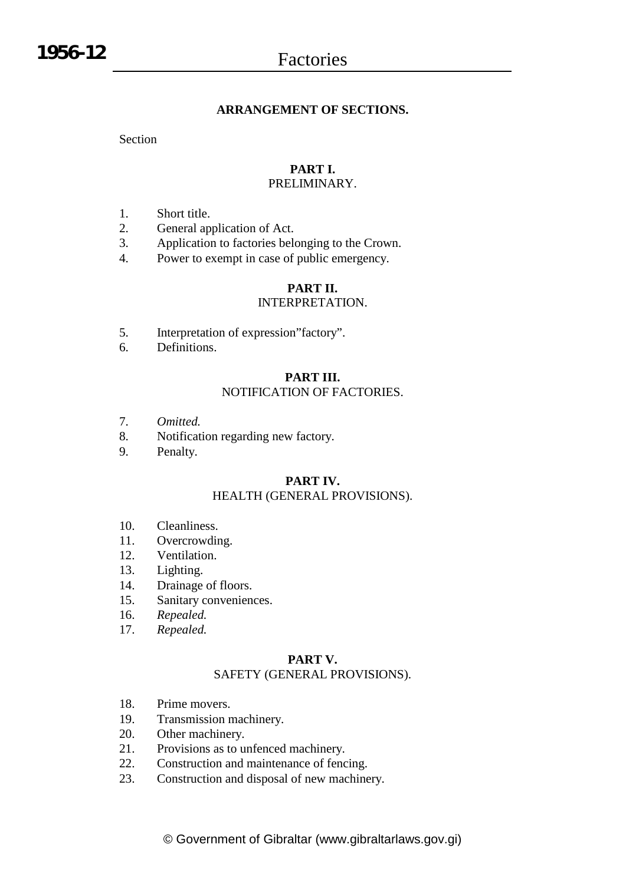### **ARRANGEMENT OF SECTIONS.**

Section

# **PART I.**

#### PRELIMINARY.

- 1. Short title.
- 2. General application of Act.
- 3. Application to factories belonging to the Crown.
- 4. Power to exempt in case of public emergency.

### **PART II.**

#### INTERPRETATION.

- 5. Interpretation of expression"factory".
- 6. Definitions.

#### **PART III.** NOTIFICATION OF FACTORIES.

- 7. *Omitted.*
- 8. Notification regarding new factory.
- 9. Penalty.

# **PART IV.**

#### HEALTH (GENERAL PROVISIONS).

- 10. Cleanliness.
- 11. Overcrowding.
- 12. Ventilation.
- 13. Lighting.
- 14. Drainage of floors.
- 15. Sanitary conveniences.
- 16. *Repealed.*
- 17. *Repealed.*

#### **PART V.**

### SAFETY (GENERAL PROVISIONS).

- 18. Prime movers.
- 19. Transmission machinery.
- 20. Other machinery.
- 21. Provisions as to unfenced machinery.
- 22. Construction and maintenance of fencing.
- 23. Construction and disposal of new machinery.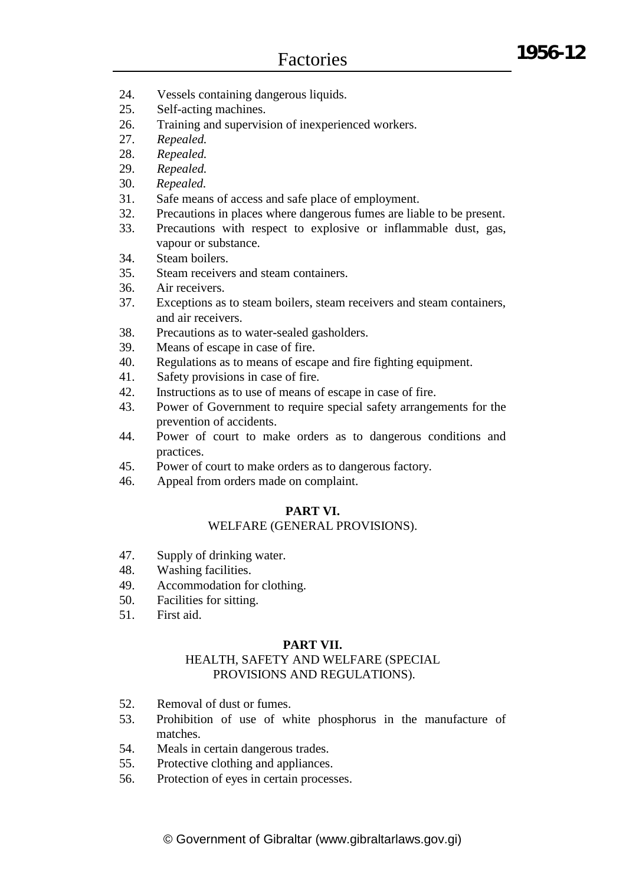- 24. Vessels containing dangerous liquids.
- 25. Self-acting machines.
- 26. Training and supervision of inexperienced workers.
- 27. *Repealed.*
- 28. *Repealed.*
- 29. *Repealed.*
- 30. *Repealed.*
- 31. Safe means of access and safe place of employment.
- 32. Precautions in places where dangerous fumes are liable to be present.
- 33. Precautions with respect to explosive or inflammable dust, gas, vapour or substance.
- 34. Steam boilers.
- 35. Steam receivers and steam containers.
- 36. Air receivers.
- 37. Exceptions as to steam boilers, steam receivers and steam containers, and air receivers.
- 38. Precautions as to water-sealed gasholders.
- 39. Means of escape in case of fire.
- 40. Regulations as to means of escape and fire fighting equipment.
- 41. Safety provisions in case of fire.
- 42. Instructions as to use of means of escape in case of fire.
- 43. Power of Government to require special safety arrangements for the prevention of accidents.
- 44. Power of court to make orders as to dangerous conditions and practices.
- 45. Power of court to make orders as to dangerous factory.
- 46. Appeal from orders made on complaint.

# **PART VI.**

#### WELFARE (GENERAL PROVISIONS).

- 47. Supply of drinking water.
- 48. Washing facilities.
- 49. Accommodation for clothing.
- 50. Facilities for sitting.
- 51. First aid.

#### **PART VII.**

### HEALTH, SAFETY AND WELFARE (SPECIAL PROVISIONS AND REGULATIONS).

- 52. Removal of dust or fumes.
- 53. Prohibition of use of white phosphorus in the manufacture of matches.
- 54. Meals in certain dangerous trades.
- 55. Protective clothing and appliances.
- 56. Protection of eyes in certain processes.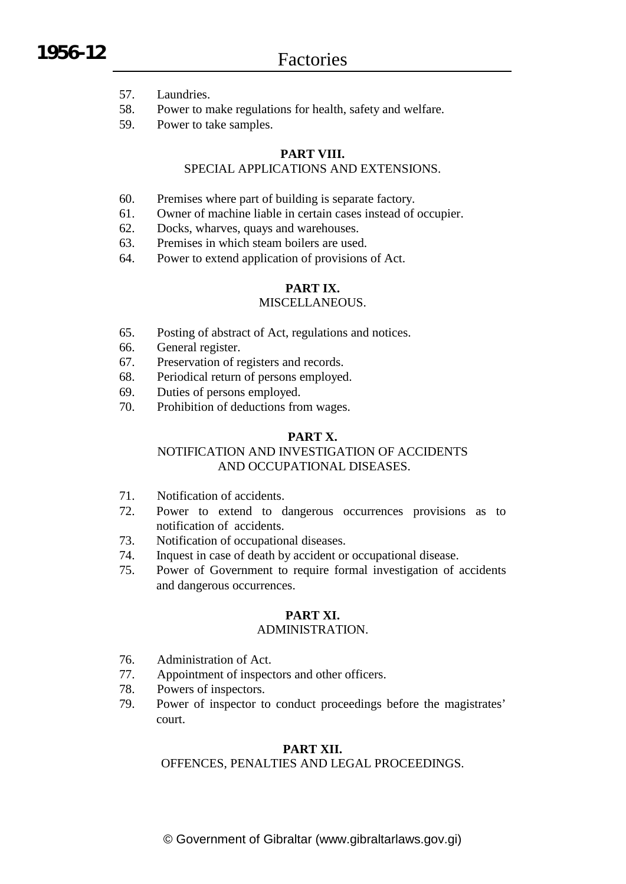- 57. Laundries.
- 58. Power to make regulations for health, safety and welfare.
- 59. Power to take samples.

# **PART VIII.**

# SPECIAL APPLICATIONS AND EXTENSIONS.

- 60. Premises where part of building is separate factory.
- 61. Owner of machine liable in certain cases instead of occupier.
- 62. Docks, wharves, quays and warehouses.
- 63. Premises in which steam boilers are used.
- 64. Power to extend application of provisions of Act.

# **PART IX.**

### MISCELLANEOUS.

- 65. Posting of abstract of Act, regulations and notices.
- 66. General register.
- 67. Preservation of registers and records.
- 68. Periodical return of persons employed.
- 69. Duties of persons employed.
- 70. Prohibition of deductions from wages.

# **PART X.**

# NOTIFICATION AND INVESTIGATION OF ACCIDENTS AND OCCUPATIONAL DISEASES.

- 71. Notification of accidents.
- 72. Power to extend to dangerous occurrences provisions as to notification of accidents.
- 73. Notification of occupational diseases.
- 74. Inquest in case of death by accident or occupational disease.
- 75. Power of Government to require formal investigation of accidents and dangerous occurrences.

#### **PART XI.**

### ADMINISTRATION.

- 76. Administration of Act.
- 77. Appointment of inspectors and other officers.
- 78. Powers of inspectors.
- 79. Power of inspector to conduct proceedings before the magistrates' court.

# **PART XII.**

OFFENCES, PENALTIES AND LEGAL PROCEEDINGS.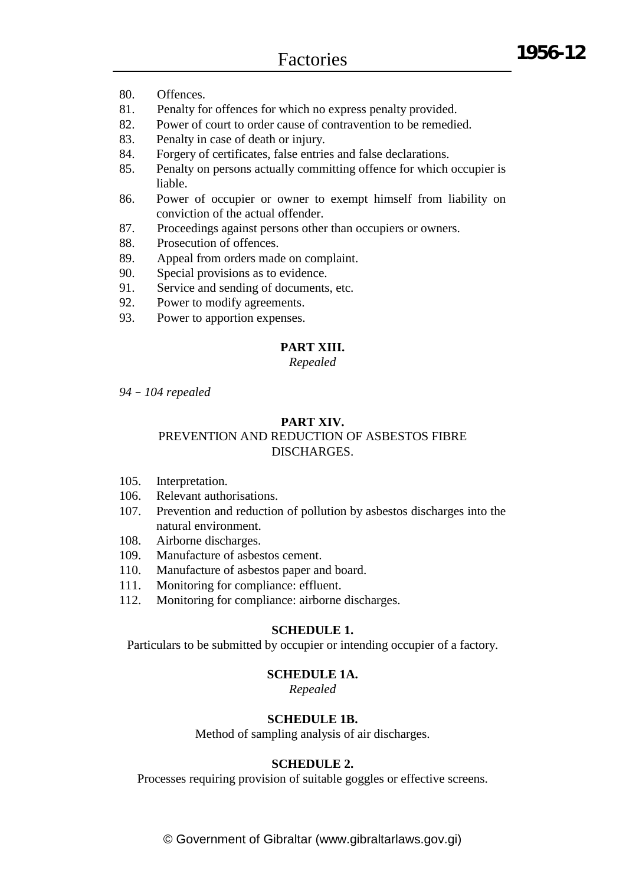- 80. Offences.
- 81. Penalty for offences for which no express penalty provided.
- 82. Power of court to order cause of contravention to be remedied.
- 83. Penalty in case of death or injury.
- 84. Forgery of certificates, false entries and false declarations.
- 85. Penalty on persons actually committing offence for which occupier is liable.
- 86. Power of occupier or owner to exempt himself from liability on conviction of the actual offender.
- 87. Proceedings against persons other than occupiers or owners.
- 88. Prosecution of offences.
- 89. Appeal from orders made on complaint.
- 90. Special provisions as to evidence.
- 91. Service and sending of documents, etc.
- 92. Power to modify agreements.
- 93. Power to apportion expenses.

#### **PART XIII.**

*Repealed*

*94 – 104 repealed*

#### **PART XIV.**

#### PREVENTION AND REDUCTION OF ASBESTOS FIBRE DISCHARGES.

- 105. Interpretation.
- 106. Relevant authorisations.
- 107. Prevention and reduction of pollution by asbestos discharges into the natural environment.
- 108. Airborne discharges.
- 109. Manufacture of asbestos cement.
- 110. Manufacture of asbestos paper and board.
- 111. Monitoring for compliance: effluent.
- 112. Monitoring for compliance: airborne discharges.

#### **SCHEDULE 1.**

Particulars to be submitted by occupier or intending occupier of a factory.

#### **SCHEDULE 1A.**

*Repealed*

#### **SCHEDULE 1B.**

Method of sampling analysis of air discharges.

### **SCHEDULE 2.**

Processes requiring provision of suitable goggles or effective screens.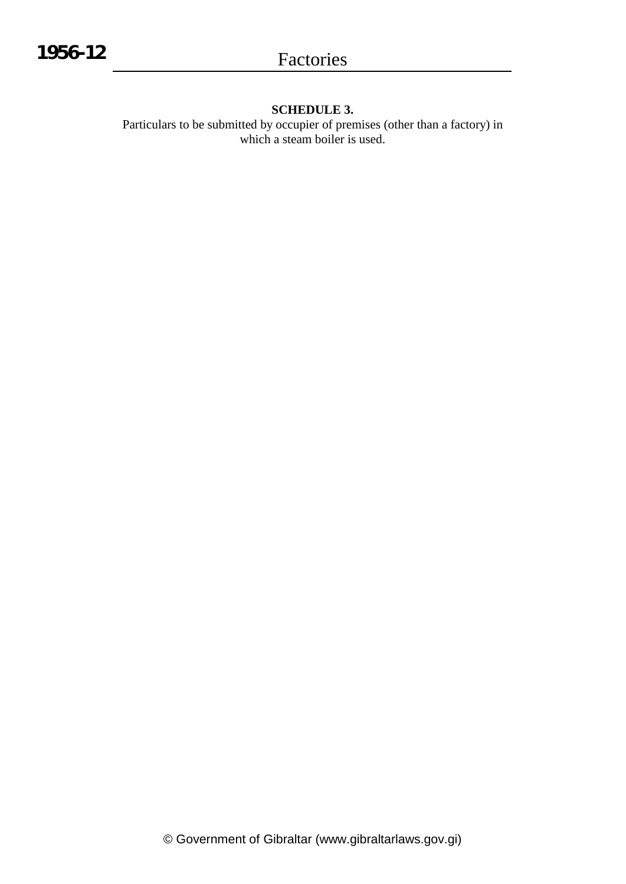# **SCHEDULE 3.**

Particulars to be submitted by occupier of premises (other than a factory) in which a steam boiler is used.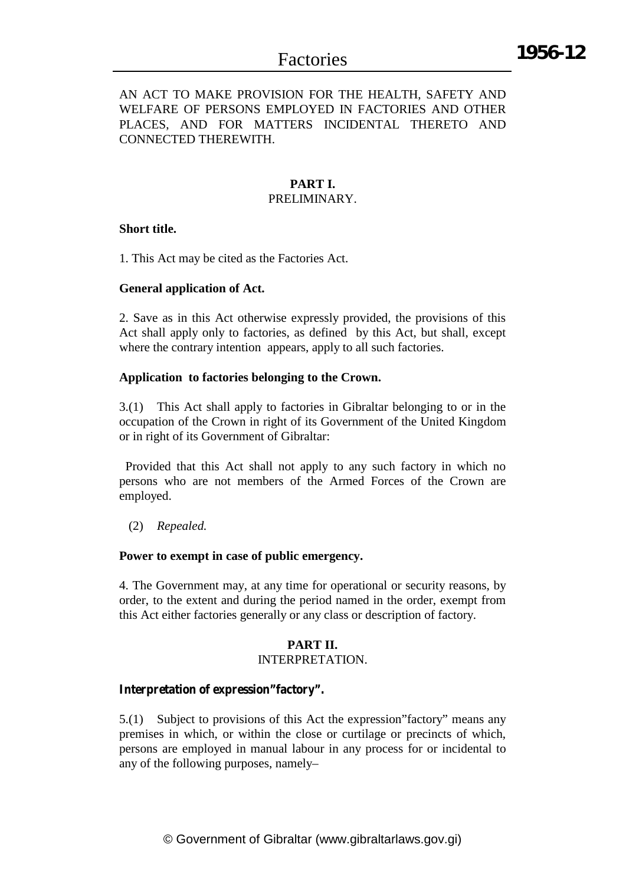### AN ACT TO MAKE PROVISION FOR THE HEALTH, SAFETY AND WELFARE OF PERSONS EMPLOYED IN FACTORIES AND OTHER PLACES, AND FOR MATTERS INCIDENTAL THERETO AND CONNECTED THEREWITH.

# **PART I.**

### PRELIMINARY.

#### **Short title.**

1. This Act may be cited as the Factories Act.

# **General application of Act.**

2. Save as in this Act otherwise expressly provided, the provisions of this Act shall apply only to factories, as defined by this Act, but shall, except where the contrary intention appears, apply to all such factories.

# **Application to factories belonging to the Crown.**

3.(1) This Act shall apply to factories in Gibraltar belonging to or in the occupation of the Crown in right of its Government of the United Kingdom or in right of its Government of Gibraltar:

Provided that this Act shall not apply to any such factory in which no persons who are not members of the Armed Forces of the Crown are employed.

(2) *Repealed.*

#### **Power to exempt in case of public emergency.**

4. The Government may, at any time for operational or security reasons, by order, to the extent and during the period named in the order, exempt from this Act either factories generally or any class or description of factory.

# **PART II.**

#### INTERPRETATION.

# **Interpretation of expression"factory".**

5.(1) Subject to provisions of this Act the expression"factory" means any premises in which, or within the close or curtilage or precincts of which, persons are employed in manual labour in any process for or incidental to any of the following purposes, namely–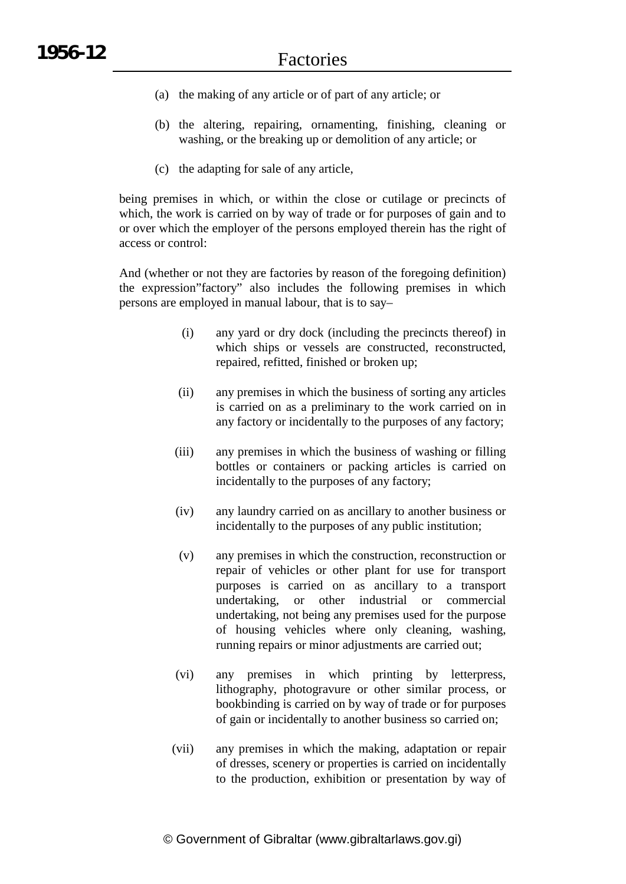- (a) the making of any article or of part of any article; or
- (b) the altering, repairing, ornamenting, finishing, cleaning or washing, or the breaking up or demolition of any article; or
- (c) the adapting for sale of any article,

being premises in which, or within the close or cutilage or precincts of which, the work is carried on by way of trade or for purposes of gain and to or over which the employer of the persons employed therein has the right of access or control:

And (whether or not they are factories by reason of the foregoing definition) the expression"factory" also includes the following premises in which persons are employed in manual labour, that is to say–

- (i) any yard or dry dock (including the precincts thereof) in which ships or vessels are constructed, reconstructed, repaired, refitted, finished or broken up;
- (ii) any premises in which the business of sorting any articles is carried on as a preliminary to the work carried on in any factory or incidentally to the purposes of any factory;
- (iii) any premises in which the business of washing or filling bottles or containers or packing articles is carried on incidentally to the purposes of any factory;
- (iv) any laundry carried on as ancillary to another business or incidentally to the purposes of any public institution;
- (v) any premises in which the construction, reconstruction or repair of vehicles or other plant for use for transport purposes is carried on as ancillary to a transport undertaking, or other industrial or commercial undertaking, not being any premises used for the purpose of housing vehicles where only cleaning, washing, running repairs or minor adjustments are carried out;
- (vi) any premises in which printing by letterpress, lithography, photogravure or other similar process, or bookbinding is carried on by way of trade or for purposes of gain or incidentally to another business so carried on;
- (vii) any premises in which the making, adaptation or repair of dresses, scenery or properties is carried on incidentally to the production, exhibition or presentation by way of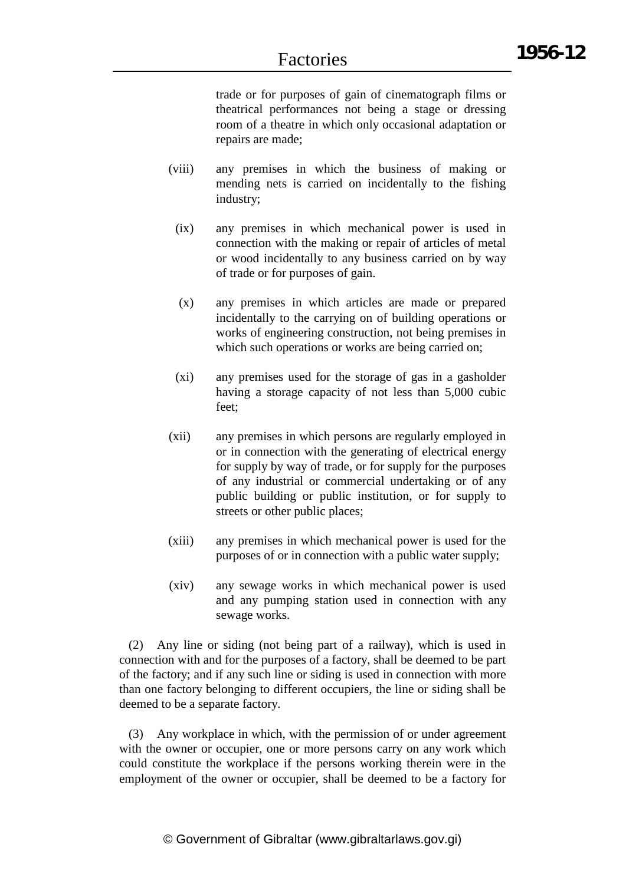**1956-12**

trade or for purposes of gain of cinematograph films or theatrical performances not being a stage or dressing room of a theatre in which only occasional adaptation or repairs are made;

- (viii) any premises in which the business of making or mending nets is carried on incidentally to the fishing industry;
	- (ix) any premises in which mechanical power is used in connection with the making or repair of articles of metal or wood incidentally to any business carried on by way of trade or for purposes of gain.
	- (x) any premises in which articles are made or prepared incidentally to the carrying on of building operations or works of engineering construction, not being premises in which such operations or works are being carried on;
	- (xi) any premises used for the storage of gas in a gasholder having a storage capacity of not less than 5,000 cubic feet;
- (xii) any premises in which persons are regularly employed in or in connection with the generating of electrical energy for supply by way of trade, or for supply for the purposes of any industrial or commercial undertaking or of any public building or public institution, or for supply to streets or other public places;
- (xiii) any premises in which mechanical power is used for the purposes of or in connection with a public water supply;
- (xiv) any sewage works in which mechanical power is used and any pumping station used in connection with any sewage works.

(2) Any line or siding (not being part of a railway), which is used in connection with and for the purposes of a factory, shall be deemed to be part of the factory; and if any such line or siding is used in connection with more than one factory belonging to different occupiers, the line or siding shall be deemed to be a separate factory.

(3) Any workplace in which, with the permission of or under agreement with the owner or occupier, one or more persons carry on any work which could constitute the workplace if the persons working therein were in the employment of the owner or occupier, shall be deemed to be a factory for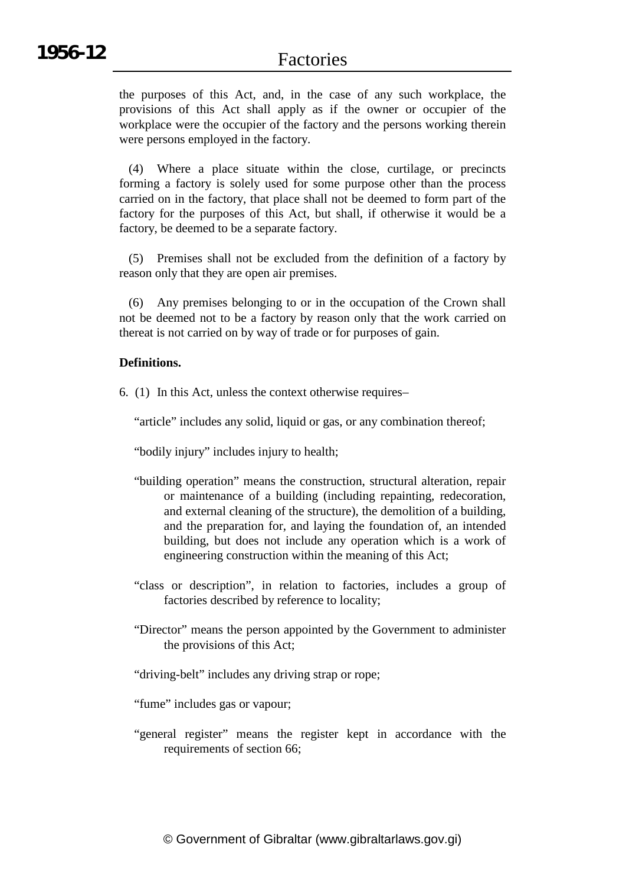the purposes of this Act, and, in the case of any such workplace, the provisions of this Act shall apply as if the owner or occupier of the workplace were the occupier of the factory and the persons working therein were persons employed in the factory.

(4) Where a place situate within the close, curtilage, or precincts forming a factory is solely used for some purpose other than the process carried on in the factory, that place shall not be deemed to form part of the factory for the purposes of this Act, but shall, if otherwise it would be a factory, be deemed to be a separate factory.

(5) Premises shall not be excluded from the definition of a factory by reason only that they are open air premises.

(6) Any premises belonging to or in the occupation of the Crown shall not be deemed not to be a factory by reason only that the work carried on thereat is not carried on by way of trade or for purposes of gain.

#### **Definitions.**

6. (1) In this Act, unless the context otherwise requires–

"article" includes any solid, liquid or gas, or any combination thereof;

"bodily injury" includes injury to health;

- "building operation" means the construction, structural alteration, repair or maintenance of a building (including repainting, redecoration, and external cleaning of the structure), the demolition of a building, and the preparation for, and laying the foundation of, an intended building, but does not include any operation which is a work of engineering construction within the meaning of this Act;
- "class or description", in relation to factories, includes a group of factories described by reference to locality;
- "Director" means the person appointed by the Government to administer the provisions of this Act;
- "driving-belt" includes any driving strap or rope;

"fume" includes gas or vapour;

"general register" means the register kept in accordance with the requirements of section 66;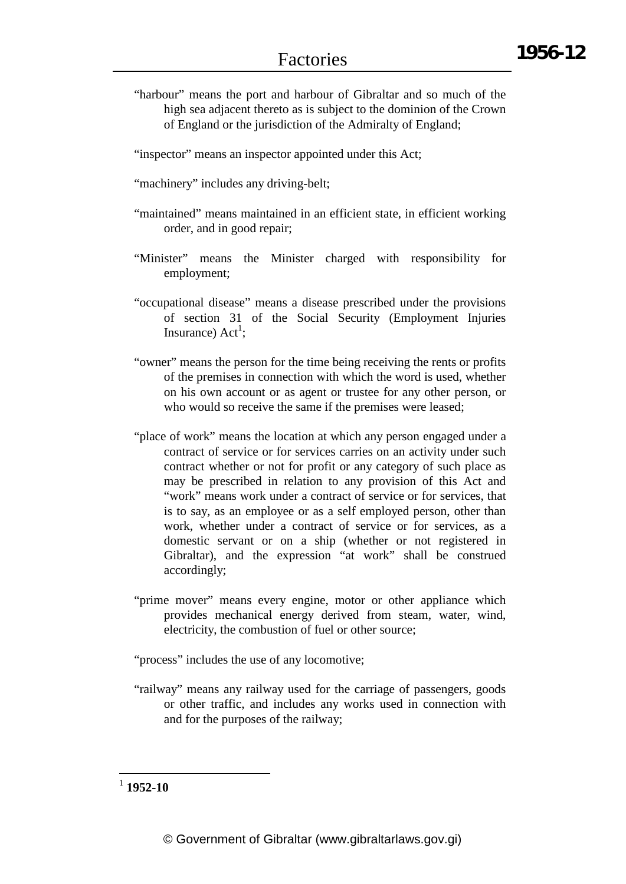"harbour" means the port and harbour of Gibraltar and so much of the high sea adjacent thereto as is subject to the dominion of the Crown of England or the jurisdiction of the Admiralty of England;

"inspector" means an inspector appointed under this Act;

"machinery" includes any driving-belt;

- "maintained" means maintained in an efficient state, in efficient working order, and in good repair;
- "Minister" means the Minister charged with responsibility for employment;
- "occupational disease" means a disease prescribed under the provisions of section 31 of the Social Security (Employment Injuries Insurance)  $Act^1$ ;
- "owner" means the person for the time being receiving the rents or profits of the premises in connection with which the word is used, whether on his own account or as agent or trustee for any other person, or who would so receive the same if the premises were leased;
- "place of work" means the location at which any person engaged under a contract of service or for services carries on an activity under such contract whether or not for profit or any category of such place as may be prescribed in relation to any provision of this Act and "work" means work under a contract of service or for services, that is to say, as an employee or as a self employed person, other than work, whether under a contract of service or for services, as a domestic servant or on a ship (whether or not registered in Gibraltar), and the expression "at work" shall be construed accordingly;
- "prime mover" means every engine, motor or other appliance which provides mechanical energy derived from steam, water, wind, electricity, the combustion of fuel or other source;

"process" includes the use of any locomotive;

"railway" means any railway used for the carriage of passengers, goods or other traffic, and includes any works used in connection with and for the purposes of the railway;

<sup>1</sup> **1952-10**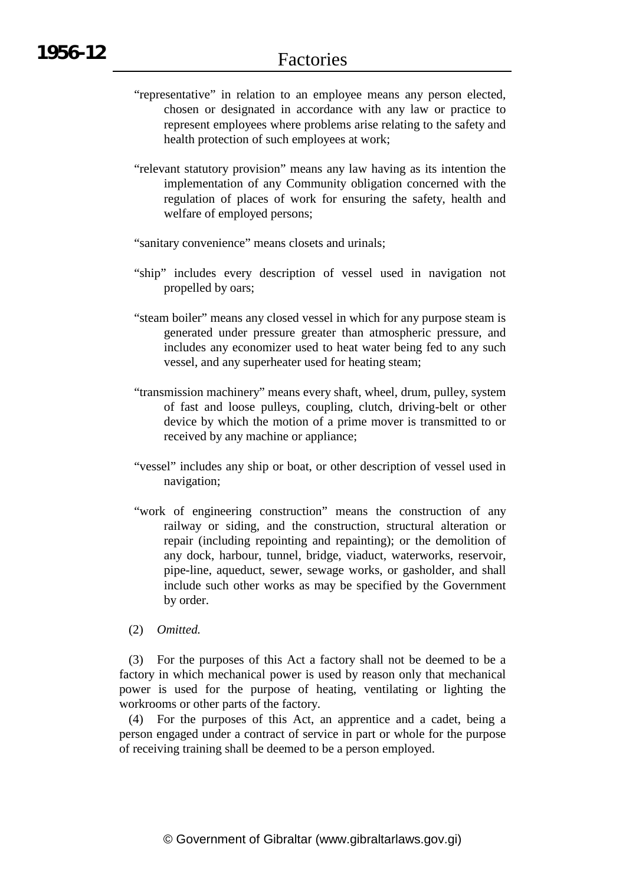- "representative" in relation to an employee means any person elected, chosen or designated in accordance with any law or practice to represent employees where problems arise relating to the safety and health protection of such employees at work;
- "relevant statutory provision" means any law having as its intention the implementation of any Community obligation concerned with the regulation of places of work for ensuring the safety, health and welfare of employed persons;

"sanitary convenience" means closets and urinals;

- "ship" includes every description of vessel used in navigation not propelled by oars;
- "steam boiler" means any closed vessel in which for any purpose steam is generated under pressure greater than atmospheric pressure, and includes any economizer used to heat water being fed to any such vessel, and any superheater used for heating steam;
- "transmission machinery" means every shaft, wheel, drum, pulley, system of fast and loose pulleys, coupling, clutch, driving-belt or other device by which the motion of a prime mover is transmitted to or received by any machine or appliance;
- "vessel" includes any ship or boat, or other description of vessel used in navigation;
- "work of engineering construction" means the construction of any railway or siding, and the construction, structural alteration or repair (including repointing and repainting); or the demolition of any dock, harbour, tunnel, bridge, viaduct, waterworks, reservoir, pipe-line, aqueduct, sewer, sewage works, or gasholder, and shall include such other works as may be specified by the Government by order.
- (2) *Omitted.*

(3) For the purposes of this Act a factory shall not be deemed to be a factory in which mechanical power is used by reason only that mechanical power is used for the purpose of heating, ventilating or lighting the workrooms or other parts of the factory.

(4) For the purposes of this Act, an apprentice and a cadet, being a person engaged under a contract of service in part or whole for the purpose of receiving training shall be deemed to be a person employed.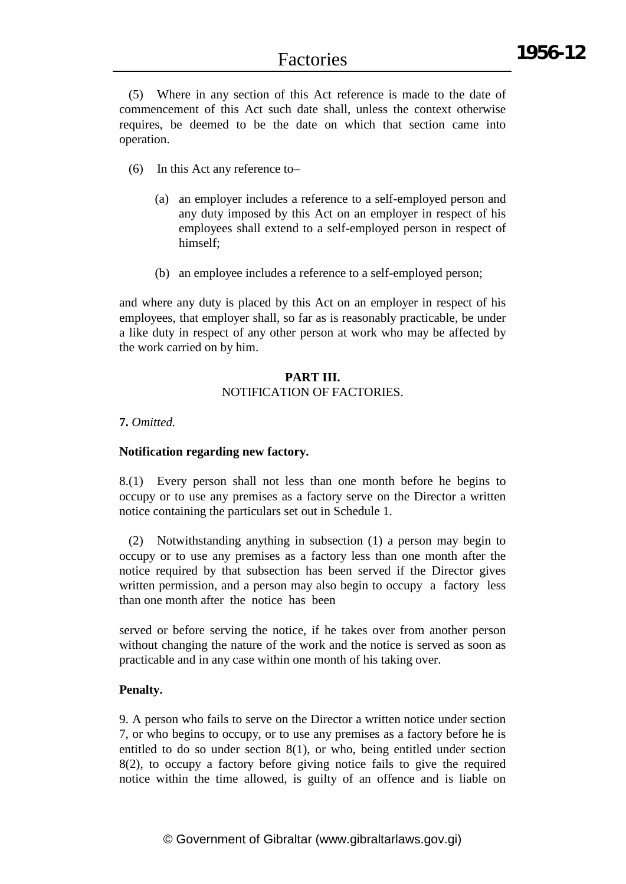(5) Where in any section of this Act reference is made to the date of commencement of this Act such date shall, unless the context otherwise requires, be deemed to be the date on which that section came into operation.

- (6) In this Act any reference to–
	- (a) an employer includes a reference to a self-employed person and any duty imposed by this Act on an employer in respect of his employees shall extend to a self-employed person in respect of himself;
	- (b) an employee includes a reference to a self-employed person;

and where any duty is placed by this Act on an employer in respect of his employees, that employer shall, so far as is reasonably practicable, be under a like duty in respect of any other person at work who may be affected by the work carried on by him.

#### **PART III.** NOTIFICATION OF FACTORIES.

### **7.** *Omitted.*

#### **Notification regarding new factory.**

8.(1) Every person shall not less than one month before he begins to occupy or to use any premises as a factory serve on the Director a written notice containing the particulars set out in Schedule 1.

(2) Notwithstanding anything in subsection (1) a person may begin to occupy or to use any premises as a factory less than one month after the notice required by that subsection has been served if the Director gives written permission, and a person may also begin to occupy a factory less than one month after the notice has been

served or before serving the notice, if he takes over from another person without changing the nature of the work and the notice is served as soon as practicable and in any case within one month of his taking over.

#### **Penalty.**

9. A person who fails to serve on the Director a written notice under section 7, or who begins to occupy, or to use any premises as a factory before he is entitled to do so under section 8(1), or who, being entitled under section 8(2), to occupy a factory before giving notice fails to give the required notice within the time allowed, is guilty of an offence and is liable on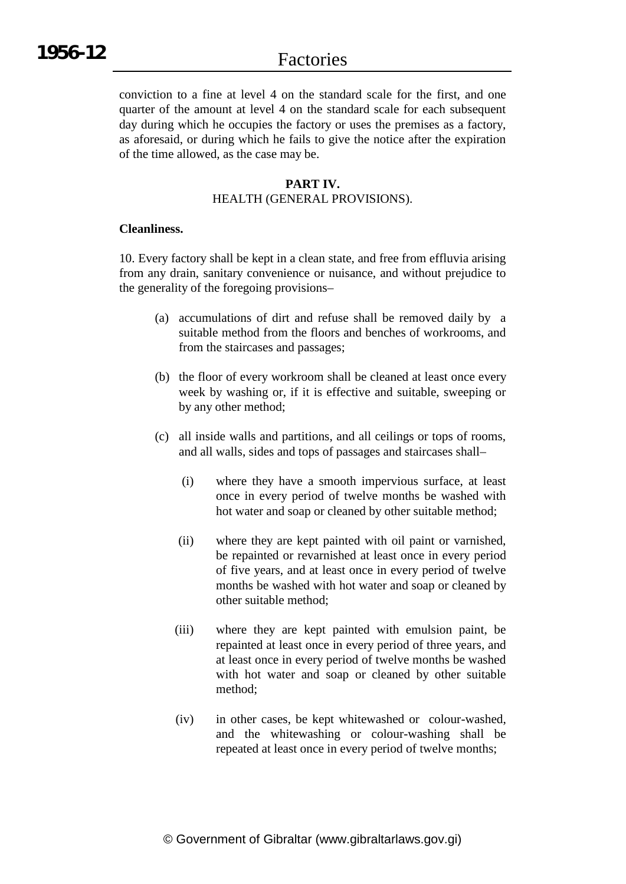conviction to a fine at level 4 on the standard scale for the first, and one quarter of the amount at level 4 on the standard scale for each subsequent day during which he occupies the factory or uses the premises as a factory, as aforesaid, or during which he fails to give the notice after the expiration of the time allowed, as the case may be.

#### **PART IV.**

#### HEALTH (GENERAL PROVISIONS).

#### **Cleanliness.**

10. Every factory shall be kept in a clean state, and free from effluvia arising from any drain, sanitary convenience or nuisance, and without prejudice to the generality of the foregoing provisions–

- (a) accumulations of dirt and refuse shall be removed daily by a suitable method from the floors and benches of workrooms, and from the staircases and passages;
- (b) the floor of every workroom shall be cleaned at least once every week by washing or, if it is effective and suitable, sweeping or by any other method;
- (c) all inside walls and partitions, and all ceilings or tops of rooms, and all walls, sides and tops of passages and staircases shall–
	- (i) where they have a smooth impervious surface, at least once in every period of twelve months be washed with hot water and soap or cleaned by other suitable method;
	- (ii) where they are kept painted with oil paint or varnished, be repainted or revarnished at least once in every period of five years, and at least once in every period of twelve months be washed with hot water and soap or cleaned by other suitable method;
	- (iii) where they are kept painted with emulsion paint, be repainted at least once in every period of three years, and at least once in every period of twelve months be washed with hot water and soap or cleaned by other suitable method;
	- (iv) in other cases, be kept whitewashed or colour-washed, and the whitewashing or colour-washing shall be repeated at least once in every period of twelve months;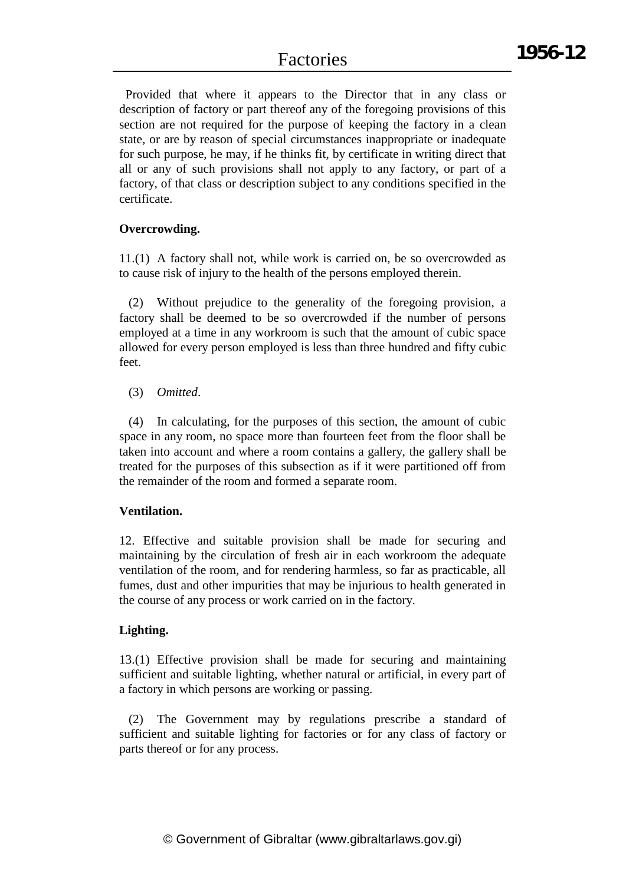Provided that where it appears to the Director that in any class or description of factory or part thereof any of the foregoing provisions of this section are not required for the purpose of keeping the factory in a clean state, or are by reason of special circumstances inappropriate or inadequate for such purpose, he may, if he thinks fit, by certificate in writing direct that all or any of such provisions shall not apply to any factory, or part of a factory, of that class or description subject to any conditions specified in the certificate.

### **Overcrowding.**

11.(1) A factory shall not, while work is carried on, be so overcrowded as to cause risk of injury to the health of the persons employed therein.

(2) Without prejudice to the generality of the foregoing provision, a factory shall be deemed to be so overcrowded if the number of persons employed at a time in any workroom is such that the amount of cubic space allowed for every person employed is less than three hundred and fifty cubic feet.

#### (3) *Omitted*.

(4) In calculating, for the purposes of this section, the amount of cubic space in any room, no space more than fourteen feet from the floor shall be taken into account and where a room contains a gallery, the gallery shall be treated for the purposes of this subsection as if it were partitioned off from the remainder of the room and formed a separate room.

#### **Ventilation.**

12. Effective and suitable provision shall be made for securing and maintaining by the circulation of fresh air in each workroom the adequate ventilation of the room, and for rendering harmless, so far as practicable, all fumes, dust and other impurities that may be injurious to health generated in the course of any process or work carried on in the factory.

#### **Lighting.**

13.(1) Effective provision shall be made for securing and maintaining sufficient and suitable lighting, whether natural or artificial, in every part of a factory in which persons are working or passing.

(2) The Government may by regulations prescribe a standard of sufficient and suitable lighting for factories or for any class of factory or parts thereof or for any process.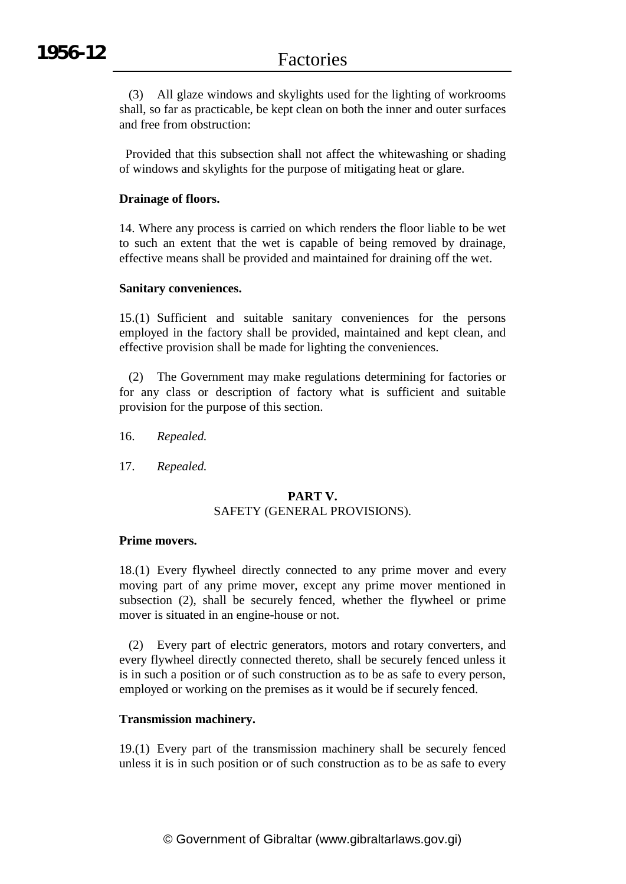(3) All glaze windows and skylights used for the lighting of workrooms shall, so far as practicable, be kept clean on both the inner and outer surfaces and free from obstruction:

Provided that this subsection shall not affect the whitewashing or shading of windows and skylights for the purpose of mitigating heat or glare.

### **Drainage of floors.**

14. Where any process is carried on which renders the floor liable to be wet to such an extent that the wet is capable of being removed by drainage, effective means shall be provided and maintained for draining off the wet.

#### **Sanitary conveniences.**

15.(1) Sufficient and suitable sanitary conveniences for the persons employed in the factory shall be provided, maintained and kept clean, and effective provision shall be made for lighting the conveniences.

(2) The Government may make regulations determining for factories or for any class or description of factory what is sufficient and suitable provision for the purpose of this section.

- 16. *Repealed.*
- 17. *Repealed.*

#### **PART V.** SAFETY (GENERAL PROVISIONS).

#### **Prime movers.**

18.(1) Every flywheel directly connected to any prime mover and every moving part of any prime mover, except any prime mover mentioned in subsection (2), shall be securely fenced, whether the flywheel or prime mover is situated in an engine-house or not.

(2) Every part of electric generators, motors and rotary converters, and every flywheel directly connected thereto, shall be securely fenced unless it is in such a position or of such construction as to be as safe to every person, employed or working on the premises as it would be if securely fenced.

#### **Transmission machinery.**

19.(1) Every part of the transmission machinery shall be securely fenced unless it is in such position or of such construction as to be as safe to every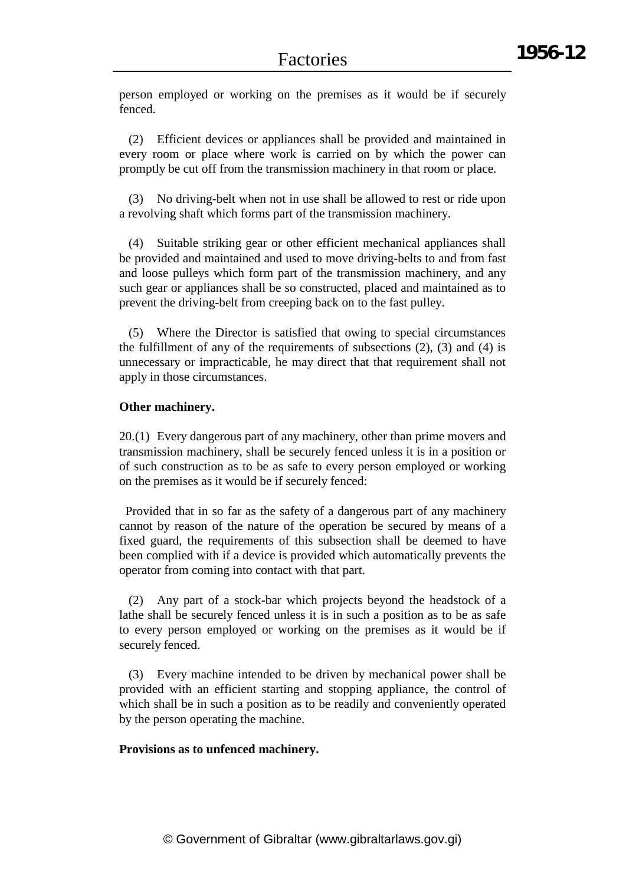person employed or working on the premises as it would be if securely fenced.

(2) Efficient devices or appliances shall be provided and maintained in every room or place where work is carried on by which the power can promptly be cut off from the transmission machinery in that room or place.

(3) No driving-belt when not in use shall be allowed to rest or ride upon a revolving shaft which forms part of the transmission machinery.

(4) Suitable striking gear or other efficient mechanical appliances shall be provided and maintained and used to move driving-belts to and from fast and loose pulleys which form part of the transmission machinery, and any such gear or appliances shall be so constructed, placed and maintained as to prevent the driving-belt from creeping back on to the fast pulley.

(5) Where the Director is satisfied that owing to special circumstances the fulfillment of any of the requirements of subsections (2), (3) and (4) is unnecessary or impracticable, he may direct that that requirement shall not apply in those circumstances.

#### **Other machinery.**

20.(1) Every dangerous part of any machinery, other than prime movers and transmission machinery, shall be securely fenced unless it is in a position or of such construction as to be as safe to every person employed or working on the premises as it would be if securely fenced:

Provided that in so far as the safety of a dangerous part of any machinery cannot by reason of the nature of the operation be secured by means of a fixed guard, the requirements of this subsection shall be deemed to have been complied with if a device is provided which automatically prevents the operator from coming into contact with that part.

(2) Any part of a stock-bar which projects beyond the headstock of a lathe shall be securely fenced unless it is in such a position as to be as safe to every person employed or working on the premises as it would be if securely fenced.

(3) Every machine intended to be driven by mechanical power shall be provided with an efficient starting and stopping appliance, the control of which shall be in such a position as to be readily and conveniently operated by the person operating the machine.

#### **Provisions as to unfenced machinery.**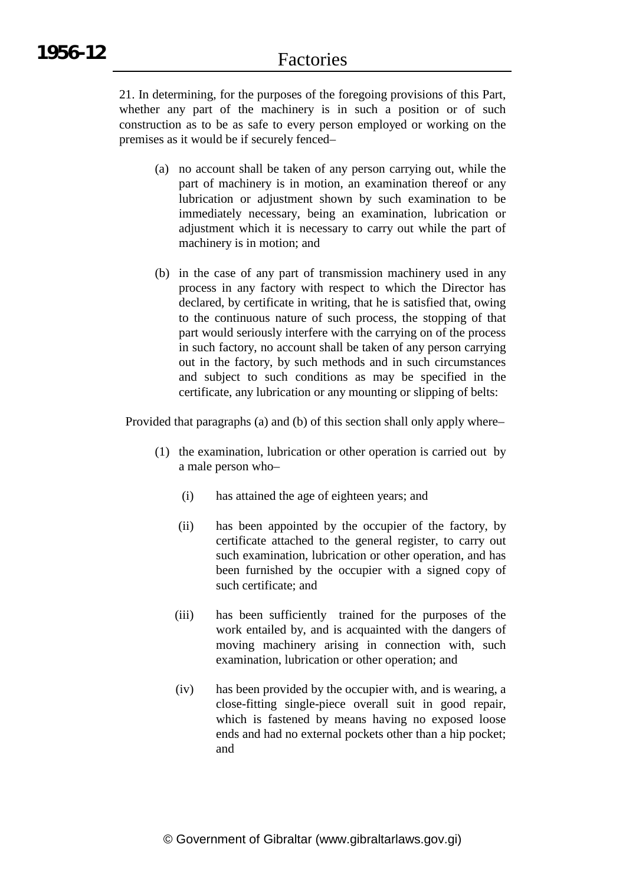21. In determining, for the purposes of the foregoing provisions of this Part, whether any part of the machinery is in such a position or of such construction as to be as safe to every person employed or working on the premises as it would be if securely fenced–

- (a) no account shall be taken of any person carrying out, while the part of machinery is in motion, an examination thereof or any lubrication or adjustment shown by such examination to be immediately necessary, being an examination, lubrication or adjustment which it is necessary to carry out while the part of machinery is in motion; and
- (b) in the case of any part of transmission machinery used in any process in any factory with respect to which the Director has declared, by certificate in writing, that he is satisfied that, owing to the continuous nature of such process, the stopping of that part would seriously interfere with the carrying on of the process in such factory, no account shall be taken of any person carrying out in the factory, by such methods and in such circumstances and subject to such conditions as may be specified in the certificate, any lubrication or any mounting or slipping of belts:

Provided that paragraphs (a) and (b) of this section shall only apply where–

- (1) the examination, lubrication or other operation is carried out by a male person who–
	- (i) has attained the age of eighteen years; and
	- (ii) has been appointed by the occupier of the factory, by certificate attached to the general register, to carry out such examination, lubrication or other operation, and has been furnished by the occupier with a signed copy of such certificate; and
	- (iii) has been sufficiently trained for the purposes of the work entailed by, and is acquainted with the dangers of moving machinery arising in connection with, such examination, lubrication or other operation; and
	- (iv) has been provided by the occupier with, and is wearing, a close-fitting single-piece overall suit in good repair, which is fastened by means having no exposed loose ends and had no external pockets other than a hip pocket; and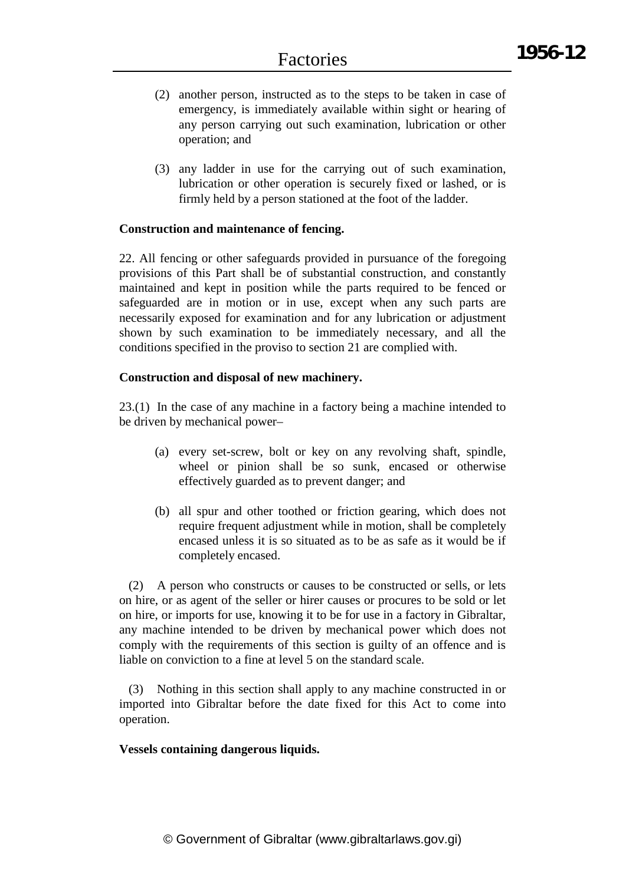- (2) another person, instructed as to the steps to be taken in case of emergency, is immediately available within sight or hearing of any person carrying out such examination, lubrication or other operation; and
- (3) any ladder in use for the carrying out of such examination, lubrication or other operation is securely fixed or lashed, or is firmly held by a person stationed at the foot of the ladder.

#### **Construction and maintenance of fencing.**

22. All fencing or other safeguards provided in pursuance of the foregoing provisions of this Part shall be of substantial construction, and constantly maintained and kept in position while the parts required to be fenced or safeguarded are in motion or in use, except when any such parts are necessarily exposed for examination and for any lubrication or adjustment shown by such examination to be immediately necessary, and all the conditions specified in the proviso to section 21 are complied with.

#### **Construction and disposal of new machinery.**

23.(1) In the case of any machine in a factory being a machine intended to be driven by mechanical power–

- (a) every set-screw, bolt or key on any revolving shaft, spindle, wheel or pinion shall be so sunk, encased or otherwise effectively guarded as to prevent danger; and
- (b) all spur and other toothed or friction gearing, which does not require frequent adjustment while in motion, shall be completely encased unless it is so situated as to be as safe as it would be if completely encased.

(2) A person who constructs or causes to be constructed or sells, or lets on hire, or as agent of the seller or hirer causes or procures to be sold or let on hire, or imports for use, knowing it to be for use in a factory in Gibraltar, any machine intended to be driven by mechanical power which does not comply with the requirements of this section is guilty of an offence and is liable on conviction to a fine at level 5 on the standard scale.

(3) Nothing in this section shall apply to any machine constructed in or imported into Gibraltar before the date fixed for this Act to come into operation.

#### **Vessels containing dangerous liquids.**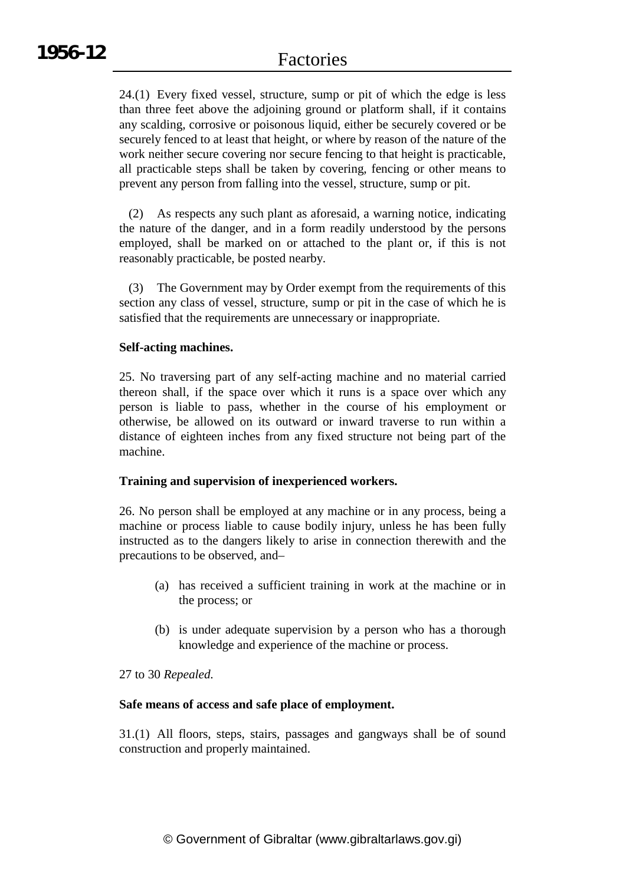24.(1) Every fixed vessel, structure, sump or pit of which the edge is less than three feet above the adjoining ground or platform shall, if it contains any scalding, corrosive or poisonous liquid, either be securely covered or be securely fenced to at least that height, or where by reason of the nature of the work neither secure covering nor secure fencing to that height is practicable, all practicable steps shall be taken by covering, fencing or other means to prevent any person from falling into the vessel, structure, sump or pit.

(2) As respects any such plant as aforesaid, a warning notice, indicating the nature of the danger, and in a form readily understood by the persons employed, shall be marked on or attached to the plant or, if this is not reasonably practicable, be posted nearby.

(3) The Government may by Order exempt from the requirements of this section any class of vessel, structure, sump or pit in the case of which he is satisfied that the requirements are unnecessary or inappropriate.

### **Self-acting machines.**

25. No traversing part of any self-acting machine and no material carried thereon shall, if the space over which it runs is a space over which any person is liable to pass, whether in the course of his employment or otherwise, be allowed on its outward or inward traverse to run within a distance of eighteen inches from any fixed structure not being part of the machine.

#### **Training and supervision of inexperienced workers.**

26. No person shall be employed at any machine or in any process, being a machine or process liable to cause bodily injury, unless he has been fully instructed as to the dangers likely to arise in connection therewith and the precautions to be observed, and–

- (a) has received a sufficient training in work at the machine or in the process; or
- (b) is under adequate supervision by a person who has a thorough knowledge and experience of the machine or process.

#### 27 to 30 *Repealed.*

#### **Safe means of access and safe place of employment.**

31.(1) All floors, steps, stairs, passages and gangways shall be of sound construction and properly maintained.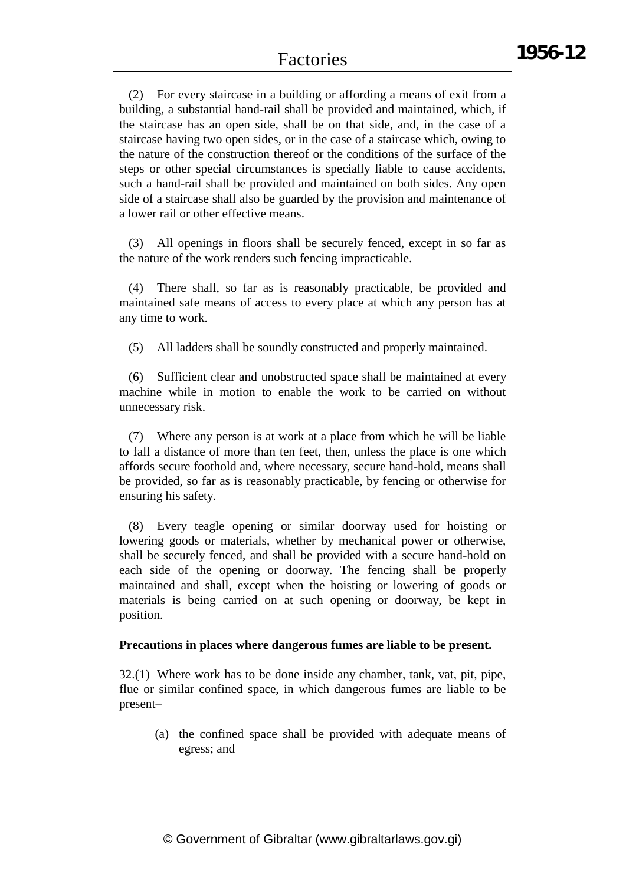(2) For every staircase in a building or affording a means of exit from a building, a substantial hand-rail shall be provided and maintained, which, if the staircase has an open side, shall be on that side, and, in the case of a staircase having two open sides, or in the case of a staircase which, owing to the nature of the construction thereof or the conditions of the surface of the steps or other special circumstances is specially liable to cause accidents, such a hand-rail shall be provided and maintained on both sides. Any open side of a staircase shall also be guarded by the provision and maintenance of a lower rail or other effective means.

(3) All openings in floors shall be securely fenced, except in so far as the nature of the work renders such fencing impracticable.

(4) There shall, so far as is reasonably practicable, be provided and maintained safe means of access to every place at which any person has at any time to work.

(5) All ladders shall be soundly constructed and properly maintained.

(6) Sufficient clear and unobstructed space shall be maintained at every machine while in motion to enable the work to be carried on without unnecessary risk.

(7) Where any person is at work at a place from which he will be liable to fall a distance of more than ten feet, then, unless the place is one which affords secure foothold and, where necessary, secure hand-hold, means shall be provided, so far as is reasonably practicable, by fencing or otherwise for ensuring his safety.

(8) Every teagle opening or similar doorway used for hoisting or lowering goods or materials, whether by mechanical power or otherwise, shall be securely fenced, and shall be provided with a secure hand-hold on each side of the opening or doorway. The fencing shall be properly maintained and shall, except when the hoisting or lowering of goods or materials is being carried on at such opening or doorway, be kept in position.

#### **Precautions in places where dangerous fumes are liable to be present.**

32.(1) Where work has to be done inside any chamber, tank, vat, pit, pipe, flue or similar confined space, in which dangerous fumes are liable to be present–

(a) the confined space shall be provided with adequate means of egress; and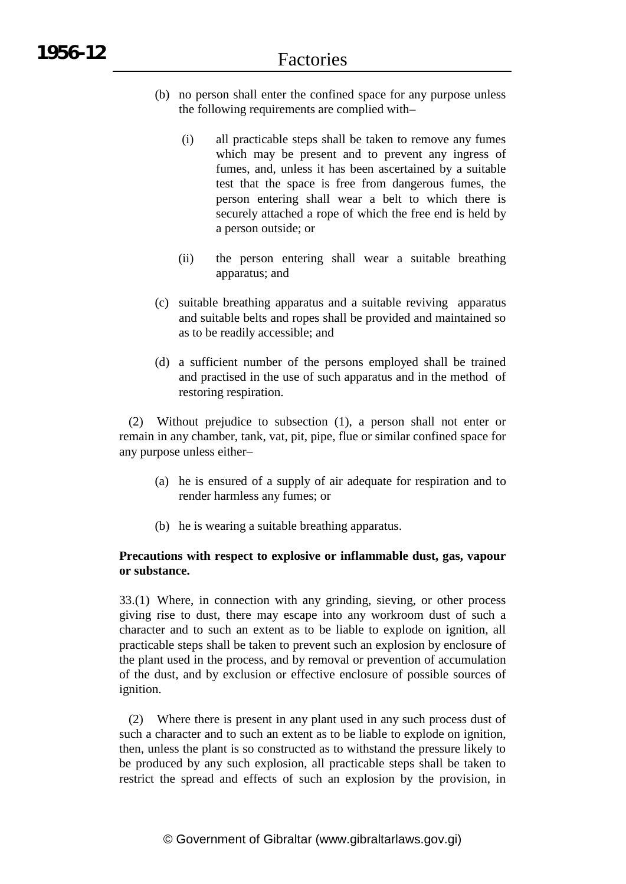- (b) no person shall enter the confined space for any purpose unless the following requirements are complied with–
	- (i) all practicable steps shall be taken to remove any fumes which may be present and to prevent any ingress of fumes, and, unless it has been ascertained by a suitable test that the space is free from dangerous fumes, the person entering shall wear a belt to which there is securely attached a rope of which the free end is held by a person outside; or
	- (ii) the person entering shall wear a suitable breathing apparatus; and
- (c) suitable breathing apparatus and a suitable reviving apparatus and suitable belts and ropes shall be provided and maintained so as to be readily accessible; and
- (d) a sufficient number of the persons employed shall be trained and practised in the use of such apparatus and in the method of restoring respiration.

(2) Without prejudice to subsection (1), a person shall not enter or remain in any chamber, tank, vat, pit, pipe, flue or similar confined space for any purpose unless either–

- (a) he is ensured of a supply of air adequate for respiration and to render harmless any fumes; or
- (b) he is wearing a suitable breathing apparatus.

### **Precautions with respect to explosive or inflammable dust, gas, vapour or substance.**

33.(1) Where, in connection with any grinding, sieving, or other process giving rise to dust, there may escape into any workroom dust of such a character and to such an extent as to be liable to explode on ignition, all practicable steps shall be taken to prevent such an explosion by enclosure of the plant used in the process, and by removal or prevention of accumulation of the dust, and by exclusion or effective enclosure of possible sources of ignition.

(2) Where there is present in any plant used in any such process dust of such a character and to such an extent as to be liable to explode on ignition, then, unless the plant is so constructed as to withstand the pressure likely to be produced by any such explosion, all practicable steps shall be taken to restrict the spread and effects of such an explosion by the provision, in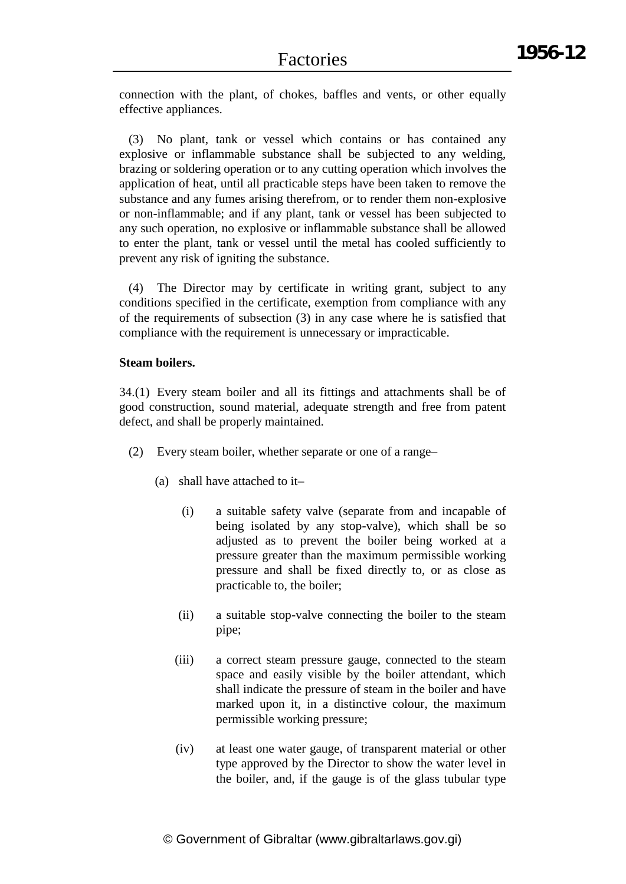connection with the plant, of chokes, baffles and vents, or other equally effective appliances.

(3) No plant, tank or vessel which contains or has contained any explosive or inflammable substance shall be subjected to any welding, brazing or soldering operation or to any cutting operation which involves the application of heat, until all practicable steps have been taken to remove the substance and any fumes arising therefrom, or to render them non-explosive or non-inflammable; and if any plant, tank or vessel has been subjected to any such operation, no explosive or inflammable substance shall be allowed to enter the plant, tank or vessel until the metal has cooled sufficiently to prevent any risk of igniting the substance.

(4) The Director may by certificate in writing grant, subject to any conditions specified in the certificate, exemption from compliance with any of the requirements of subsection (3) in any case where he is satisfied that compliance with the requirement is unnecessary or impracticable.

### **Steam boilers.**

34.(1) Every steam boiler and all its fittings and attachments shall be of good construction, sound material, adequate strength and free from patent defect, and shall be properly maintained.

- (2) Every steam boiler, whether separate or one of a range–
	- (a) shall have attached to it–
		- (i) a suitable safety valve (separate from and incapable of being isolated by any stop-valve), which shall be so adjusted as to prevent the boiler being worked at a pressure greater than the maximum permissible working pressure and shall be fixed directly to, or as close as practicable to, the boiler;
		- (ii) a suitable stop-valve connecting the boiler to the steam pipe;
		- (iii) a correct steam pressure gauge, connected to the steam space and easily visible by the boiler attendant, which shall indicate the pressure of steam in the boiler and have marked upon it, in a distinctive colour, the maximum permissible working pressure;
		- (iv) at least one water gauge, of transparent material or other type approved by the Director to show the water level in the boiler, and, if the gauge is of the glass tubular type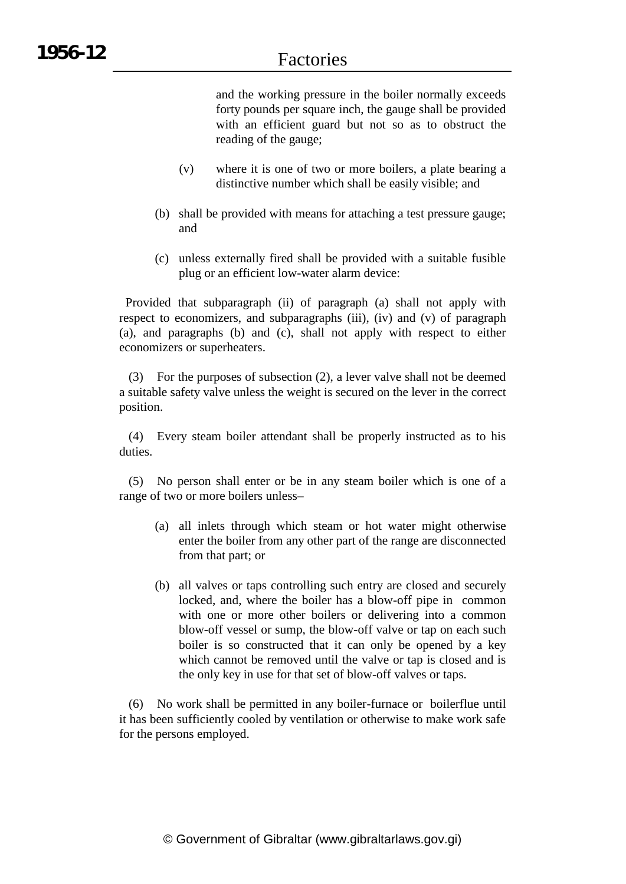and the working pressure in the boiler normally exceeds forty pounds per square inch, the gauge shall be provided with an efficient guard but not so as to obstruct the reading of the gauge;

- (v) where it is one of two or more boilers, a plate bearing a distinctive number which shall be easily visible; and
- (b) shall be provided with means for attaching a test pressure gauge; and
- (c) unless externally fired shall be provided with a suitable fusible plug or an efficient low-water alarm device:

Provided that subparagraph (ii) of paragraph (a) shall not apply with respect to economizers, and subparagraphs (iii), (iv) and (v) of paragraph (a), and paragraphs (b) and (c), shall not apply with respect to either economizers or superheaters.

(3) For the purposes of subsection (2), a lever valve shall not be deemed a suitable safety valve unless the weight is secured on the lever in the correct position.

(4) Every steam boiler attendant shall be properly instructed as to his duties.

(5) No person shall enter or be in any steam boiler which is one of a range of two or more boilers unless–

- (a) all inlets through which steam or hot water might otherwise enter the boiler from any other part of the range are disconnected from that part; or
- (b) all valves or taps controlling such entry are closed and securely locked, and, where the boiler has a blow-off pipe in common with one or more other boilers or delivering into a common blow-off vessel or sump, the blow-off valve or tap on each such boiler is so constructed that it can only be opened by a key which cannot be removed until the valve or tap is closed and is the only key in use for that set of blow-off valves or taps.

(6) No work shall be permitted in any boiler-furnace or boilerflue until it has been sufficiently cooled by ventilation or otherwise to make work safe for the persons employed.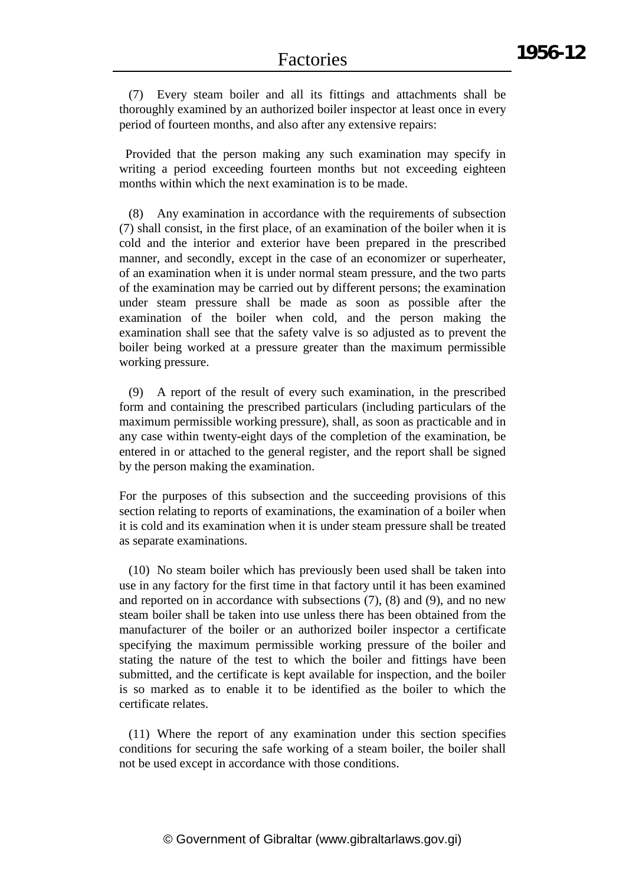(7) Every steam boiler and all its fittings and attachments shall be thoroughly examined by an authorized boiler inspector at least once in every period of fourteen months, and also after any extensive repairs:

Provided that the person making any such examination may specify in writing a period exceeding fourteen months but not exceeding eighteen months within which the next examination is to be made.

(8) Any examination in accordance with the requirements of subsection (7) shall consist, in the first place, of an examination of the boiler when it is cold and the interior and exterior have been prepared in the prescribed manner, and secondly, except in the case of an economizer or superheater, of an examination when it is under normal steam pressure, and the two parts of the examination may be carried out by different persons; the examination under steam pressure shall be made as soon as possible after the examination of the boiler when cold, and the person making the examination shall see that the safety valve is so adjusted as to prevent the boiler being worked at a pressure greater than the maximum permissible working pressure.

(9) A report of the result of every such examination, in the prescribed form and containing the prescribed particulars (including particulars of the maximum permissible working pressure), shall, as soon as practicable and in any case within twenty-eight days of the completion of the examination, be entered in or attached to the general register, and the report shall be signed by the person making the examination.

For the purposes of this subsection and the succeeding provisions of this section relating to reports of examinations, the examination of a boiler when it is cold and its examination when it is under steam pressure shall be treated as separate examinations.

(10) No steam boiler which has previously been used shall be taken into use in any factory for the first time in that factory until it has been examined and reported on in accordance with subsections (7), (8) and (9), and no new steam boiler shall be taken into use unless there has been obtained from the manufacturer of the boiler or an authorized boiler inspector a certificate specifying the maximum permissible working pressure of the boiler and stating the nature of the test to which the boiler and fittings have been submitted, and the certificate is kept available for inspection, and the boiler is so marked as to enable it to be identified as the boiler to which the certificate relates.

(11) Where the report of any examination under this section specifies conditions for securing the safe working of a steam boiler, the boiler shall not be used except in accordance with those conditions.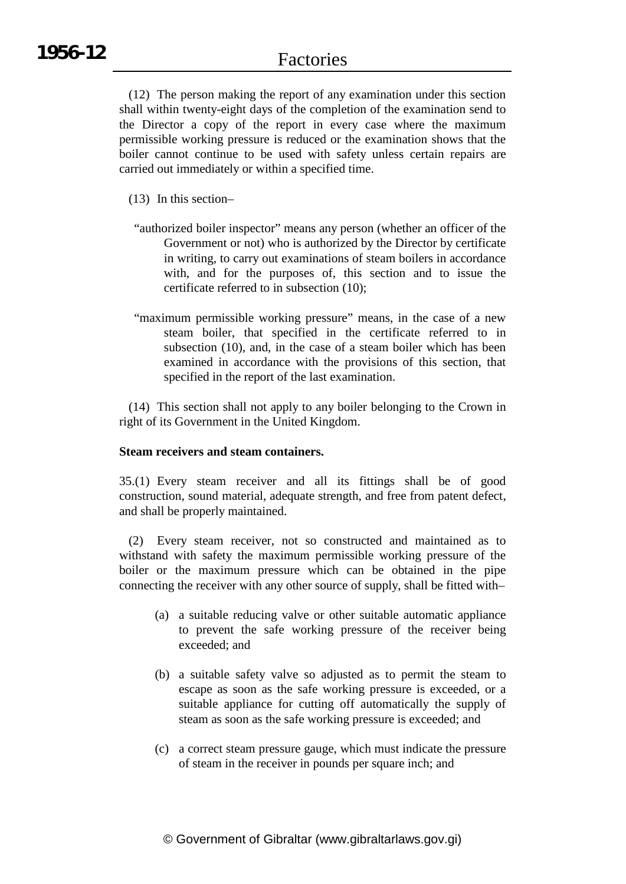(12) The person making the report of any examination under this section shall within twenty-eight days of the completion of the examination send to the Director a copy of the report in every case where the maximum permissible working pressure is reduced or the examination shows that the boiler cannot continue to be used with safety unless certain repairs are carried out immediately or within a specified time.

- (13) In this section–
- "authorized boiler inspector" means any person (whether an officer of the Government or not) who is authorized by the Director by certificate in writing, to carry out examinations of steam boilers in accordance with, and for the purposes of, this section and to issue the certificate referred to in subsection (10);
- "maximum permissible working pressure" means, in the case of a new steam boiler, that specified in the certificate referred to in subsection (10), and, in the case of a steam boiler which has been examined in accordance with the provisions of this section, that specified in the report of the last examination.

(14) This section shall not apply to any boiler belonging to the Crown in right of its Government in the United Kingdom.

#### **Steam receivers and steam containers.**

35.(1) Every steam receiver and all its fittings shall be of good construction, sound material, adequate strength, and free from patent defect, and shall be properly maintained.

(2) Every steam receiver, not so constructed and maintained as to withstand with safety the maximum permissible working pressure of the boiler or the maximum pressure which can be obtained in the pipe connecting the receiver with any other source of supply, shall be fitted with–

- (a) a suitable reducing valve or other suitable automatic appliance to prevent the safe working pressure of the receiver being exceeded; and
- (b) a suitable safety valve so adjusted as to permit the steam to escape as soon as the safe working pressure is exceeded, or a suitable appliance for cutting off automatically the supply of steam as soon as the safe working pressure is exceeded; and
- (c) a correct steam pressure gauge, which must indicate the pressure of steam in the receiver in pounds per square inch; and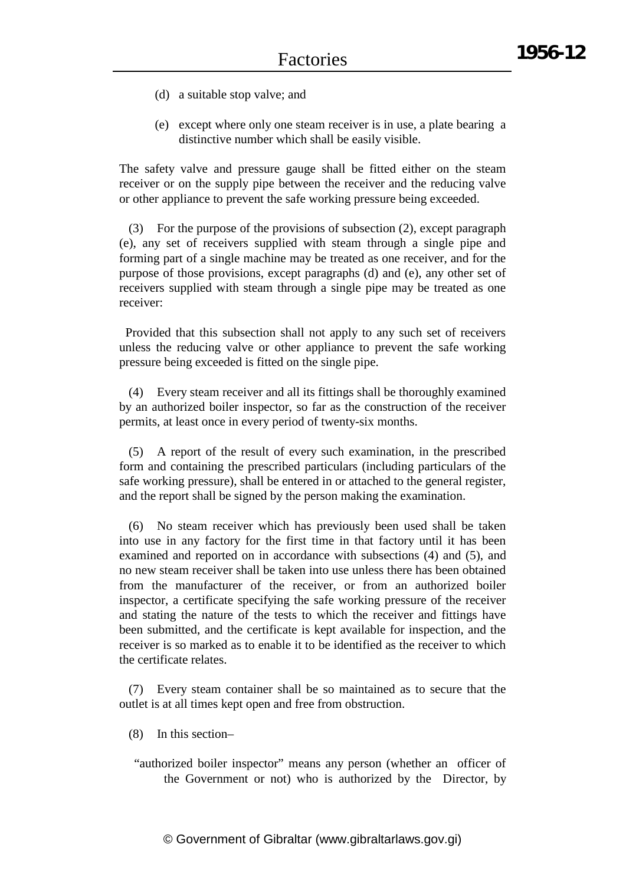- (d) a suitable stop valve; and
- (e) except where only one steam receiver is in use, a plate bearing a distinctive number which shall be easily visible.

The safety valve and pressure gauge shall be fitted either on the steam receiver or on the supply pipe between the receiver and the reducing valve or other appliance to prevent the safe working pressure being exceeded.

(3) For the purpose of the provisions of subsection (2), except paragraph (e), any set of receivers supplied with steam through a single pipe and forming part of a single machine may be treated as one receiver, and for the purpose of those provisions, except paragraphs (d) and (e), any other set of receivers supplied with steam through a single pipe may be treated as one receiver:

Provided that this subsection shall not apply to any such set of receivers unless the reducing valve or other appliance to prevent the safe working pressure being exceeded is fitted on the single pipe.

(4) Every steam receiver and all its fittings shall be thoroughly examined by an authorized boiler inspector, so far as the construction of the receiver permits, at least once in every period of twenty-six months.

(5) A report of the result of every such examination, in the prescribed form and containing the prescribed particulars (including particulars of the safe working pressure), shall be entered in or attached to the general register, and the report shall be signed by the person making the examination.

(6) No steam receiver which has previously been used shall be taken into use in any factory for the first time in that factory until it has been examined and reported on in accordance with subsections (4) and (5), and no new steam receiver shall be taken into use unless there has been obtained from the manufacturer of the receiver, or from an authorized boiler inspector, a certificate specifying the safe working pressure of the receiver and stating the nature of the tests to which the receiver and fittings have been submitted, and the certificate is kept available for inspection, and the receiver is so marked as to enable it to be identified as the receiver to which the certificate relates.

(7) Every steam container shall be so maintained as to secure that the outlet is at all times kept open and free from obstruction.

- (8) In this section–
- "authorized boiler inspector" means any person (whether an officer of the Government or not) who is authorized by the Director, by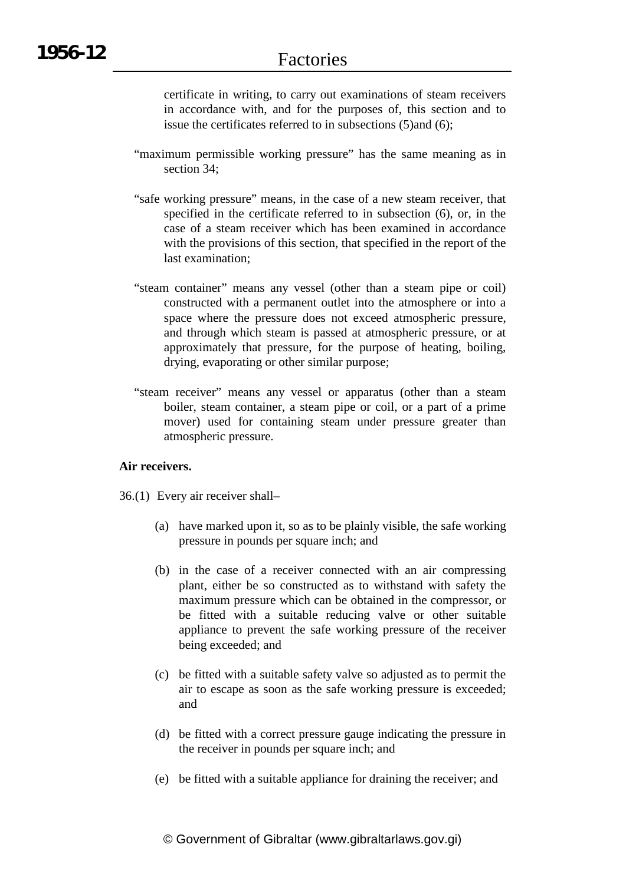certificate in writing, to carry out examinations of steam receivers in accordance with, and for the purposes of, this section and to issue the certificates referred to in subsections (5)and (6);

- "maximum permissible working pressure" has the same meaning as in section 34;
- "safe working pressure" means, in the case of a new steam receiver, that specified in the certificate referred to in subsection (6), or, in the case of a steam receiver which has been examined in accordance with the provisions of this section, that specified in the report of the last examination;
- "steam container" means any vessel (other than a steam pipe or coil) constructed with a permanent outlet into the atmosphere or into a space where the pressure does not exceed atmospheric pressure, and through which steam is passed at atmospheric pressure, or at approximately that pressure, for the purpose of heating, boiling, drying, evaporating or other similar purpose;
- "steam receiver" means any vessel or apparatus (other than a steam boiler, steam container, a steam pipe or coil, or a part of a prime mover) used for containing steam under pressure greater than atmospheric pressure.

### **Air receivers.**

- 36.(1) Every air receiver shall–
	- (a) have marked upon it, so as to be plainly visible, the safe working pressure in pounds per square inch; and
	- (b) in the case of a receiver connected with an air compressing plant, either be so constructed as to withstand with safety the maximum pressure which can be obtained in the compressor, or be fitted with a suitable reducing valve or other suitable appliance to prevent the safe working pressure of the receiver being exceeded; and
	- (c) be fitted with a suitable safety valve so adjusted as to permit the air to escape as soon as the safe working pressure is exceeded; and
	- (d) be fitted with a correct pressure gauge indicating the pressure in the receiver in pounds per square inch; and
	- (e) be fitted with a suitable appliance for draining the receiver; and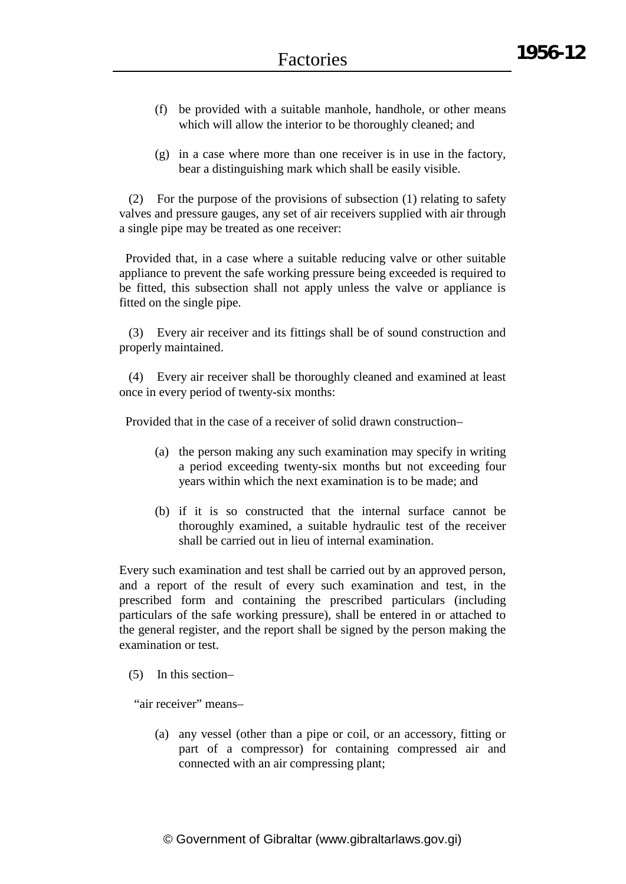- (f) be provided with a suitable manhole, handhole, or other means which will allow the interior to be thoroughly cleaned; and
- (g) in a case where more than one receiver is in use in the factory, bear a distinguishing mark which shall be easily visible.

(2) For the purpose of the provisions of subsection (1) relating to safety valves and pressure gauges, any set of air receivers supplied with air through a single pipe may be treated as one receiver:

Provided that, in a case where a suitable reducing valve or other suitable appliance to prevent the safe working pressure being exceeded is required to be fitted, this subsection shall not apply unless the valve or appliance is fitted on the single pipe.

(3) Every air receiver and its fittings shall be of sound construction and properly maintained.

(4) Every air receiver shall be thoroughly cleaned and examined at least once in every period of twenty-six months:

Provided that in the case of a receiver of solid drawn construction–

- (a) the person making any such examination may specify in writing a period exceeding twenty-six months but not exceeding four years within which the next examination is to be made; and
- (b) if it is so constructed that the internal surface cannot be thoroughly examined, a suitable hydraulic test of the receiver shall be carried out in lieu of internal examination.

Every such examination and test shall be carried out by an approved person, and a report of the result of every such examination and test, in the prescribed form and containing the prescribed particulars (including particulars of the safe working pressure), shall be entered in or attached to the general register, and the report shall be signed by the person making the examination or test.

(5) In this section–

"air receiver" means–

(a) any vessel (other than a pipe or coil, or an accessory, fitting or part of a compressor) for containing compressed air and connected with an air compressing plant;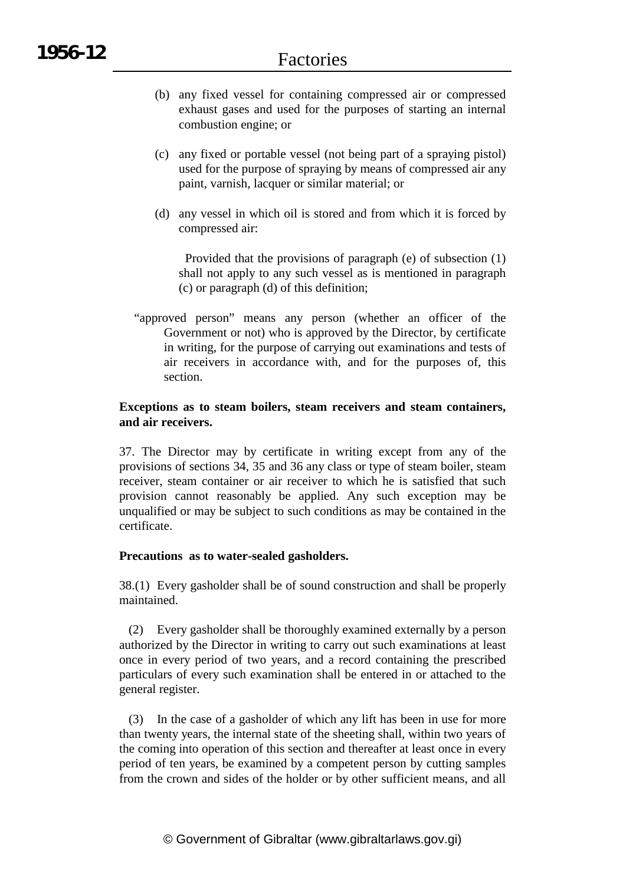- (b) any fixed vessel for containing compressed air or compressed exhaust gases and used for the purposes of starting an internal combustion engine; or
- (c) any fixed or portable vessel (not being part of a spraying pistol) used for the purpose of spraying by means of compressed air any paint, varnish, lacquer or similar material; or
- (d) any vessel in which oil is stored and from which it is forced by compressed air:

Provided that the provisions of paragraph (e) of subsection (1) shall not apply to any such vessel as is mentioned in paragraph (c) or paragraph (d) of this definition;

"approved person" means any person (whether an officer of the Government or not) who is approved by the Director, by certificate in writing, for the purpose of carrying out examinations and tests of air receivers in accordance with, and for the purposes of, this section.

### **Exceptions as to steam boilers, steam receivers and steam containers, and air receivers.**

37. The Director may by certificate in writing except from any of the provisions of sections 34, 35 and 36 any class or type of steam boiler, steam receiver, steam container or air receiver to which he is satisfied that such provision cannot reasonably be applied. Any such exception may be unqualified or may be subject to such conditions as may be contained in the certificate.

#### **Precautions as to water-sealed gasholders.**

38.(1) Every gasholder shall be of sound construction and shall be properly maintained.

(2) Every gasholder shall be thoroughly examined externally by a person authorized by the Director in writing to carry out such examinations at least once in every period of two years, and a record containing the prescribed particulars of every such examination shall be entered in or attached to the general register.

(3) In the case of a gasholder of which any lift has been in use for more than twenty years, the internal state of the sheeting shall, within two years of the coming into operation of this section and thereafter at least once in every period of ten years, be examined by a competent person by cutting samples from the crown and sides of the holder or by other sufficient means, and all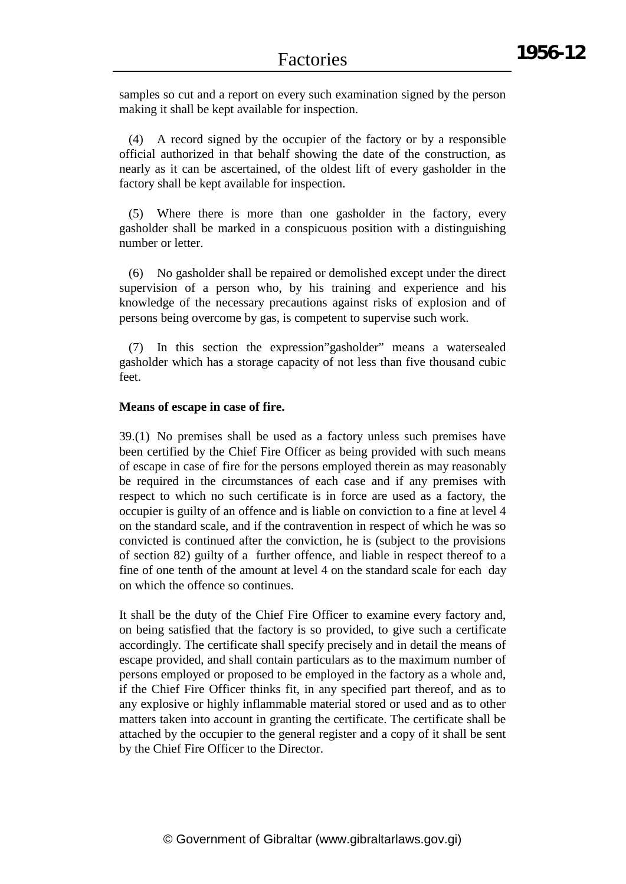samples so cut and a report on every such examination signed by the person making it shall be kept available for inspection.

(4) A record signed by the occupier of the factory or by a responsible official authorized in that behalf showing the date of the construction, as nearly as it can be ascertained, of the oldest lift of every gasholder in the factory shall be kept available for inspection.

(5) Where there is more than one gasholder in the factory, every gasholder shall be marked in a conspicuous position with a distinguishing number or letter.

(6) No gasholder shall be repaired or demolished except under the direct supervision of a person who, by his training and experience and his knowledge of the necessary precautions against risks of explosion and of persons being overcome by gas, is competent to supervise such work.

(7) In this section the expression"gasholder" means a watersealed gasholder which has a storage capacity of not less than five thousand cubic feet.

#### **Means of escape in case of fire.**

39.(1) No premises shall be used as a factory unless such premises have been certified by the Chief Fire Officer as being provided with such means of escape in case of fire for the persons employed therein as may reasonably be required in the circumstances of each case and if any premises with respect to which no such certificate is in force are used as a factory, the occupier is guilty of an offence and is liable on conviction to a fine at level 4 on the standard scale, and if the contravention in respect of which he was so convicted is continued after the conviction, he is (subject to the provisions of section 82) guilty of a further offence, and liable in respect thereof to a fine of one tenth of the amount at level 4 on the standard scale for each day on which the offence so continues.

It shall be the duty of the Chief Fire Officer to examine every factory and, on being satisfied that the factory is so provided, to give such a certificate accordingly. The certificate shall specify precisely and in detail the means of escape provided, and shall contain particulars as to the maximum number of persons employed or proposed to be employed in the factory as a whole and, if the Chief Fire Officer thinks fit, in any specified part thereof, and as to any explosive or highly inflammable material stored or used and as to other matters taken into account in granting the certificate. The certificate shall be attached by the occupier to the general register and a copy of it shall be sent by the Chief Fire Officer to the Director.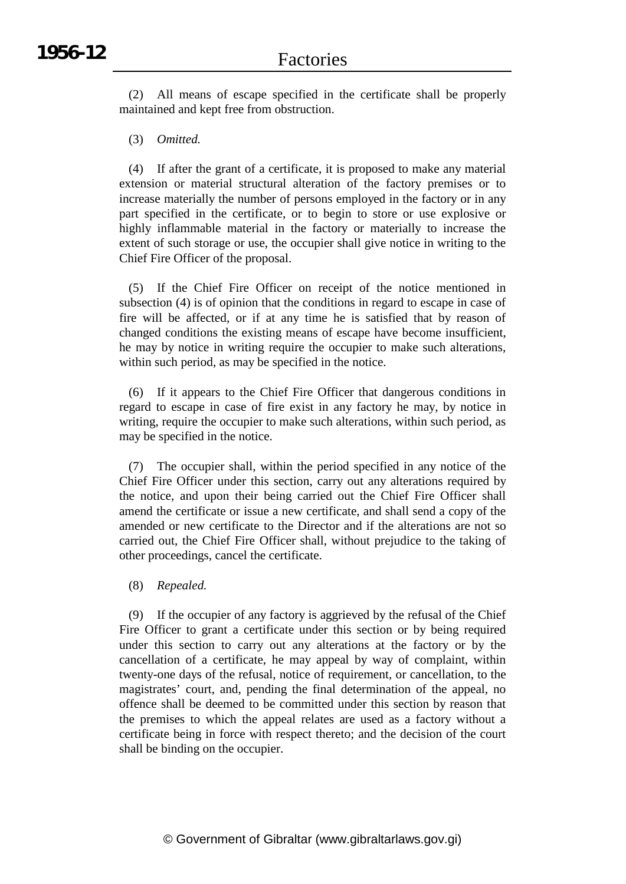(2) All means of escape specified in the certificate shall be properly maintained and kept free from obstruction.

(3) *Omitted.*

(4) If after the grant of a certificate, it is proposed to make any material extension or material structural alteration of the factory premises or to increase materially the number of persons employed in the factory or in any part specified in the certificate, or to begin to store or use explosive or highly inflammable material in the factory or materially to increase the extent of such storage or use, the occupier shall give notice in writing to the Chief Fire Officer of the proposal.

(5) If the Chief Fire Officer on receipt of the notice mentioned in subsection (4) is of opinion that the conditions in regard to escape in case of fire will be affected, or if at any time he is satisfied that by reason of changed conditions the existing means of escape have become insufficient, he may by notice in writing require the occupier to make such alterations, within such period, as may be specified in the notice.

(6) If it appears to the Chief Fire Officer that dangerous conditions in regard to escape in case of fire exist in any factory he may, by notice in writing, require the occupier to make such alterations, within such period, as may be specified in the notice.

(7) The occupier shall, within the period specified in any notice of the Chief Fire Officer under this section, carry out any alterations required by the notice, and upon their being carried out the Chief Fire Officer shall amend the certificate or issue a new certificate, and shall send a copy of the amended or new certificate to the Director and if the alterations are not so carried out, the Chief Fire Officer shall, without prejudice to the taking of other proceedings, cancel the certificate.

(8) *Repealed.*

(9) If the occupier of any factory is aggrieved by the refusal of the Chief Fire Officer to grant a certificate under this section or by being required under this section to carry out any alterations at the factory or by the cancellation of a certificate, he may appeal by way of complaint, within twenty-one days of the refusal, notice of requirement, or cancellation, to the magistrates' court, and, pending the final determination of the appeal, no offence shall be deemed to be committed under this section by reason that the premises to which the appeal relates are used as a factory without a certificate being in force with respect thereto; and the decision of the court shall be binding on the occupier.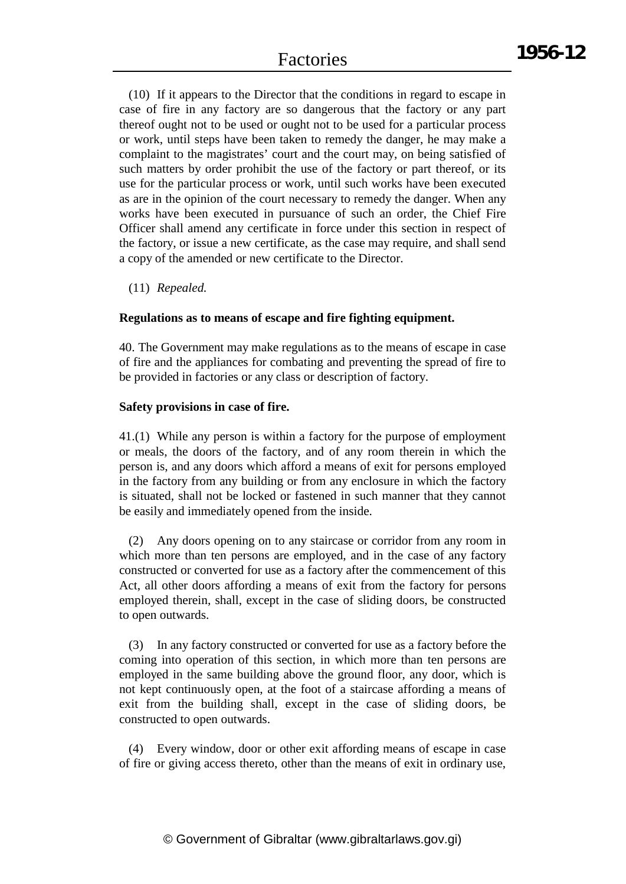(10) If it appears to the Director that the conditions in regard to escape in case of fire in any factory are so dangerous that the factory or any part thereof ought not to be used or ought not to be used for a particular process or work, until steps have been taken to remedy the danger, he may make a complaint to the magistrates' court and the court may, on being satisfied of such matters by order prohibit the use of the factory or part thereof, or its use for the particular process or work, until such works have been executed as are in the opinion of the court necessary to remedy the danger. When any works have been executed in pursuance of such an order, the Chief Fire Officer shall amend any certificate in force under this section in respect of the factory, or issue a new certificate, as the case may require, and shall send a copy of the amended or new certificate to the Director.

(11) *Repealed.*

### **Regulations as to means of escape and fire fighting equipment.**

40. The Government may make regulations as to the means of escape in case of fire and the appliances for combating and preventing the spread of fire to be provided in factories or any class or description of factory.

#### **Safety provisions in case of fire.**

41.(1) While any person is within a factory for the purpose of employment or meals, the doors of the factory, and of any room therein in which the person is, and any doors which afford a means of exit for persons employed in the factory from any building or from any enclosure in which the factory is situated, shall not be locked or fastened in such manner that they cannot be easily and immediately opened from the inside.

(2) Any doors opening on to any staircase or corridor from any room in which more than ten persons are employed, and in the case of any factory constructed or converted for use as a factory after the commencement of this Act, all other doors affording a means of exit from the factory for persons employed therein, shall, except in the case of sliding doors, be constructed to open outwards.

(3) In any factory constructed or converted for use as a factory before the coming into operation of this section, in which more than ten persons are employed in the same building above the ground floor, any door, which is not kept continuously open, at the foot of a staircase affording a means of exit from the building shall, except in the case of sliding doors, be constructed to open outwards.

(4) Every window, door or other exit affording means of escape in case of fire or giving access thereto, other than the means of exit in ordinary use,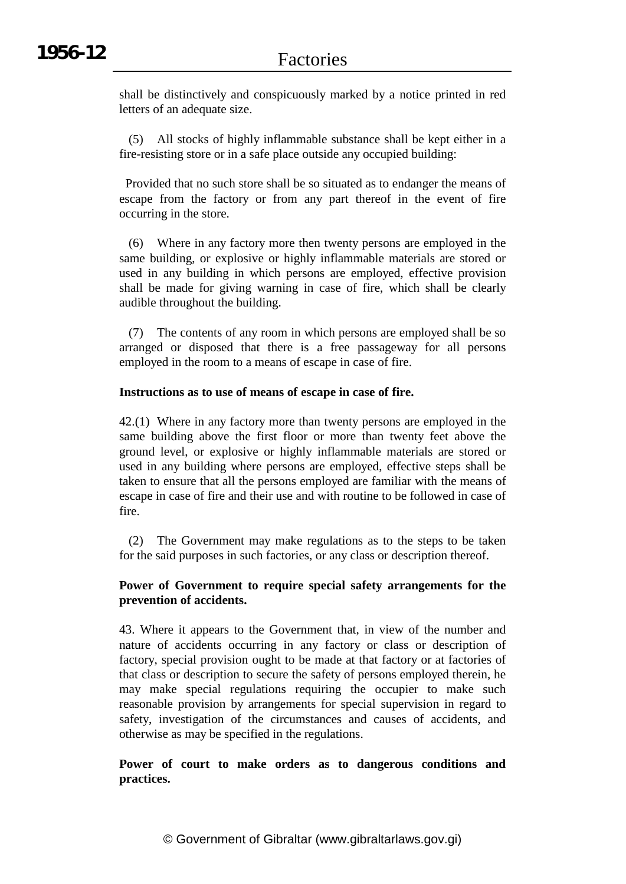shall be distinctively and conspicuously marked by a notice printed in red letters of an adequate size.

(5) All stocks of highly inflammable substance shall be kept either in a fire-resisting store or in a safe place outside any occupied building:

Provided that no such store shall be so situated as to endanger the means of escape from the factory or from any part thereof in the event of fire occurring in the store.

(6) Where in any factory more then twenty persons are employed in the same building, or explosive or highly inflammable materials are stored or used in any building in which persons are employed, effective provision shall be made for giving warning in case of fire, which shall be clearly audible throughout the building.

(7) The contents of any room in which persons are employed shall be so arranged or disposed that there is a free passageway for all persons employed in the room to a means of escape in case of fire.

#### **Instructions as to use of means of escape in case of fire.**

42.(1) Where in any factory more than twenty persons are employed in the same building above the first floor or more than twenty feet above the ground level, or explosive or highly inflammable materials are stored or used in any building where persons are employed, effective steps shall be taken to ensure that all the persons employed are familiar with the means of escape in case of fire and their use and with routine to be followed in case of fire.

(2) The Government may make regulations as to the steps to be taken for the said purposes in such factories, or any class or description thereof.

#### **Power of Government to require special safety arrangements for the prevention of accidents.**

43. Where it appears to the Government that, in view of the number and nature of accidents occurring in any factory or class or description of factory, special provision ought to be made at that factory or at factories of that class or description to secure the safety of persons employed therein, he may make special regulations requiring the occupier to make such reasonable provision by arrangements for special supervision in regard to safety, investigation of the circumstances and causes of accidents, and otherwise as may be specified in the regulations.

# **Power of court to make orders as to dangerous conditions and practices.**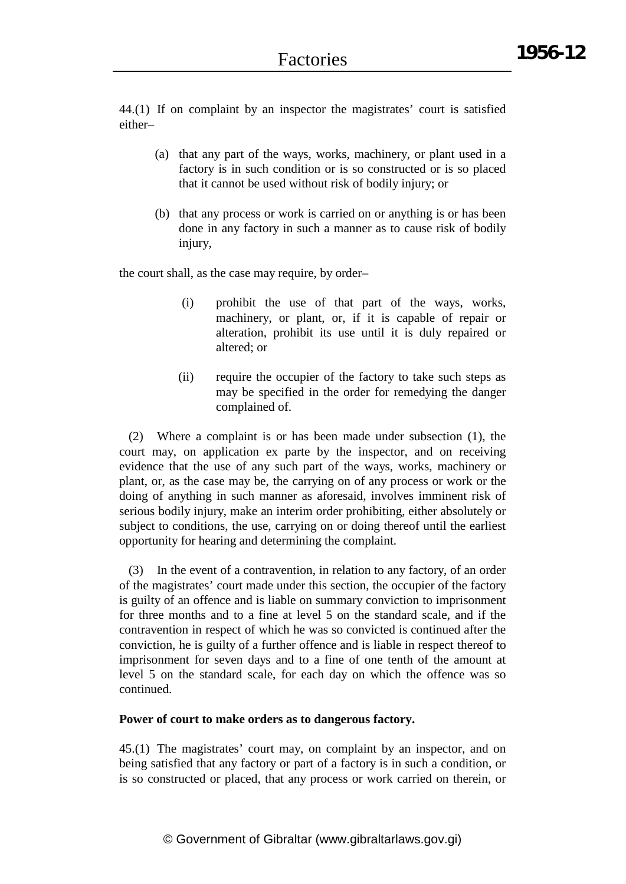44.(1) If on complaint by an inspector the magistrates' court is satisfied either–

- (a) that any part of the ways, works, machinery, or plant used in a factory is in such condition or is so constructed or is so placed that it cannot be used without risk of bodily injury; or
- (b) that any process or work is carried on or anything is or has been done in any factory in such a manner as to cause risk of bodily injury,

the court shall, as the case may require, by order–

- (i) prohibit the use of that part of the ways, works, machinery, or plant, or, if it is capable of repair or alteration, prohibit its use until it is duly repaired or altered; or
- (ii) require the occupier of the factory to take such steps as may be specified in the order for remedying the danger complained of.

(2) Where a complaint is or has been made under subsection (1), the court may, on application ex parte by the inspector, and on receiving evidence that the use of any such part of the ways, works, machinery or plant, or, as the case may be, the carrying on of any process or work or the doing of anything in such manner as aforesaid, involves imminent risk of serious bodily injury, make an interim order prohibiting, either absolutely or subject to conditions, the use, carrying on or doing thereof until the earliest opportunity for hearing and determining the complaint.

(3) In the event of a contravention, in relation to any factory, of an order of the magistrates' court made under this section, the occupier of the factory is guilty of an offence and is liable on summary conviction to imprisonment for three months and to a fine at level 5 on the standard scale, and if the contravention in respect of which he was so convicted is continued after the conviction, he is guilty of a further offence and is liable in respect thereof to imprisonment for seven days and to a fine of one tenth of the amount at level 5 on the standard scale, for each day on which the offence was so continued.

#### **Power of court to make orders as to dangerous factory.**

45.(1) The magistrates' court may, on complaint by an inspector, and on being satisfied that any factory or part of a factory is in such a condition, or is so constructed or placed, that any process or work carried on therein, or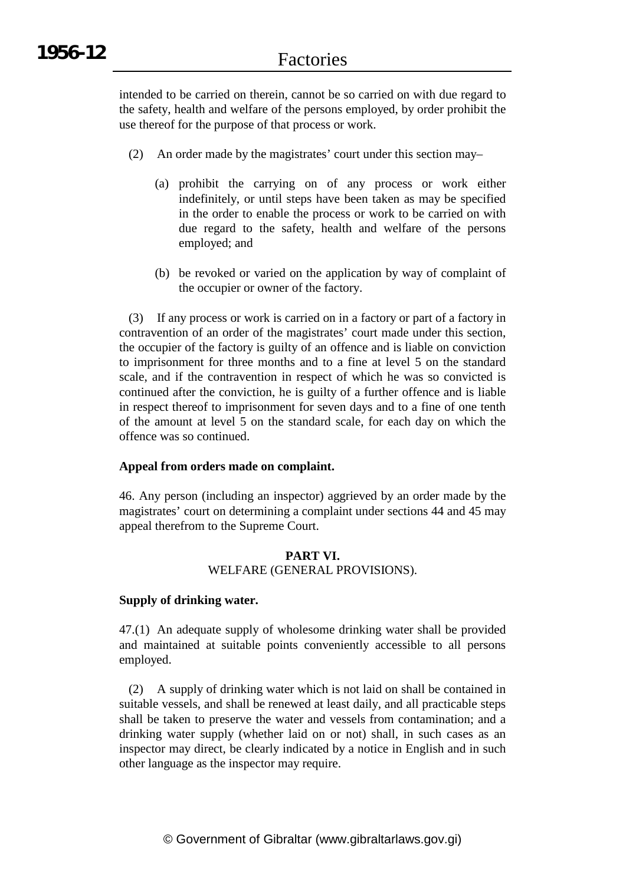intended to be carried on therein, cannot be so carried on with due regard to the safety, health and welfare of the persons employed, by order prohibit the use thereof for the purpose of that process or work.

- (2) An order made by the magistrates' court under this section may–
	- (a) prohibit the carrying on of any process or work either indefinitely, or until steps have been taken as may be specified in the order to enable the process or work to be carried on with due regard to the safety, health and welfare of the persons employed; and
	- (b) be revoked or varied on the application by way of complaint of the occupier or owner of the factory.

(3) If any process or work is carried on in a factory or part of a factory in contravention of an order of the magistrates' court made under this section, the occupier of the factory is guilty of an offence and is liable on conviction to imprisonment for three months and to a fine at level 5 on the standard scale, and if the contravention in respect of which he was so convicted is continued after the conviction, he is guilty of a further offence and is liable in respect thereof to imprisonment for seven days and to a fine of one tenth of the amount at level 5 on the standard scale, for each day on which the offence was so continued.

#### **Appeal from orders made on complaint.**

46. Any person (including an inspector) aggrieved by an order made by the magistrates' court on determining a complaint under sections 44 and 45 may appeal therefrom to the Supreme Court.

#### **PART VI.** WELFARE (GENERAL PROVISIONS).

#### **Supply of drinking water.**

47.(1) An adequate supply of wholesome drinking water shall be provided and maintained at suitable points conveniently accessible to all persons employed.

(2) A supply of drinking water which is not laid on shall be contained in suitable vessels, and shall be renewed at least daily, and all practicable steps shall be taken to preserve the water and vessels from contamination; and a drinking water supply (whether laid on or not) shall, in such cases as an inspector may direct, be clearly indicated by a notice in English and in such other language as the inspector may require.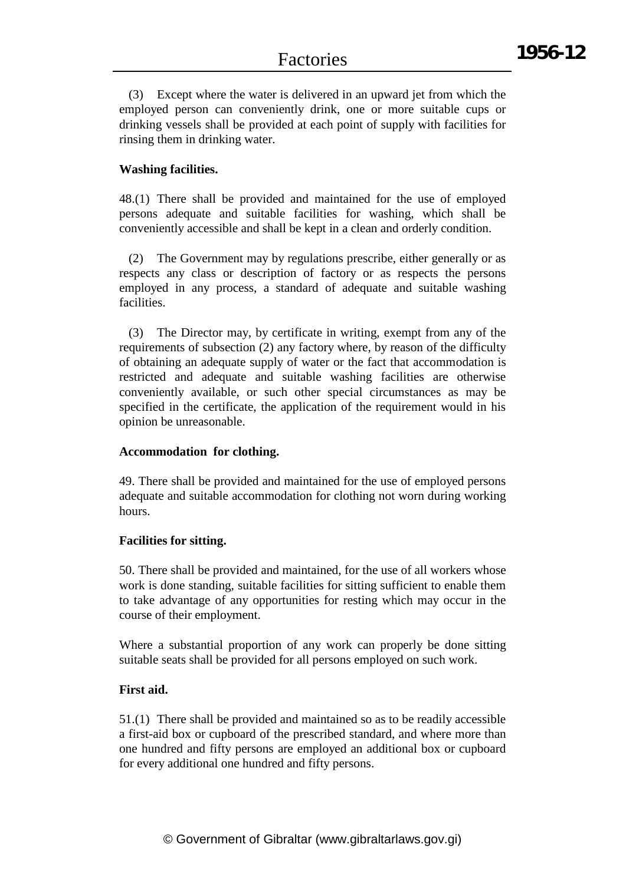(3) Except where the water is delivered in an upward jet from which the employed person can conveniently drink, one or more suitable cups or drinking vessels shall be provided at each point of supply with facilities for rinsing them in drinking water.

## **Washing facilities.**

48.(1) There shall be provided and maintained for the use of employed persons adequate and suitable facilities for washing, which shall be conveniently accessible and shall be kept in a clean and orderly condition.

(2) The Government may by regulations prescribe, either generally or as respects any class or description of factory or as respects the persons employed in any process, a standard of adequate and suitable washing facilities.

(3) The Director may, by certificate in writing, exempt from any of the requirements of subsection (2) any factory where, by reason of the difficulty of obtaining an adequate supply of water or the fact that accommodation is restricted and adequate and suitable washing facilities are otherwise conveniently available, or such other special circumstances as may be specified in the certificate, the application of the requirement would in his opinion be unreasonable.

## **Accommodation for clothing.**

49. There shall be provided and maintained for the use of employed persons adequate and suitable accommodation for clothing not worn during working hours.

## **Facilities for sitting.**

50. There shall be provided and maintained, for the use of all workers whose work is done standing, suitable facilities for sitting sufficient to enable them to take advantage of any opportunities for resting which may occur in the course of their employment.

Where a substantial proportion of any work can properly be done sitting suitable seats shall be provided for all persons employed on such work.

## **First aid.**

51.(1) There shall be provided and maintained so as to be readily accessible a first-aid box or cupboard of the prescribed standard, and where more than one hundred and fifty persons are employed an additional box or cupboard for every additional one hundred and fifty persons.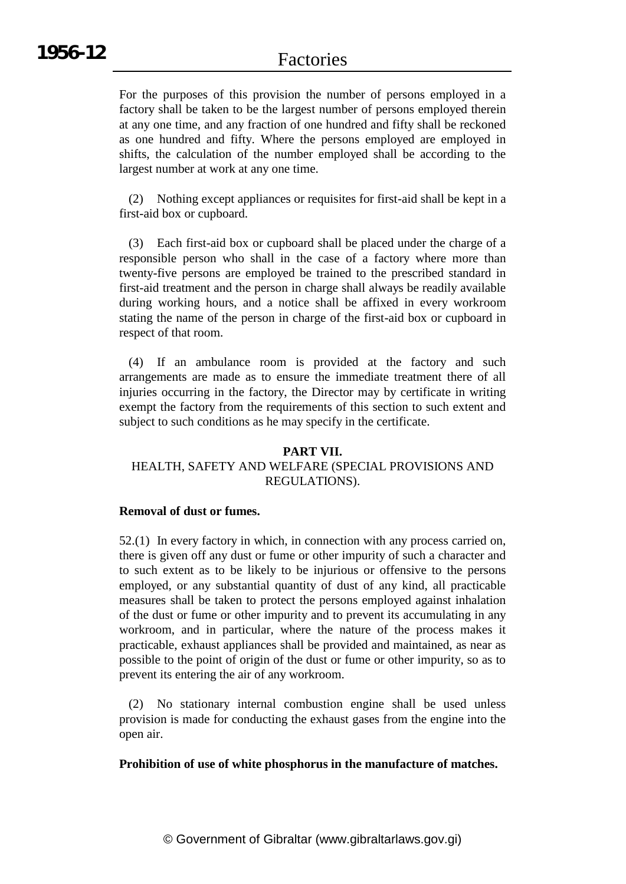For the purposes of this provision the number of persons employed in a factory shall be taken to be the largest number of persons employed therein at any one time, and any fraction of one hundred and fifty shall be reckoned as one hundred and fifty. Where the persons employed are employed in shifts, the calculation of the number employed shall be according to the largest number at work at any one time.

(2) Nothing except appliances or requisites for first-aid shall be kept in a first-aid box or cupboard.

(3) Each first-aid box or cupboard shall be placed under the charge of a responsible person who shall in the case of a factory where more than twenty-five persons are employed be trained to the prescribed standard in first-aid treatment and the person in charge shall always be readily available during working hours, and a notice shall be affixed in every workroom stating the name of the person in charge of the first-aid box or cupboard in respect of that room.

(4) If an ambulance room is provided at the factory and such arrangements are made as to ensure the immediate treatment there of all injuries occurring in the factory, the Director may by certificate in writing exempt the factory from the requirements of this section to such extent and subject to such conditions as he may specify in the certificate.

## **PART VII.** HEALTH, SAFETY AND WELFARE (SPECIAL PROVISIONS AND REGULATIONS).

## **Removal of dust or fumes.**

52.(1) In every factory in which, in connection with any process carried on, there is given off any dust or fume or other impurity of such a character and to such extent as to be likely to be injurious or offensive to the persons employed, or any substantial quantity of dust of any kind, all practicable measures shall be taken to protect the persons employed against inhalation of the dust or fume or other impurity and to prevent its accumulating in any workroom, and in particular, where the nature of the process makes it practicable, exhaust appliances shall be provided and maintained, as near as possible to the point of origin of the dust or fume or other impurity, so as to prevent its entering the air of any workroom.

(2) No stationary internal combustion engine shall be used unless provision is made for conducting the exhaust gases from the engine into the open air.

## **Prohibition of use of white phosphorus in the manufacture of matches.**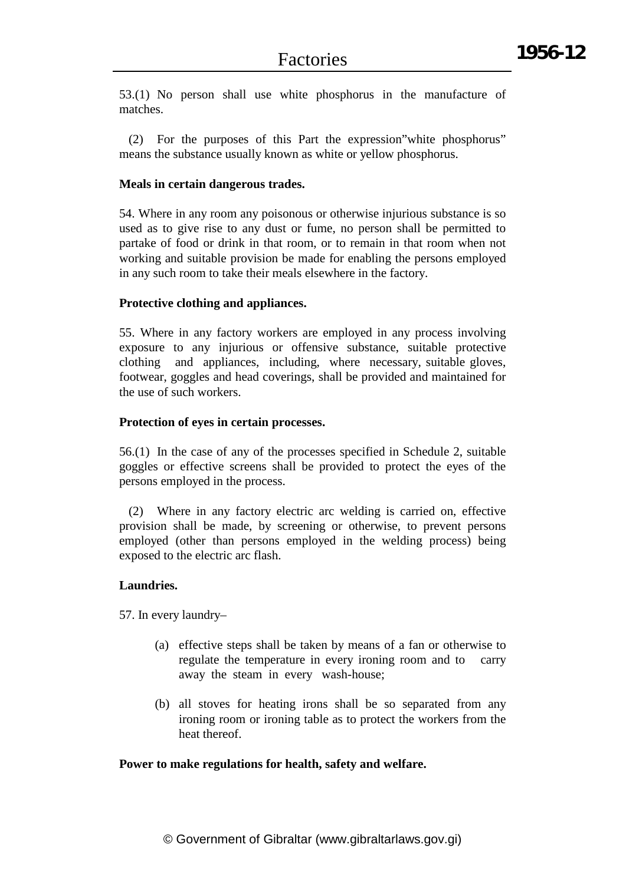53.(1) No person shall use white phosphorus in the manufacture of matches.

(2) For the purposes of this Part the expression"white phosphorus" means the substance usually known as white or yellow phosphorus.

## **Meals in certain dangerous trades.**

54. Where in any room any poisonous or otherwise injurious substance is so used as to give rise to any dust or fume, no person shall be permitted to partake of food or drink in that room, or to remain in that room when not working and suitable provision be made for enabling the persons employed in any such room to take their meals elsewhere in the factory.

## **Protective clothing and appliances.**

55. Where in any factory workers are employed in any process involving exposure to any injurious or offensive substance, suitable protective clothing and appliances, including, where necessary, suitable gloves, footwear, goggles and head coverings, shall be provided and maintained for the use of such workers.

## **Protection of eyes in certain processes.**

56.(1) In the case of any of the processes specified in Schedule 2, suitable goggles or effective screens shall be provided to protect the eyes of the persons employed in the process.

(2) Where in any factory electric arc welding is carried on, effective provision shall be made, by screening or otherwise, to prevent persons employed (other than persons employed in the welding process) being exposed to the electric arc flash.

## **Laundries.**

57. In every laundry–

- (a) effective steps shall be taken by means of a fan or otherwise to regulate the temperature in every ironing room and to carry away the steam in every wash-house;
- (b) all stoves for heating irons shall be so separated from any ironing room or ironing table as to protect the workers from the heat thereof.

## **Power to make regulations for health, safety and welfare.**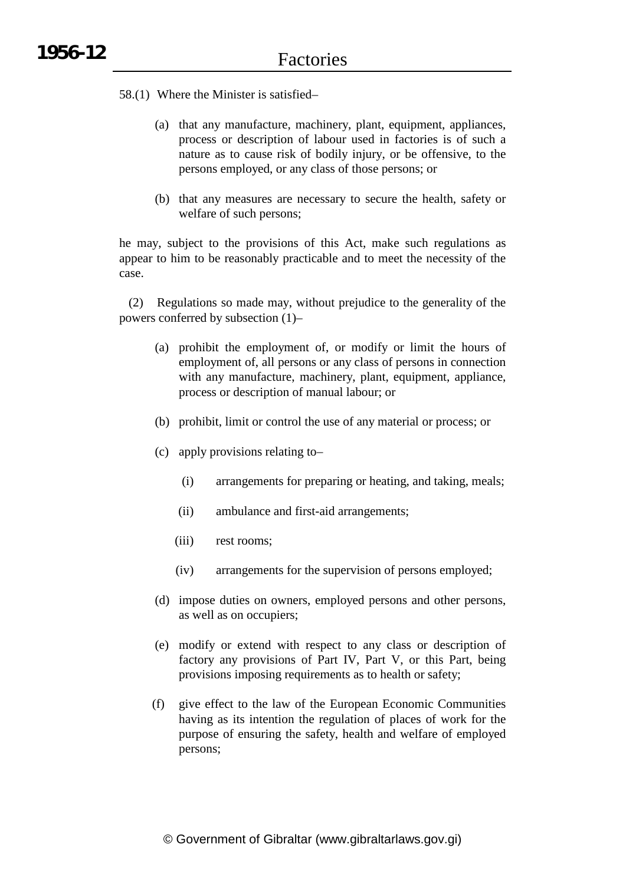- 58.(1) Where the Minister is satisfied–
	- (a) that any manufacture, machinery, plant, equipment, appliances, process or description of labour used in factories is of such a nature as to cause risk of bodily injury, or be offensive, to the persons employed, or any class of those persons; or
	- (b) that any measures are necessary to secure the health, safety or welfare of such persons;

he may, subject to the provisions of this Act, make such regulations as appear to him to be reasonably practicable and to meet the necessity of the case.

(2) Regulations so made may, without prejudice to the generality of the powers conferred by subsection (1)–

- (a) prohibit the employment of, or modify or limit the hours of employment of, all persons or any class of persons in connection with any manufacture, machinery, plant, equipment, appliance, process or description of manual labour; or
- (b) prohibit, limit or control the use of any material or process; or
- (c) apply provisions relating to–
	- (i) arrangements for preparing or heating, and taking, meals;
	- (ii) ambulance and first-aid arrangements;
	- (iii) rest rooms;
	- (iv) arrangements for the supervision of persons employed;
- (d) impose duties on owners, employed persons and other persons, as well as on occupiers;
- (e) modify or extend with respect to any class or description of factory any provisions of Part IV, Part V, or this Part, being provisions imposing requirements as to health or safety;
- (f) give effect to the law of the European Economic Communities having as its intention the regulation of places of work for the purpose of ensuring the safety, health and welfare of employed persons;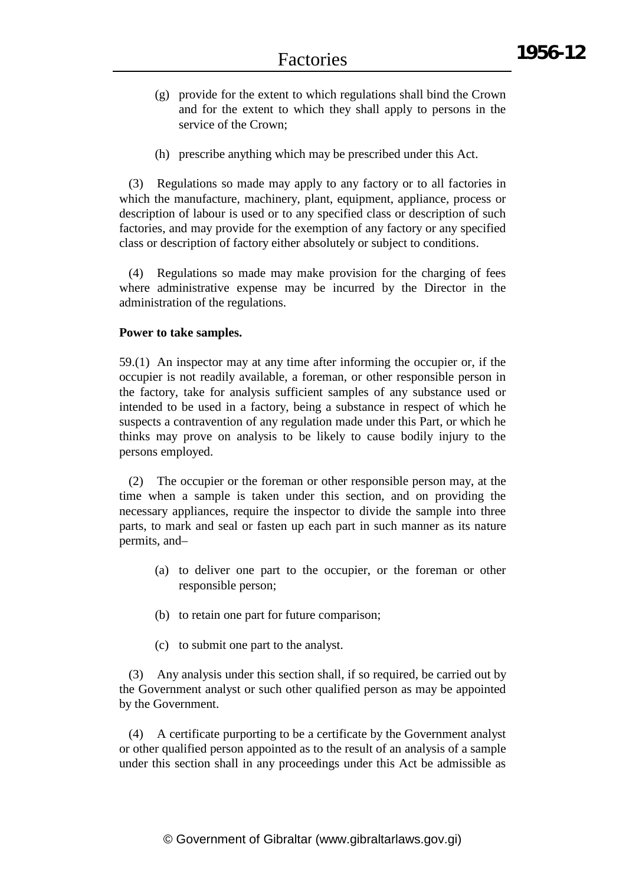- (g) provide for the extent to which regulations shall bind the Crown and for the extent to which they shall apply to persons in the service of the Crown:
- (h) prescribe anything which may be prescribed under this Act.

(3) Regulations so made may apply to any factory or to all factories in which the manufacture, machinery, plant, equipment, appliance, process or description of labour is used or to any specified class or description of such factories, and may provide for the exemption of any factory or any specified class or description of factory either absolutely or subject to conditions.

(4) Regulations so made may make provision for the charging of fees where administrative expense may be incurred by the Director in the administration of the regulations.

## **Power to take samples.**

59.(1) An inspector may at any time after informing the occupier or, if the occupier is not readily available, a foreman, or other responsible person in the factory, take for analysis sufficient samples of any substance used or intended to be used in a factory, being a substance in respect of which he suspects a contravention of any regulation made under this Part, or which he thinks may prove on analysis to be likely to cause bodily injury to the persons employed.

(2) The occupier or the foreman or other responsible person may, at the time when a sample is taken under this section, and on providing the necessary appliances, require the inspector to divide the sample into three parts, to mark and seal or fasten up each part in such manner as its nature permits, and–

- (a) to deliver one part to the occupier, or the foreman or other responsible person;
- (b) to retain one part for future comparison;
- (c) to submit one part to the analyst.

(3) Any analysis under this section shall, if so required, be carried out by the Government analyst or such other qualified person as may be appointed by the Government.

(4) A certificate purporting to be a certificate by the Government analyst or other qualified person appointed as to the result of an analysis of a sample under this section shall in any proceedings under this Act be admissible as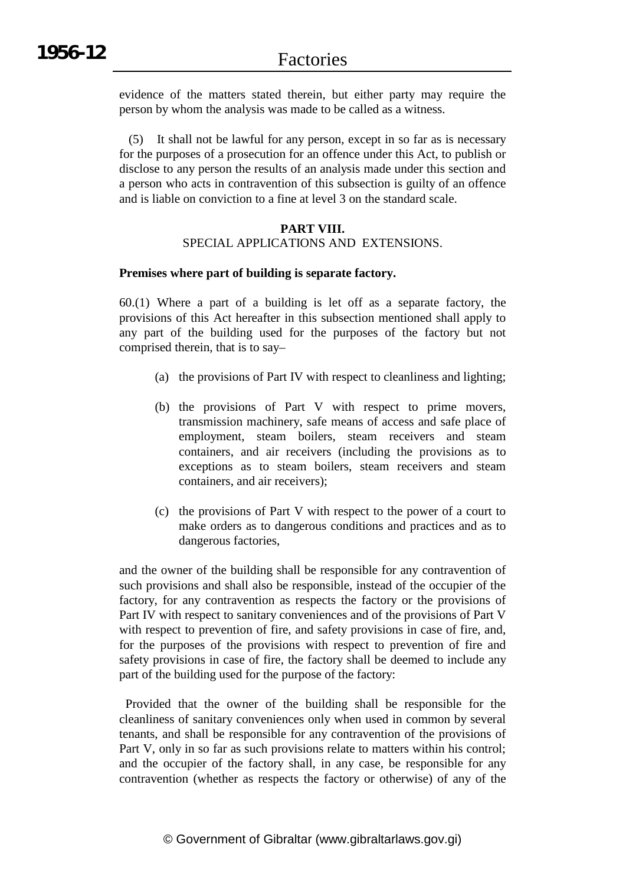evidence of the matters stated therein, but either party may require the person by whom the analysis was made to be called as a witness.

(5) It shall not be lawful for any person, except in so far as is necessary for the purposes of a prosecution for an offence under this Act, to publish or disclose to any person the results of an analysis made under this section and a person who acts in contravention of this subsection is guilty of an offence and is liable on conviction to a fine at level 3 on the standard scale.

## **PART VIII.** SPECIAL APPLICATIONS AND EXTENSIONS.

## **Premises where part of building is separate factory.**

60.(1) Where a part of a building is let off as a separate factory, the provisions of this Act hereafter in this subsection mentioned shall apply to any part of the building used for the purposes of the factory but not comprised therein, that is to say–

- (a) the provisions of Part IV with respect to cleanliness and lighting;
- (b) the provisions of Part V with respect to prime movers, transmission machinery, safe means of access and safe place of employment, steam boilers, steam receivers and steam containers, and air receivers (including the provisions as to exceptions as to steam boilers, steam receivers and steam containers, and air receivers);
- (c) the provisions of Part V with respect to the power of a court to make orders as to dangerous conditions and practices and as to dangerous factories,

and the owner of the building shall be responsible for any contravention of such provisions and shall also be responsible, instead of the occupier of the factory, for any contravention as respects the factory or the provisions of Part IV with respect to sanitary conveniences and of the provisions of Part V with respect to prevention of fire, and safety provisions in case of fire, and, for the purposes of the provisions with respect to prevention of fire and safety provisions in case of fire, the factory shall be deemed to include any part of the building used for the purpose of the factory:

Provided that the owner of the building shall be responsible for the cleanliness of sanitary conveniences only when used in common by several tenants, and shall be responsible for any contravention of the provisions of Part V, only in so far as such provisions relate to matters within his control; and the occupier of the factory shall, in any case, be responsible for any contravention (whether as respects the factory or otherwise) of any of the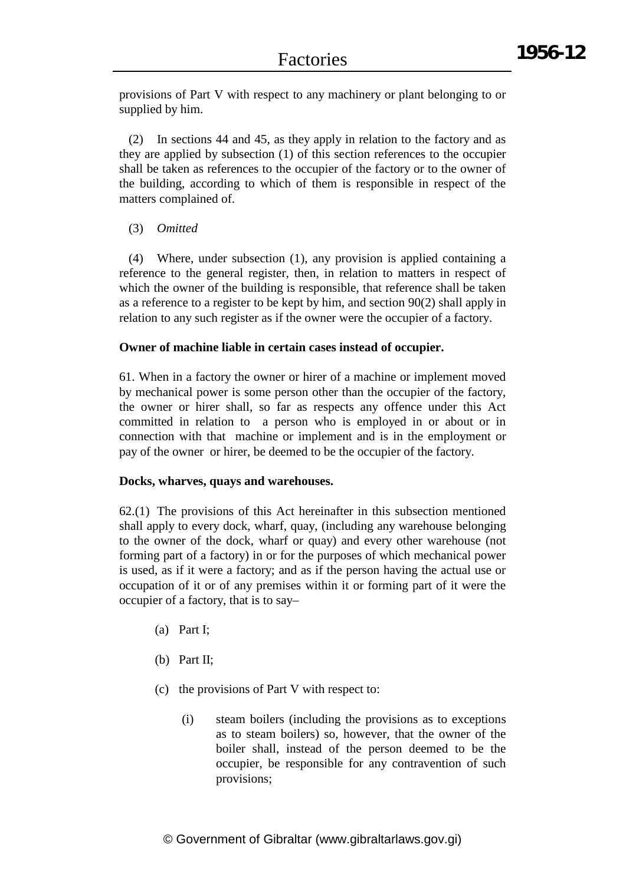provisions of Part V with respect to any machinery or plant belonging to or supplied by him.

(2) In sections 44 and 45, as they apply in relation to the factory and as they are applied by subsection (1) of this section references to the occupier shall be taken as references to the occupier of the factory or to the owner of the building, according to which of them is responsible in respect of the matters complained of.

## (3) *Omitted*

(4) Where, under subsection (1), any provision is applied containing a reference to the general register, then, in relation to matters in respect of which the owner of the building is responsible, that reference shall be taken as a reference to a register to be kept by him, and section 90(2) shall apply in relation to any such register as if the owner were the occupier of a factory.

## **Owner of machine liable in certain cases instead of occupier.**

61. When in a factory the owner or hirer of a machine or implement moved by mechanical power is some person other than the occupier of the factory, the owner or hirer shall, so far as respects any offence under this Act committed in relation to a person who is employed in or about or in connection with that machine or implement and is in the employment or pay of the owner or hirer, be deemed to be the occupier of the factory.

## **Docks, wharves, quays and warehouses.**

62.(1) The provisions of this Act hereinafter in this subsection mentioned shall apply to every dock, wharf, quay, (including any warehouse belonging to the owner of the dock, wharf or quay) and every other warehouse (not forming part of a factory) in or for the purposes of which mechanical power is used, as if it were a factory; and as if the person having the actual use or occupation of it or of any premises within it or forming part of it were the occupier of a factory, that is to say–

- (a) Part I;
- (b) Part II;
- (c) the provisions of Part V with respect to:
	- (i) steam boilers (including the provisions as to exceptions as to steam boilers) so, however, that the owner of the boiler shall, instead of the person deemed to be the occupier, be responsible for any contravention of such provisions;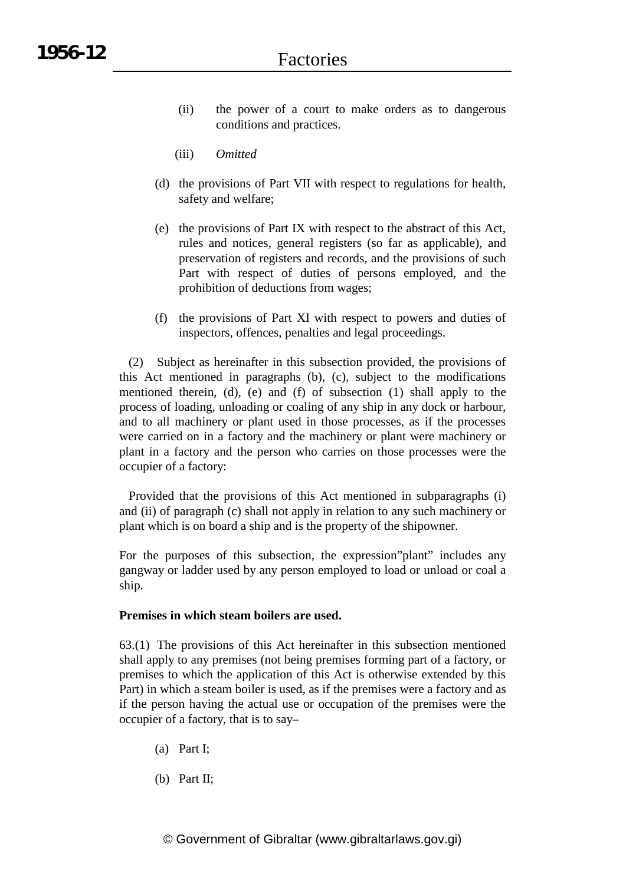- (ii) the power of a court to make orders as to dangerous conditions and practices.
- (iii) *Omitted*
- (d) the provisions of Part VII with respect to regulations for health, safety and welfare;
- (e) the provisions of Part IX with respect to the abstract of this Act, rules and notices, general registers (so far as applicable), and preservation of registers and records, and the provisions of such Part with respect of duties of persons employed, and the prohibition of deductions from wages;
- (f) the provisions of Part XI with respect to powers and duties of inspectors, offences, penalties and legal proceedings.

(2) Subject as hereinafter in this subsection provided, the provisions of this Act mentioned in paragraphs (b), (c), subject to the modifications mentioned therein, (d), (e) and (f) of subsection (1) shall apply to the process of loading, unloading or coaling of any ship in any dock or harbour, and to all machinery or plant used in those processes, as if the processes were carried on in a factory and the machinery or plant were machinery or plant in a factory and the person who carries on those processes were the occupier of a factory:

Provided that the provisions of this Act mentioned in subparagraphs (i) and (ii) of paragraph (c) shall not apply in relation to any such machinery or plant which is on board a ship and is the property of the shipowner.

For the purposes of this subsection, the expression"plant" includes any gangway or ladder used by any person employed to load or unload or coal a ship.

## **Premises in which steam boilers are used.**

63.(1) The provisions of this Act hereinafter in this subsection mentioned shall apply to any premises (not being premises forming part of a factory, or premises to which the application of this Act is otherwise extended by this Part) in which a steam boiler is used, as if the premises were a factory and as if the person having the actual use or occupation of the premises were the occupier of a factory, that is to say–

- (a) Part I;
- (b) Part II;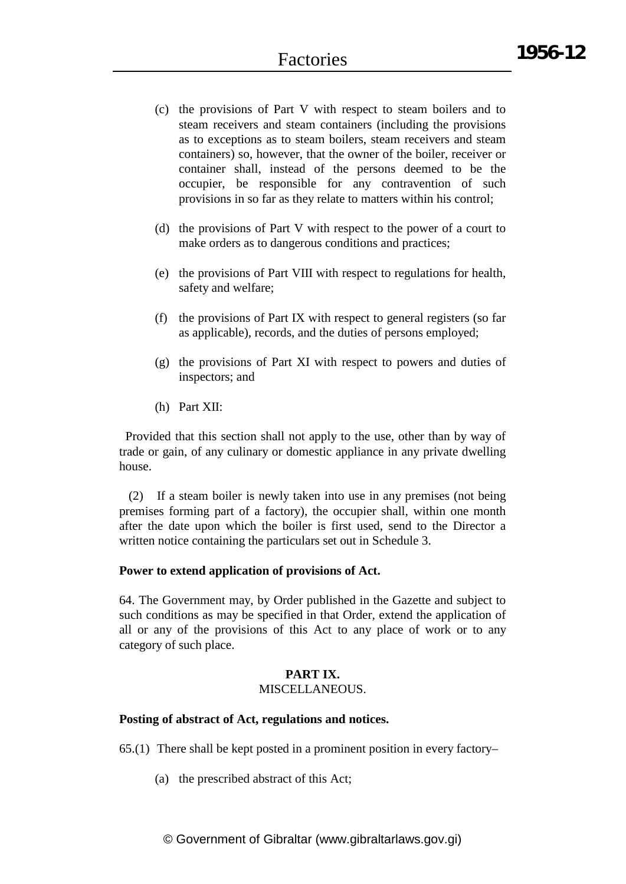- (c) the provisions of Part V with respect to steam boilers and to steam receivers and steam containers (including the provisions as to exceptions as to steam boilers, steam receivers and steam containers) so, however, that the owner of the boiler, receiver or container shall, instead of the persons deemed to be the occupier, be responsible for any contravention of such provisions in so far as they relate to matters within his control;
- (d) the provisions of Part V with respect to the power of a court to make orders as to dangerous conditions and practices;
- (e) the provisions of Part VIII with respect to regulations for health, safety and welfare;
- (f) the provisions of Part IX with respect to general registers (so far as applicable), records, and the duties of persons employed;
- (g) the provisions of Part XI with respect to powers and duties of inspectors; and
- (h) Part XII:

Provided that this section shall not apply to the use, other than by way of trade or gain, of any culinary or domestic appliance in any private dwelling house.

(2) If a steam boiler is newly taken into use in any premises (not being premises forming part of a factory), the occupier shall, within one month after the date upon which the boiler is first used, send to the Director a written notice containing the particulars set out in Schedule 3.

## **Power to extend application of provisions of Act.**

64. The Government may, by Order published in the Gazette and subject to such conditions as may be specified in that Order, extend the application of all or any of the provisions of this Act to any place of work or to any category of such place.

## **PART IX.** MISCELLANEOUS.

## **Posting of abstract of Act, regulations and notices.**

65.(1) There shall be kept posted in a prominent position in every factory–

(a) the prescribed abstract of this Act;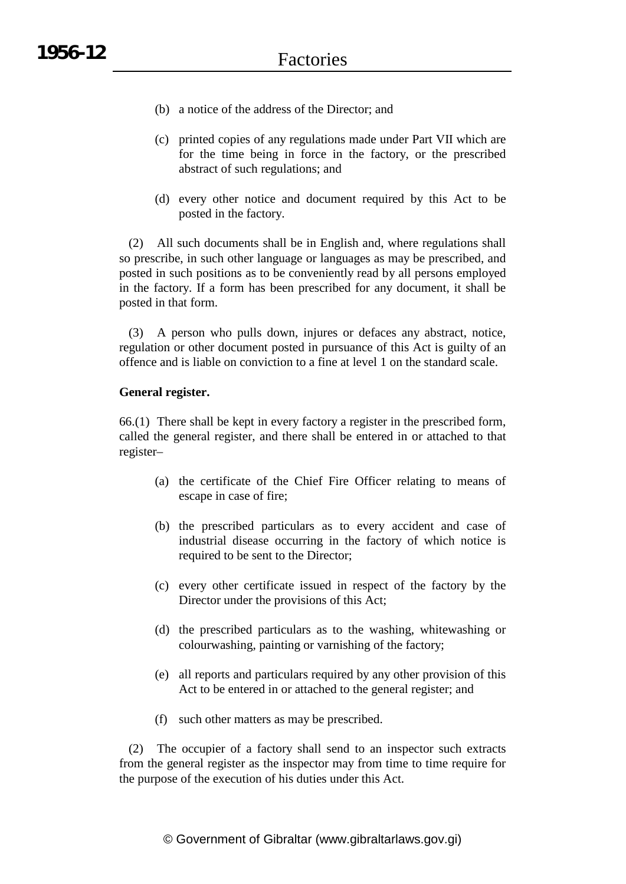- (b) a notice of the address of the Director; and
- (c) printed copies of any regulations made under Part VII which are for the time being in force in the factory, or the prescribed abstract of such regulations; and
- (d) every other notice and document required by this Act to be posted in the factory.

(2) All such documents shall be in English and, where regulations shall so prescribe, in such other language or languages as may be prescribed, and posted in such positions as to be conveniently read by all persons employed in the factory. If a form has been prescribed for any document, it shall be posted in that form.

(3) A person who pulls down, injures or defaces any abstract, notice, regulation or other document posted in pursuance of this Act is guilty of an offence and is liable on conviction to a fine at level 1 on the standard scale.

## **General register.**

66.(1) There shall be kept in every factory a register in the prescribed form, called the general register, and there shall be entered in or attached to that register–

- (a) the certificate of the Chief Fire Officer relating to means of escape in case of fire;
- (b) the prescribed particulars as to every accident and case of industrial disease occurring in the factory of which notice is required to be sent to the Director;
- (c) every other certificate issued in respect of the factory by the Director under the provisions of this Act;
- (d) the prescribed particulars as to the washing, whitewashing or colourwashing, painting or varnishing of the factory;
- (e) all reports and particulars required by any other provision of this Act to be entered in or attached to the general register; and
- (f) such other matters as may be prescribed.

(2) The occupier of a factory shall send to an inspector such extracts from the general register as the inspector may from time to time require for the purpose of the execution of his duties under this Act.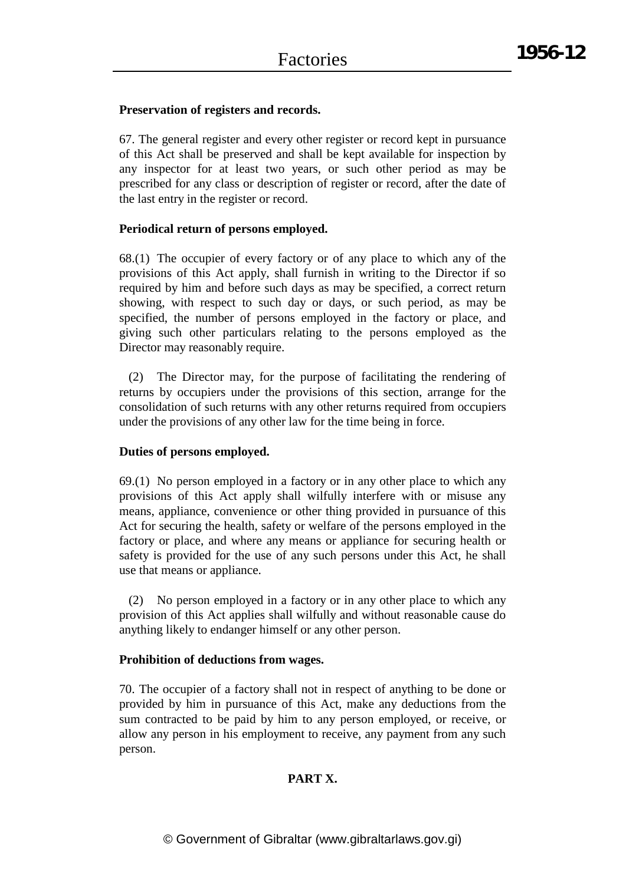## **Preservation of registers and records.**

67. The general register and every other register or record kept in pursuance of this Act shall be preserved and shall be kept available for inspection by any inspector for at least two years, or such other period as may be prescribed for any class or description of register or record, after the date of the last entry in the register or record.

## **Periodical return of persons employed.**

68.(1) The occupier of every factory or of any place to which any of the provisions of this Act apply, shall furnish in writing to the Director if so required by him and before such days as may be specified, a correct return showing, with respect to such day or days, or such period, as may be specified, the number of persons employed in the factory or place, and giving such other particulars relating to the persons employed as the Director may reasonably require.

(2) The Director may, for the purpose of facilitating the rendering of returns by occupiers under the provisions of this section, arrange for the consolidation of such returns with any other returns required from occupiers under the provisions of any other law for the time being in force.

## **Duties of persons employed.**

69.(1) No person employed in a factory or in any other place to which any provisions of this Act apply shall wilfully interfere with or misuse any means, appliance, convenience or other thing provided in pursuance of this Act for securing the health, safety or welfare of the persons employed in the factory or place, and where any means or appliance for securing health or safety is provided for the use of any such persons under this Act, he shall use that means or appliance.

(2) No person employed in a factory or in any other place to which any provision of this Act applies shall wilfully and without reasonable cause do anything likely to endanger himself or any other person.

## **Prohibition of deductions from wages.**

70. The occupier of a factory shall not in respect of anything to be done or provided by him in pursuance of this Act, make any deductions from the sum contracted to be paid by him to any person employed, or receive, or allow any person in his employment to receive, any payment from any such person.

## **PART X.**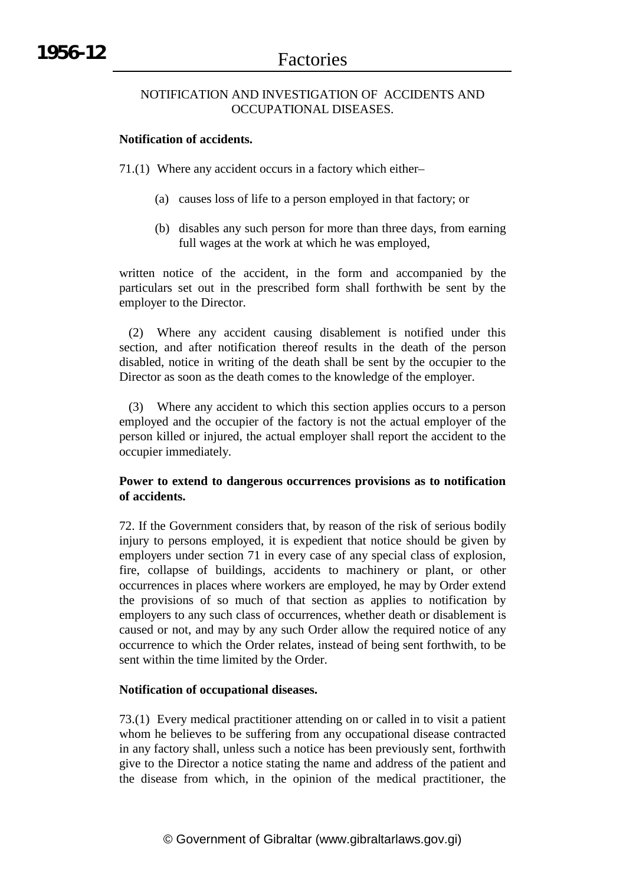## NOTIFICATION AND INVESTIGATION OF ACCIDENTS AND OCCUPATIONAL DISEASES.

## **Notification of accidents.**

71.(1) Where any accident occurs in a factory which either–

- (a) causes loss of life to a person employed in that factory; or
- (b) disables any such person for more than three days, from earning full wages at the work at which he was employed,

written notice of the accident, in the form and accompanied by the particulars set out in the prescribed form shall forthwith be sent by the employer to the Director.

(2) Where any accident causing disablement is notified under this section, and after notification thereof results in the death of the person disabled, notice in writing of the death shall be sent by the occupier to the Director as soon as the death comes to the knowledge of the employer.

(3) Where any accident to which this section applies occurs to a person employed and the occupier of the factory is not the actual employer of the person killed or injured, the actual employer shall report the accident to the occupier immediately.

## **Power to extend to dangerous occurrences provisions as to notification of accidents.**

72. If the Government considers that, by reason of the risk of serious bodily injury to persons employed, it is expedient that notice should be given by employers under section 71 in every case of any special class of explosion, fire, collapse of buildings, accidents to machinery or plant, or other occurrences in places where workers are employed, he may by Order extend the provisions of so much of that section as applies to notification by employers to any such class of occurrences, whether death or disablement is caused or not, and may by any such Order allow the required notice of any occurrence to which the Order relates, instead of being sent forthwith, to be sent within the time limited by the Order.

## **Notification of occupational diseases.**

73.(1) Every medical practitioner attending on or called in to visit a patient whom he believes to be suffering from any occupational disease contracted in any factory shall, unless such a notice has been previously sent, forthwith give to the Director a notice stating the name and address of the patient and the disease from which, in the opinion of the medical practitioner, the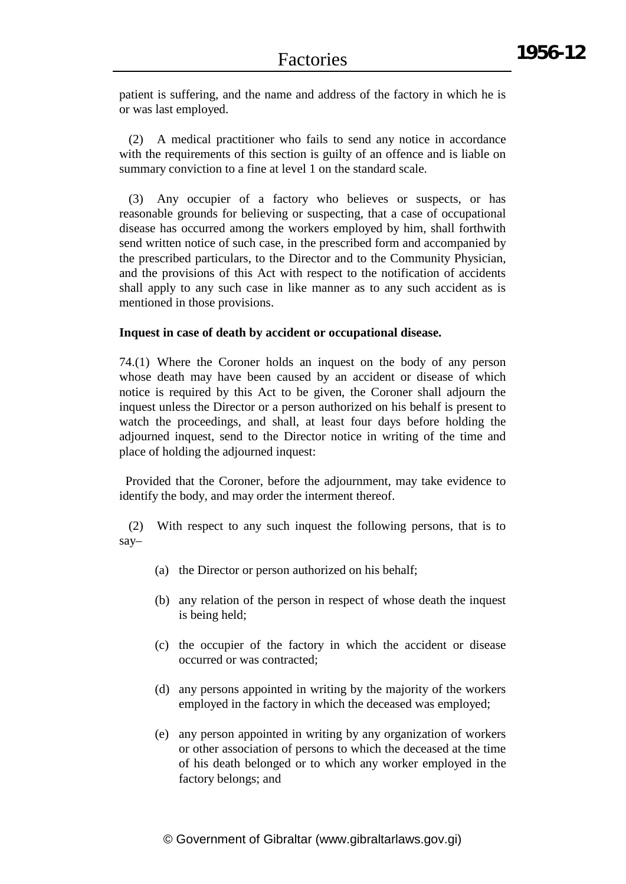patient is suffering, and the name and address of the factory in which he is or was last employed.

(2) A medical practitioner who fails to send any notice in accordance with the requirements of this section is guilty of an offence and is liable on summary conviction to a fine at level 1 on the standard scale.

(3) Any occupier of a factory who believes or suspects, or has reasonable grounds for believing or suspecting, that a case of occupational disease has occurred among the workers employed by him, shall forthwith send written notice of such case, in the prescribed form and accompanied by the prescribed particulars, to the Director and to the Community Physician, and the provisions of this Act with respect to the notification of accidents shall apply to any such case in like manner as to any such accident as is mentioned in those provisions.

#### **Inquest in case of death by accident or occupational disease.**

74.(1) Where the Coroner holds an inquest on the body of any person whose death may have been caused by an accident or disease of which notice is required by this Act to be given, the Coroner shall adjourn the inquest unless the Director or a person authorized on his behalf is present to watch the proceedings, and shall, at least four days before holding the adjourned inquest, send to the Director notice in writing of the time and place of holding the adjourned inquest:

Provided that the Coroner, before the adjournment, may take evidence to identify the body, and may order the interment thereof.

(2) With respect to any such inquest the following persons, that is to say–

- (a) the Director or person authorized on his behalf;
- (b) any relation of the person in respect of whose death the inquest is being held;
- (c) the occupier of the factory in which the accident or disease occurred or was contracted;
- (d) any persons appointed in writing by the majority of the workers employed in the factory in which the deceased was employed;
- (e) any person appointed in writing by any organization of workers or other association of persons to which the deceased at the time of his death belonged or to which any worker employed in the factory belongs; and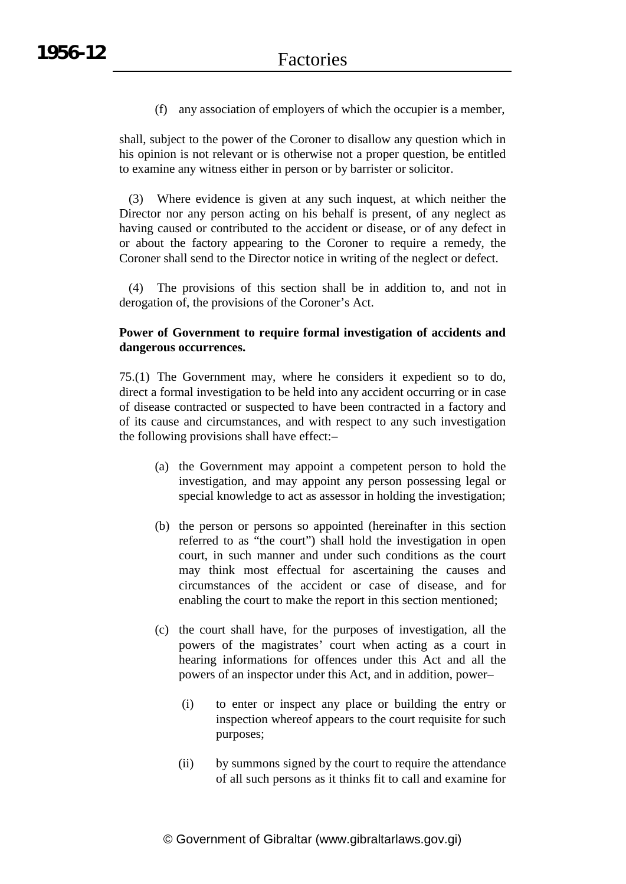(f) any association of employers of which the occupier is a member,

shall, subject to the power of the Coroner to disallow any question which in his opinion is not relevant or is otherwise not a proper question, be entitled to examine any witness either in person or by barrister or solicitor.

(3) Where evidence is given at any such inquest, at which neither the Director nor any person acting on his behalf is present, of any neglect as having caused or contributed to the accident or disease, or of any defect in or about the factory appearing to the Coroner to require a remedy, the Coroner shall send to the Director notice in writing of the neglect or defect.

(4) The provisions of this section shall be in addition to, and not in derogation of, the provisions of the Coroner's Act.

## **Power of Government to require formal investigation of accidents and dangerous occurrences.**

75.(1) The Government may, where he considers it expedient so to do, direct a formal investigation to be held into any accident occurring or in case of disease contracted or suspected to have been contracted in a factory and of its cause and circumstances, and with respect to any such investigation the following provisions shall have effect:–

- (a) the Government may appoint a competent person to hold the investigation, and may appoint any person possessing legal or special knowledge to act as assessor in holding the investigation;
- (b) the person or persons so appointed (hereinafter in this section referred to as "the court") shall hold the investigation in open court, in such manner and under such conditions as the court may think most effectual for ascertaining the causes and circumstances of the accident or case of disease, and for enabling the court to make the report in this section mentioned;
- (c) the court shall have, for the purposes of investigation, all the powers of the magistrates' court when acting as a court in hearing informations for offences under this Act and all the powers of an inspector under this Act, and in addition, power–
	- (i) to enter or inspect any place or building the entry or inspection whereof appears to the court requisite for such purposes;
	- (ii) by summons signed by the court to require the attendance of all such persons as it thinks fit to call and examine for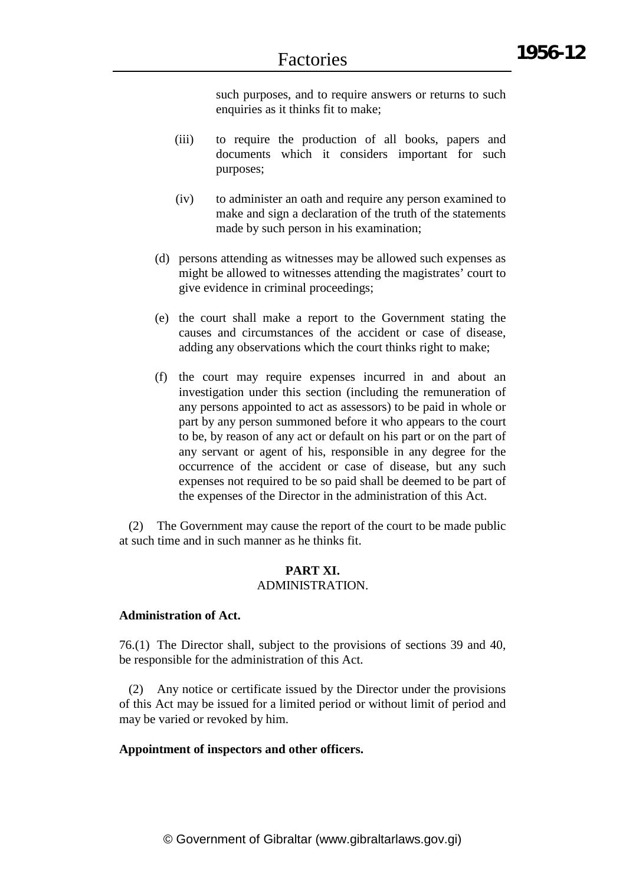such purposes, and to require answers or returns to such enquiries as it thinks fit to make;

- (iii) to require the production of all books, papers and documents which it considers important for such purposes;
- (iv) to administer an oath and require any person examined to make and sign a declaration of the truth of the statements made by such person in his examination;
- (d) persons attending as witnesses may be allowed such expenses as might be allowed to witnesses attending the magistrates' court to give evidence in criminal proceedings;
- (e) the court shall make a report to the Government stating the causes and circumstances of the accident or case of disease, adding any observations which the court thinks right to make;
- (f) the court may require expenses incurred in and about an investigation under this section (including the remuneration of any persons appointed to act as assessors) to be paid in whole or part by any person summoned before it who appears to the court to be, by reason of any act or default on his part or on the part of any servant or agent of his, responsible in any degree for the occurrence of the accident or case of disease, but any such expenses not required to be so paid shall be deemed to be part of the expenses of the Director in the administration of this Act.

(2) The Government may cause the report of the court to be made public at such time and in such manner as he thinks fit.

#### **PART XI.** ADMINISTRATION.

# **Administration of Act.**

76.(1) The Director shall, subject to the provisions of sections 39 and 40, be responsible for the administration of this Act.

(2) Any notice or certificate issued by the Director under the provisions of this Act may be issued for a limited period or without limit of period and may be varied or revoked by him.

#### **Appointment of inspectors and other officers.**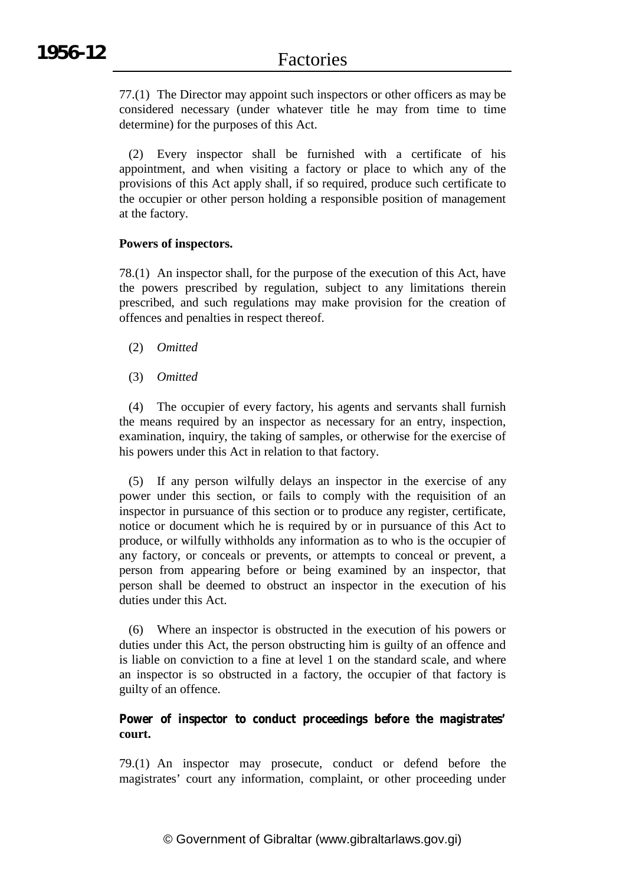77.(1) The Director may appoint such inspectors or other officers as may be considered necessary (under whatever title he may from time to time determine) for the purposes of this Act.

(2) Every inspector shall be furnished with a certificate of his appointment, and when visiting a factory or place to which any of the provisions of this Act apply shall, if so required, produce such certificate to the occupier or other person holding a responsible position of management at the factory.

## **Powers of inspectors.**

78.(1) An inspector shall, for the purpose of the execution of this Act, have the powers prescribed by regulation, subject to any limitations therein prescribed, and such regulations may make provision for the creation of offences and penalties in respect thereof.

- (2) *Omitted*
- (3) *Omitted*

(4) The occupier of every factory, his agents and servants shall furnish the means required by an inspector as necessary for an entry, inspection, examination, inquiry, the taking of samples, or otherwise for the exercise of his powers under this Act in relation to that factory.

(5) If any person wilfully delays an inspector in the exercise of any power under this section, or fails to comply with the requisition of an inspector in pursuance of this section or to produce any register, certificate, notice or document which he is required by or in pursuance of this Act to produce, or wilfully withholds any information as to who is the occupier of any factory, or conceals or prevents, or attempts to conceal or prevent, a person from appearing before or being examined by an inspector, that person shall be deemed to obstruct an inspector in the execution of his duties under this Act.

(6) Where an inspector is obstructed in the execution of his powers or duties under this Act, the person obstructing him is guilty of an offence and is liable on conviction to a fine at level 1 on the standard scale, and where an inspector is so obstructed in a factory, the occupier of that factory is guilty of an offence.

## **Power of inspector to conduct proceedings before the magistrates' court.**

79.(1) An inspector may prosecute, conduct or defend before the magistrates' court any information, complaint, or other proceeding under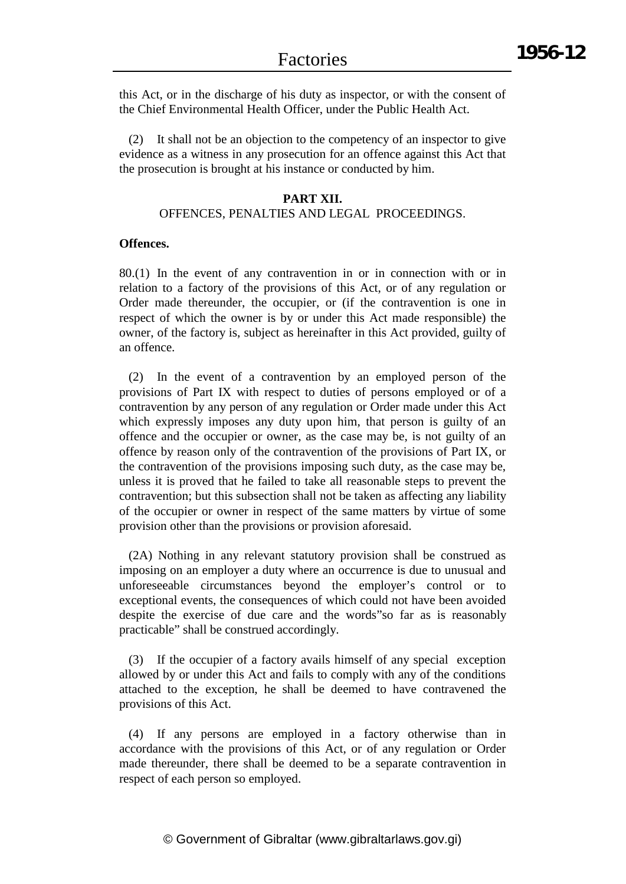this Act, or in the discharge of his duty as inspector, or with the consent of the Chief Environmental Health Officer, under the Public Health Act.

(2) It shall not be an objection to the competency of an inspector to give evidence as a witness in any prosecution for an offence against this Act that the prosecution is brought at his instance or conducted by him.

#### **PART XII.**

## OFFENCES, PENALTIES AND LEGAL PROCEEDINGS.

#### **Offences.**

80.(1) In the event of any contravention in or in connection with or in relation to a factory of the provisions of this Act, or of any regulation or Order made thereunder, the occupier, or (if the contravention is one in respect of which the owner is by or under this Act made responsible) the owner, of the factory is, subject as hereinafter in this Act provided, guilty of an offence.

(2) In the event of a contravention by an employed person of the provisions of Part IX with respect to duties of persons employed or of a contravention by any person of any regulation or Order made under this Act which expressly imposes any duty upon him, that person is guilty of an offence and the occupier or owner, as the case may be, is not guilty of an offence by reason only of the contravention of the provisions of Part IX, or the contravention of the provisions imposing such duty, as the case may be, unless it is proved that he failed to take all reasonable steps to prevent the contravention; but this subsection shall not be taken as affecting any liability of the occupier or owner in respect of the same matters by virtue of some provision other than the provisions or provision aforesaid.

(2A) Nothing in any relevant statutory provision shall be construed as imposing on an employer a duty where an occurrence is due to unusual and unforeseeable circumstances beyond the employer's control or to exceptional events, the consequences of which could not have been avoided despite the exercise of due care and the words"so far as is reasonably practicable" shall be construed accordingly.

(3) If the occupier of a factory avails himself of any special exception allowed by or under this Act and fails to comply with any of the conditions attached to the exception, he shall be deemed to have contravened the provisions of this Act.

(4) If any persons are employed in a factory otherwise than in accordance with the provisions of this Act, or of any regulation or Order made thereunder, there shall be deemed to be a separate contravention in respect of each person so employed.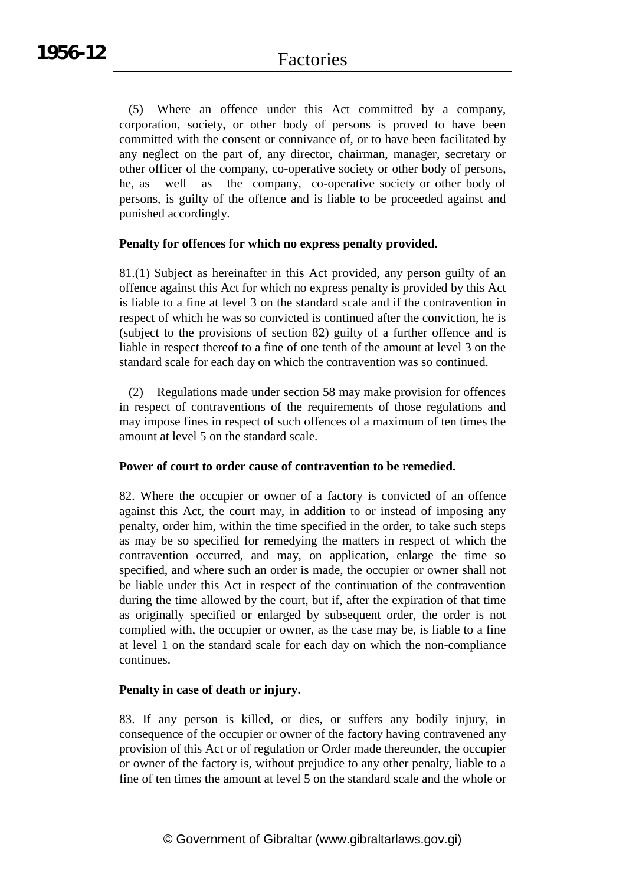(5) Where an offence under this Act committed by a company, corporation, society, or other body of persons is proved to have been committed with the consent or connivance of, or to have been facilitated by any neglect on the part of, any director, chairman, manager, secretary or other officer of the company, co-operative society or other body of persons, he, as well as the company, co-operative society or other body of persons, is guilty of the offence and is liable to be proceeded against and punished accordingly.

## **Penalty for offences for which no express penalty provided.**

81.(1) Subject as hereinafter in this Act provided, any person guilty of an offence against this Act for which no express penalty is provided by this Act is liable to a fine at level 3 on the standard scale and if the contravention in respect of which he was so convicted is continued after the conviction, he is (subject to the provisions of section 82) guilty of a further offence and is liable in respect thereof to a fine of one tenth of the amount at level 3 on the standard scale for each day on which the contravention was so continued.

(2) Regulations made under section 58 may make provision for offences in respect of contraventions of the requirements of those regulations and may impose fines in respect of such offences of a maximum of ten times the amount at level 5 on the standard scale.

## **Power of court to order cause of contravention to be remedied.**

82. Where the occupier or owner of a factory is convicted of an offence against this Act, the court may, in addition to or instead of imposing any penalty, order him, within the time specified in the order, to take such steps as may be so specified for remedying the matters in respect of which the contravention occurred, and may, on application, enlarge the time so specified, and where such an order is made, the occupier or owner shall not be liable under this Act in respect of the continuation of the contravention during the time allowed by the court, but if, after the expiration of that time as originally specified or enlarged by subsequent order, the order is not complied with, the occupier or owner, as the case may be, is liable to a fine at level 1 on the standard scale for each day on which the non-compliance continues.

## **Penalty in case of death or injury.**

83. If any person is killed, or dies, or suffers any bodily injury, in consequence of the occupier or owner of the factory having contravened any provision of this Act or of regulation or Order made thereunder, the occupier or owner of the factory is, without prejudice to any other penalty, liable to a fine of ten times the amount at level 5 on the standard scale and the whole or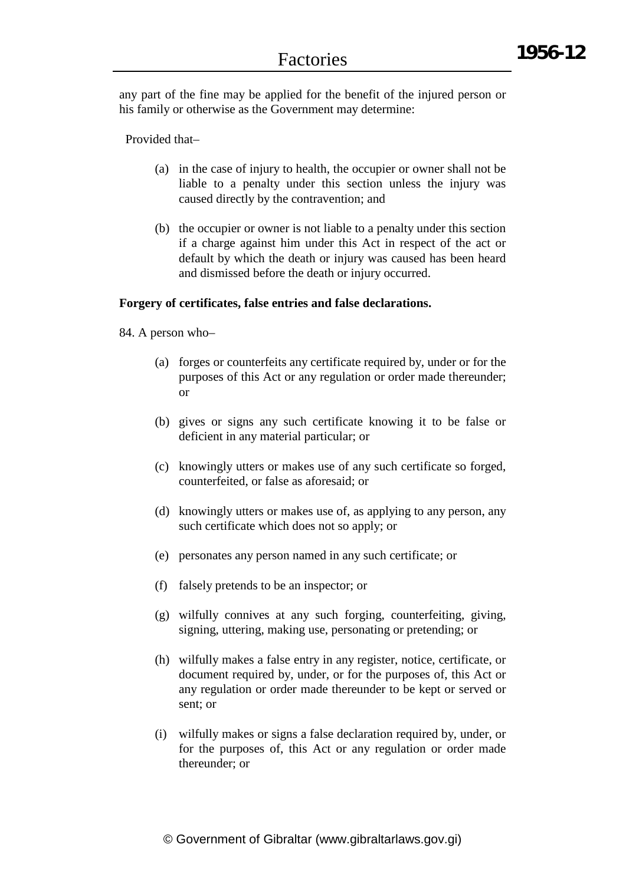any part of the fine may be applied for the benefit of the injured person or his family or otherwise as the Government may determine:

Provided that–

- (a) in the case of injury to health, the occupier or owner shall not be liable to a penalty under this section unless the injury was caused directly by the contravention; and
- (b) the occupier or owner is not liable to a penalty under this section if a charge against him under this Act in respect of the act or default by which the death or injury was caused has been heard and dismissed before the death or injury occurred.

## **Forgery of certificates, false entries and false declarations.**

84. A person who–

- (a) forges or counterfeits any certificate required by, under or for the purposes of this Act or any regulation or order made thereunder; or
- (b) gives or signs any such certificate knowing it to be false or deficient in any material particular; or
- (c) knowingly utters or makes use of any such certificate so forged, counterfeited, or false as aforesaid; or
- (d) knowingly utters or makes use of, as applying to any person, any such certificate which does not so apply; or
- (e) personates any person named in any such certificate; or
- (f) falsely pretends to be an inspector; or
- (g) wilfully connives at any such forging, counterfeiting, giving, signing, uttering, making use, personating or pretending; or
- (h) wilfully makes a false entry in any register, notice, certificate, or document required by, under, or for the purposes of, this Act or any regulation or order made thereunder to be kept or served or sent; or
- (i) wilfully makes or signs a false declaration required by, under, or for the purposes of, this Act or any regulation or order made thereunder; or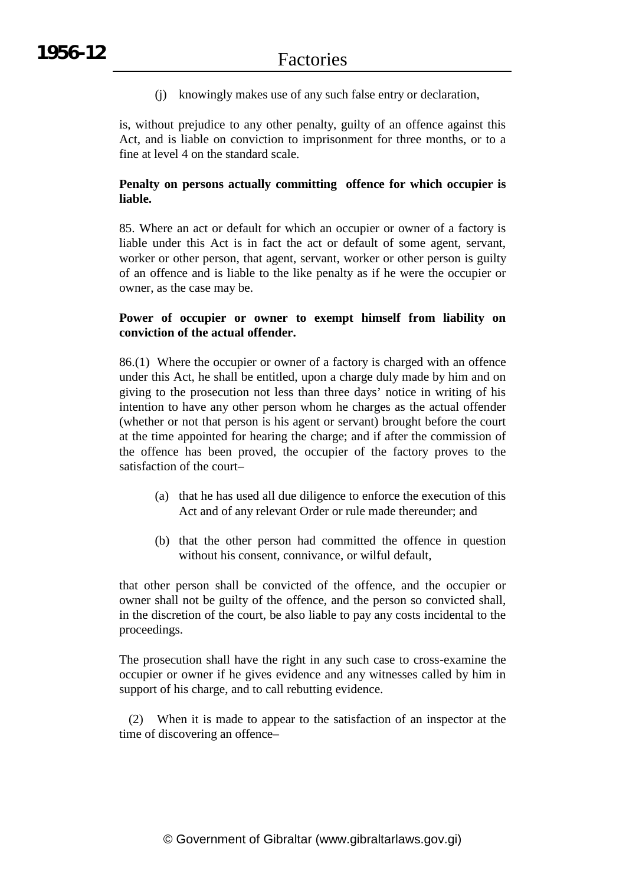(j) knowingly makes use of any such false entry or declaration,

is, without prejudice to any other penalty, guilty of an offence against this Act, and is liable on conviction to imprisonment for three months, or to a fine at level 4 on the standard scale.

## **Penalty on persons actually committing offence for which occupier is liable.**

85. Where an act or default for which an occupier or owner of a factory is liable under this Act is in fact the act or default of some agent, servant, worker or other person, that agent, servant, worker or other person is guilty of an offence and is liable to the like penalty as if he were the occupier or owner, as the case may be.

## **Power of occupier or owner to exempt himself from liability on conviction of the actual offender.**

86.(1) Where the occupier or owner of a factory is charged with an offence under this Act, he shall be entitled, upon a charge duly made by him and on giving to the prosecution not less than three days' notice in writing of his intention to have any other person whom he charges as the actual offender (whether or not that person is his agent or servant) brought before the court at the time appointed for hearing the charge; and if after the commission of the offence has been proved, the occupier of the factory proves to the satisfaction of the court–

- (a) that he has used all due diligence to enforce the execution of this Act and of any relevant Order or rule made thereunder; and
- (b) that the other person had committed the offence in question without his consent, connivance, or wilful default,

that other person shall be convicted of the offence, and the occupier or owner shall not be guilty of the offence, and the person so convicted shall, in the discretion of the court, be also liable to pay any costs incidental to the proceedings.

The prosecution shall have the right in any such case to cross-examine the occupier or owner if he gives evidence and any witnesses called by him in support of his charge, and to call rebutting evidence.

(2) When it is made to appear to the satisfaction of an inspector at the time of discovering an offence–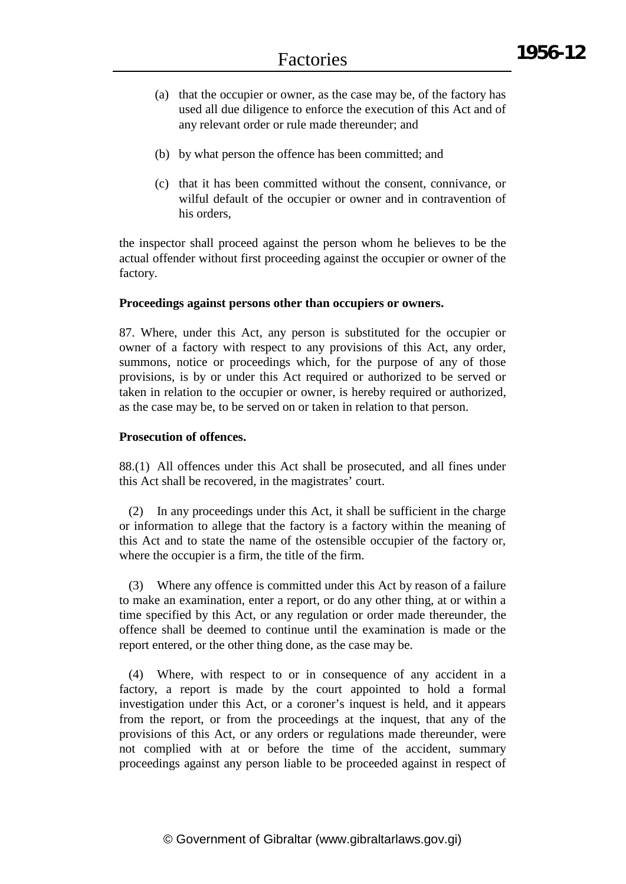- (a) that the occupier or owner, as the case may be, of the factory has used all due diligence to enforce the execution of this Act and of any relevant order or rule made thereunder; and
- (b) by what person the offence has been committed; and
- (c) that it has been committed without the consent, connivance, or wilful default of the occupier or owner and in contravention of his orders,

the inspector shall proceed against the person whom he believes to be the actual offender without first proceeding against the occupier or owner of the factory.

## **Proceedings against persons other than occupiers or owners.**

87. Where, under this Act, any person is substituted for the occupier or owner of a factory with respect to any provisions of this Act, any order, summons, notice or proceedings which, for the purpose of any of those provisions, is by or under this Act required or authorized to be served or taken in relation to the occupier or owner, is hereby required or authorized, as the case may be, to be served on or taken in relation to that person.

## **Prosecution of offences.**

88.(1) All offences under this Act shall be prosecuted, and all fines under this Act shall be recovered, in the magistrates' court.

(2) In any proceedings under this Act, it shall be sufficient in the charge or information to allege that the factory is a factory within the meaning of this Act and to state the name of the ostensible occupier of the factory or, where the occupier is a firm, the title of the firm.

(3) Where any offence is committed under this Act by reason of a failure to make an examination, enter a report, or do any other thing, at or within a time specified by this Act, or any regulation or order made thereunder, the offence shall be deemed to continue until the examination is made or the report entered, or the other thing done, as the case may be.

(4) Where, with respect to or in consequence of any accident in a factory, a report is made by the court appointed to hold a formal investigation under this Act, or a coroner's inquest is held, and it appears from the report, or from the proceedings at the inquest, that any of the provisions of this Act, or any orders or regulations made thereunder, were not complied with at or before the time of the accident, summary proceedings against any person liable to be proceeded against in respect of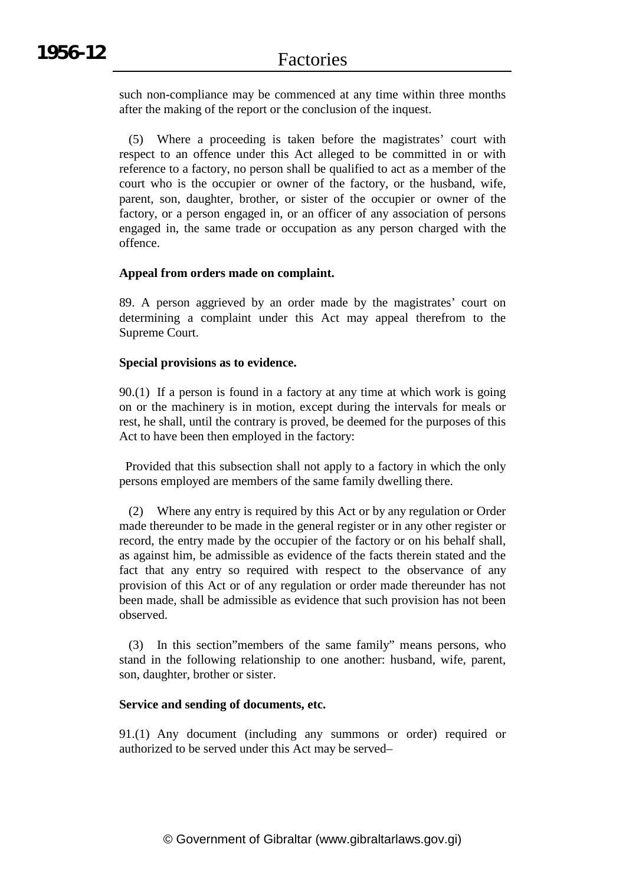such non-compliance may be commenced at any time within three months after the making of the report or the conclusion of the inquest.

(5) Where a proceeding is taken before the magistrates' court with respect to an offence under this Act alleged to be committed in or with reference to a factory, no person shall be qualified to act as a member of the court who is the occupier or owner of the factory, or the husband, wife, parent, son, daughter, brother, or sister of the occupier or owner of the factory, or a person engaged in, or an officer of any association of persons engaged in, the same trade or occupation as any person charged with the offence.

## **Appeal from orders made on complaint.**

89. A person aggrieved by an order made by the magistrates' court on determining a complaint under this Act may appeal therefrom to the Supreme Court.

## **Special provisions as to evidence.**

90.(1) If a person is found in a factory at any time at which work is going on or the machinery is in motion, except during the intervals for meals or rest, he shall, until the contrary is proved, be deemed for the purposes of this Act to have been then employed in the factory:

Provided that this subsection shall not apply to a factory in which the only persons employed are members of the same family dwelling there.

(2) Where any entry is required by this Act or by any regulation or Order made thereunder to be made in the general register or in any other register or record, the entry made by the occupier of the factory or on his behalf shall, as against him, be admissible as evidence of the facts therein stated and the fact that any entry so required with respect to the observance of any provision of this Act or of any regulation or order made thereunder has not been made, shall be admissible as evidence that such provision has not been observed.

(3) In this section"members of the same family" means persons, who stand in the following relationship to one another: husband, wife, parent, son, daughter, brother or sister.

## **Service and sending of documents, etc.**

91.(1) Any document (including any summons or order) required or authorized to be served under this Act may be served–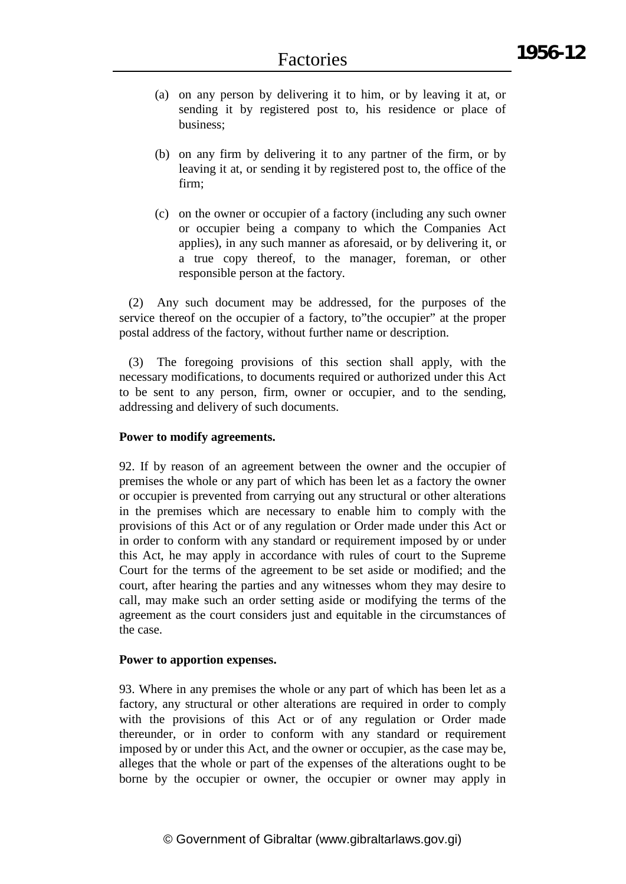- (a) on any person by delivering it to him, or by leaving it at, or sending it by registered post to, his residence or place of business;
- (b) on any firm by delivering it to any partner of the firm, or by leaving it at, or sending it by registered post to, the office of the firm;
- (c) on the owner or occupier of a factory (including any such owner or occupier being a company to which the Companies Act applies), in any such manner as aforesaid, or by delivering it, or a true copy thereof, to the manager, foreman, or other responsible person at the factory.

(2) Any such document may be addressed, for the purposes of the service thereof on the occupier of a factory, to"the occupier" at the proper postal address of the factory, without further name or description.

(3) The foregoing provisions of this section shall apply, with the necessary modifications, to documents required or authorized under this Act to be sent to any person, firm, owner or occupier, and to the sending, addressing and delivery of such documents.

## **Power to modify agreements.**

92. If by reason of an agreement between the owner and the occupier of premises the whole or any part of which has been let as a factory the owner or occupier is prevented from carrying out any structural or other alterations in the premises which are necessary to enable him to comply with the provisions of this Act or of any regulation or Order made under this Act or in order to conform with any standard or requirement imposed by or under this Act, he may apply in accordance with rules of court to the Supreme Court for the terms of the agreement to be set aside or modified; and the court, after hearing the parties and any witnesses whom they may desire to call, may make such an order setting aside or modifying the terms of the agreement as the court considers just and equitable in the circumstances of the case.

## **Power to apportion expenses.**

93. Where in any premises the whole or any part of which has been let as a factory, any structural or other alterations are required in order to comply with the provisions of this Act or of any regulation or Order made thereunder, or in order to conform with any standard or requirement imposed by or under this Act, and the owner or occupier, as the case may be, alleges that the whole or part of the expenses of the alterations ought to be borne by the occupier or owner, the occupier or owner may apply in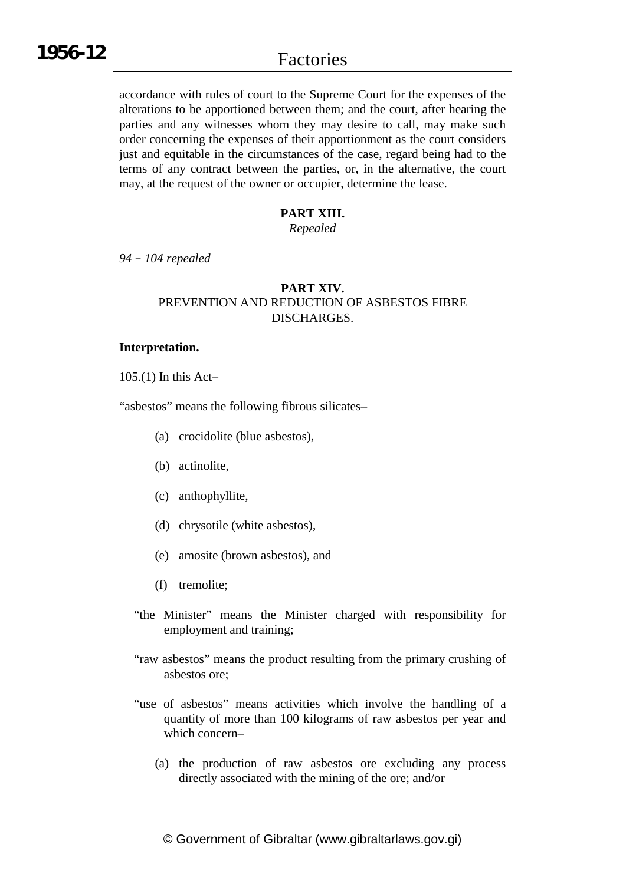accordance with rules of court to the Supreme Court for the expenses of the alterations to be apportioned between them; and the court, after hearing the parties and any witnesses whom they may desire to call, may make such order concerning the expenses of their apportionment as the court considers just and equitable in the circumstances of the case, regard being had to the terms of any contract between the parties, or, in the alternative, the court may, at the request of the owner or occupier, determine the lease.

## **PART XIII.**

*Repealed*

*94 – 104 repealed*

## **PART XIV.** PREVENTION AND REDUCTION OF ASBESTOS FIBRE DISCHARGES.

#### **Interpretation.**

105.(1) In this Act–

"asbestos" means the following fibrous silicates–

- (a) crocidolite (blue asbestos),
- (b) actinolite,
- (c) anthophyllite,
- (d) chrysotile (white asbestos),
- (e) amosite (brown asbestos), and
- (f) tremolite;
- "the Minister" means the Minister charged with responsibility for employment and training;
- "raw asbestos" means the product resulting from the primary crushing of asbestos ore;
- "use of asbestos" means activities which involve the handling of a quantity of more than 100 kilograms of raw asbestos per year and which concern–
	- (a) the production of raw asbestos ore excluding any process directly associated with the mining of the ore; and/or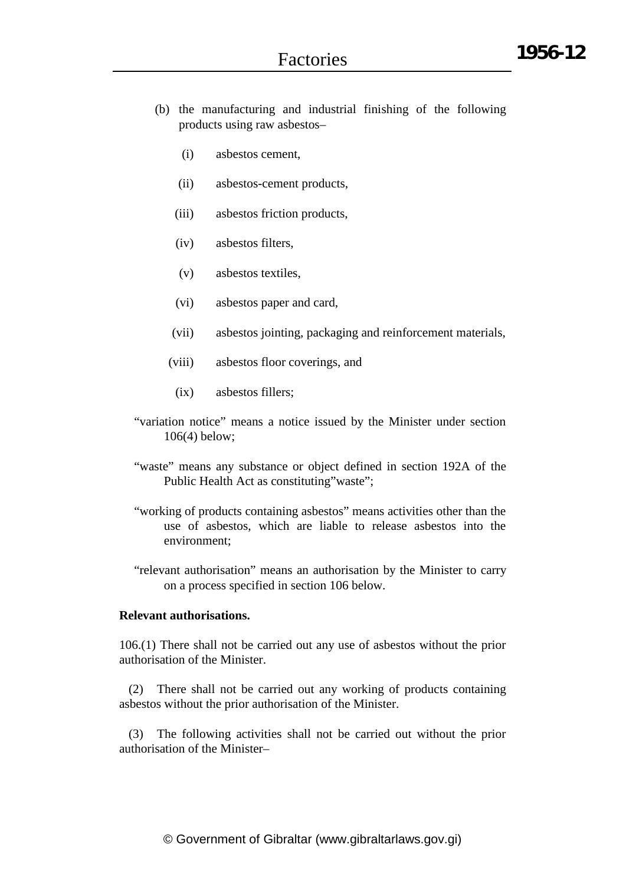- (b) the manufacturing and industrial finishing of the following products using raw asbestos–
	- (i) asbestos cement,
	- (ii) asbestos-cement products,
	- (iii) asbestos friction products,
	- (iv) asbestos filters,
	- (v) asbestos textiles,
	- (vi) asbestos paper and card,
	- (vii) asbestos jointing, packaging and reinforcement materials,
	- (viii) asbestos floor coverings, and
	- (ix) asbestos fillers;
- "variation notice" means a notice issued by the Minister under section 106(4) below;
- "waste" means any substance or object defined in section 192A of the Public Health Act as constituting"waste";
- "working of products containing asbestos" means activities other than the use of asbestos, which are liable to release asbestos into the environment;
- "relevant authorisation" means an authorisation by the Minister to carry on a process specified in section 106 below.

## **Relevant authorisations.**

106.(1) There shall not be carried out any use of asbestos without the prior authorisation of the Minister.

(2) There shall not be carried out any working of products containing asbestos without the prior authorisation of the Minister.

(3) The following activities shall not be carried out without the prior authorisation of the Minister–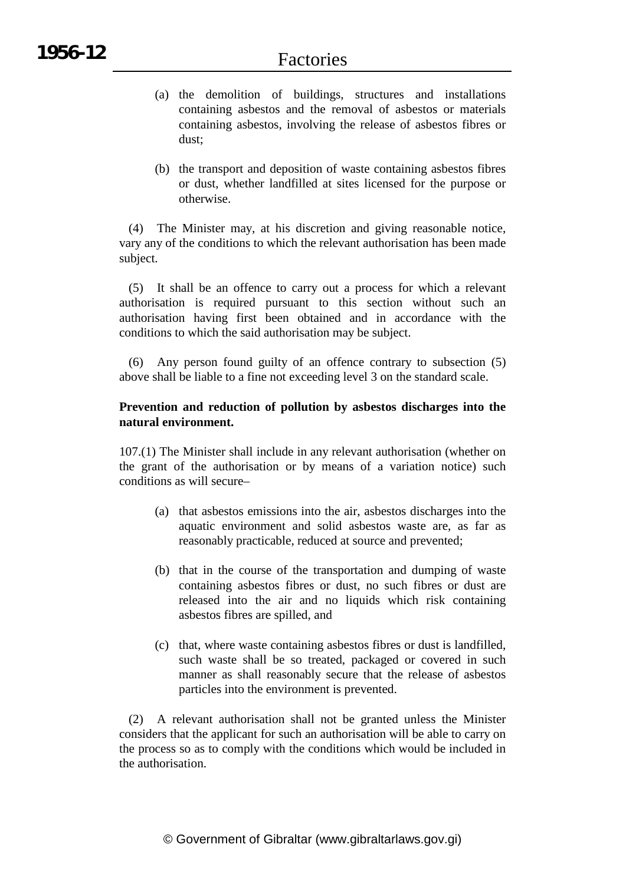- (a) the demolition of buildings, structures and installations containing asbestos and the removal of asbestos or materials containing asbestos, involving the release of asbestos fibres or dust;
- (b) the transport and deposition of waste containing asbestos fibres or dust, whether landfilled at sites licensed for the purpose or otherwise.

(4) The Minister may, at his discretion and giving reasonable notice, vary any of the conditions to which the relevant authorisation has been made subject.

(5) It shall be an offence to carry out a process for which a relevant authorisation is required pursuant to this section without such an authorisation having first been obtained and in accordance with the conditions to which the said authorisation may be subject.

(6) Any person found guilty of an offence contrary to subsection (5) above shall be liable to a fine not exceeding level 3 on the standard scale.

## **Prevention and reduction of pollution by asbestos discharges into the natural environment.**

107.(1) The Minister shall include in any relevant authorisation (whether on the grant of the authorisation or by means of a variation notice) such conditions as will secure–

- (a) that asbestos emissions into the air, asbestos discharges into the aquatic environment and solid asbestos waste are, as far as reasonably practicable, reduced at source and prevented;
- (b) that in the course of the transportation and dumping of waste containing asbestos fibres or dust, no such fibres or dust are released into the air and no liquids which risk containing asbestos fibres are spilled, and
- (c) that, where waste containing asbestos fibres or dust is landfilled, such waste shall be so treated, packaged or covered in such manner as shall reasonably secure that the release of asbestos particles into the environment is prevented.

(2) A relevant authorisation shall not be granted unless the Minister considers that the applicant for such an authorisation will be able to carry on the process so as to comply with the conditions which would be included in the authorisation.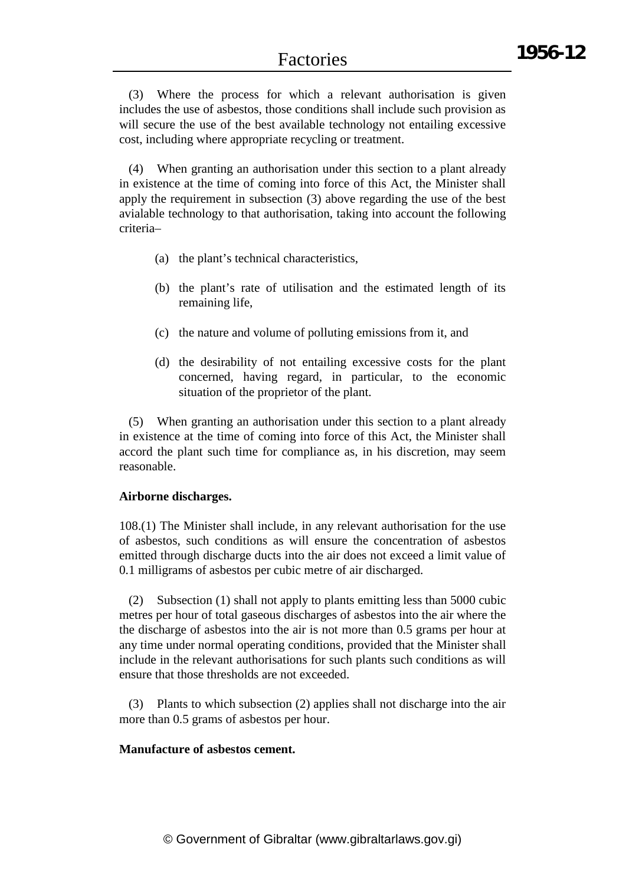(3) Where the process for which a relevant authorisation is given includes the use of asbestos, those conditions shall include such provision as will secure the use of the best available technology not entailing excessive cost, including where appropriate recycling or treatment.

(4) When granting an authorisation under this section to a plant already in existence at the time of coming into force of this Act, the Minister shall apply the requirement in subsection (3) above regarding the use of the best avialable technology to that authorisation, taking into account the following criteria–

- (a) the plant's technical characteristics,
- (b) the plant's rate of utilisation and the estimated length of its remaining life,
- (c) the nature and volume of polluting emissions from it, and
- (d) the desirability of not entailing excessive costs for the plant concerned, having regard, in particular, to the economic situation of the proprietor of the plant.

(5) When granting an authorisation under this section to a plant already in existence at the time of coming into force of this Act, the Minister shall accord the plant such time for compliance as, in his discretion, may seem reasonable.

## **Airborne discharges.**

108.(1) The Minister shall include, in any relevant authorisation for the use of asbestos, such conditions as will ensure the concentration of asbestos emitted through discharge ducts into the air does not exceed a limit value of 0.1 milligrams of asbestos per cubic metre of air discharged.

(2) Subsection (1) shall not apply to plants emitting less than 5000 cubic metres per hour of total gaseous discharges of asbestos into the air where the the discharge of asbestos into the air is not more than 0.5 grams per hour at any time under normal operating conditions, provided that the Minister shall include in the relevant authorisations for such plants such conditions as will ensure that those thresholds are not exceeded.

(3) Plants to which subsection (2) applies shall not discharge into the air more than 0.5 grams of asbestos per hour.

#### **Manufacture of asbestos cement.**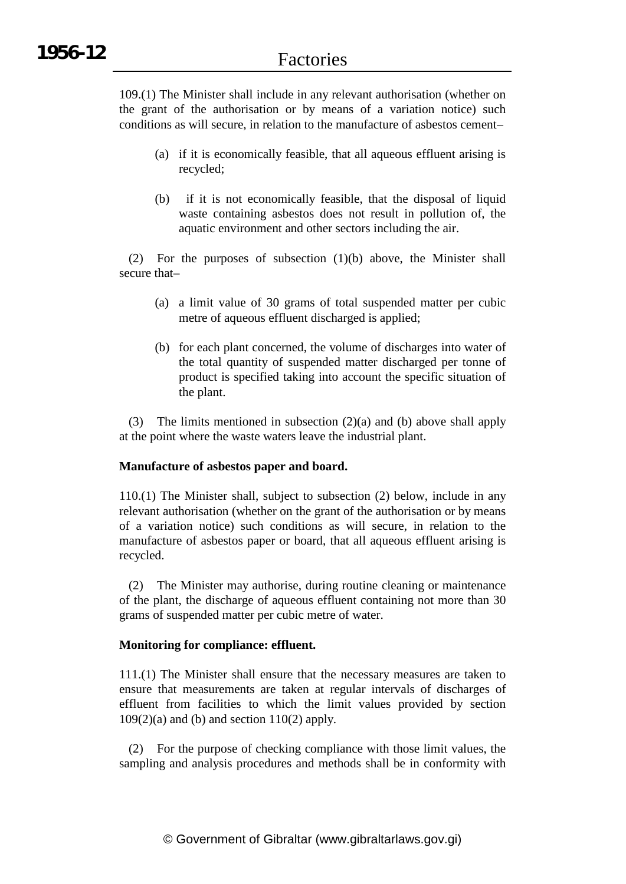109.(1) The Minister shall include in any relevant authorisation (whether on the grant of the authorisation or by means of a variation notice) such conditions as will secure, in relation to the manufacture of asbestos cement–

- (a) if it is economically feasible, that all aqueous effluent arising is recycled;
- (b) if it is not economically feasible, that the disposal of liquid waste containing asbestos does not result in pollution of, the aquatic environment and other sectors including the air.

(2) For the purposes of subsection (1)(b) above, the Minister shall secure that–

- (a) a limit value of 30 grams of total suspended matter per cubic metre of aqueous effluent discharged is applied;
- (b) for each plant concerned, the volume of discharges into water of the total quantity of suspended matter discharged per tonne of product is specified taking into account the specific situation of the plant.

(3) The limits mentioned in subsection (2)(a) and (b) above shall apply at the point where the waste waters leave the industrial plant.

## **Manufacture of asbestos paper and board.**

110.(1) The Minister shall, subject to subsection (2) below, include in any relevant authorisation (whether on the grant of the authorisation or by means of a variation notice) such conditions as will secure, in relation to the manufacture of asbestos paper or board, that all aqueous effluent arising is recycled.

(2) The Minister may authorise, during routine cleaning or maintenance of the plant, the discharge of aqueous effluent containing not more than 30 grams of suspended matter per cubic metre of water.

## **Monitoring for compliance: effluent.**

111.(1) The Minister shall ensure that the necessary measures are taken to ensure that measurements are taken at regular intervals of discharges of effluent from facilities to which the limit values provided by section  $109(2)(a)$  and (b) and section  $110(2)$  apply.

(2) For the purpose of checking compliance with those limit values, the sampling and analysis procedures and methods shall be in conformity with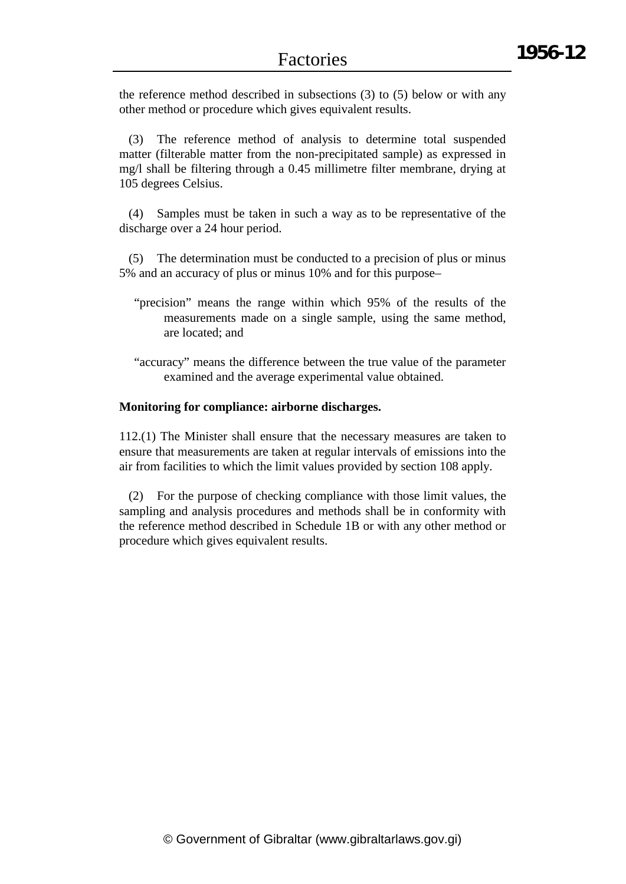the reference method described in subsections (3) to (5) below or with any other method or procedure which gives equivalent results.

(3) The reference method of analysis to determine total suspended matter (filterable matter from the non-precipitated sample) as expressed in mg/l shall be filtering through a 0.45 millimetre filter membrane, drying at 105 degrees Celsius.

(4) Samples must be taken in such a way as to be representative of the discharge over a 24 hour period.

(5) The determination must be conducted to a precision of plus or minus 5% and an accuracy of plus or minus 10% and for this purpose–

- "precision" means the range within which 95% of the results of the measurements made on a single sample, using the same method, are located; and
- "accuracy" means the difference between the true value of the parameter examined and the average experimental value obtained.

#### **Monitoring for compliance: airborne discharges.**

112.(1) The Minister shall ensure that the necessary measures are taken to ensure that measurements are taken at regular intervals of emissions into the air from facilities to which the limit values provided by section 108 apply.

(2) For the purpose of checking compliance with those limit values, the sampling and analysis procedures and methods shall be in conformity with the reference method described in Schedule 1B or with any other method or procedure which gives equivalent results.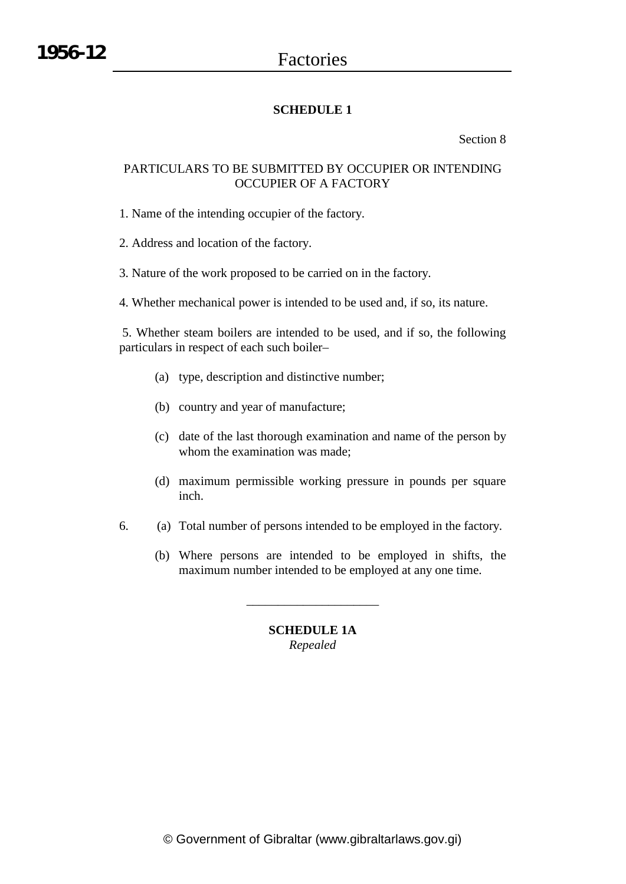## **SCHEDULE 1**

Section 8

## PARTICULARS TO BE SUBMITTED BY OCCUPIER OR INTENDING OCCUPIER OF A FACTORY

1. Name of the intending occupier of the factory.

2. Address and location of the factory.

3. Nature of the work proposed to be carried on in the factory.

4. Whether mechanical power is intended to be used and, if so, its nature.

5. Whether steam boilers are intended to be used, and if so, the following particulars in respect of each such boiler–

- (a) type, description and distinctive number;
- (b) country and year of manufacture;
- (c) date of the last thorough examination and name of the person by whom the examination was made;
- (d) maximum permissible working pressure in pounds per square inch.
- 6. (a) Total number of persons intended to be employed in the factory.
	- (b) Where persons are intended to be employed in shifts, the maximum number intended to be employed at any one time.

\_\_\_\_\_\_\_\_\_\_\_\_\_\_\_\_\_\_\_\_\_

## **SCHEDULE 1A** *Repealed*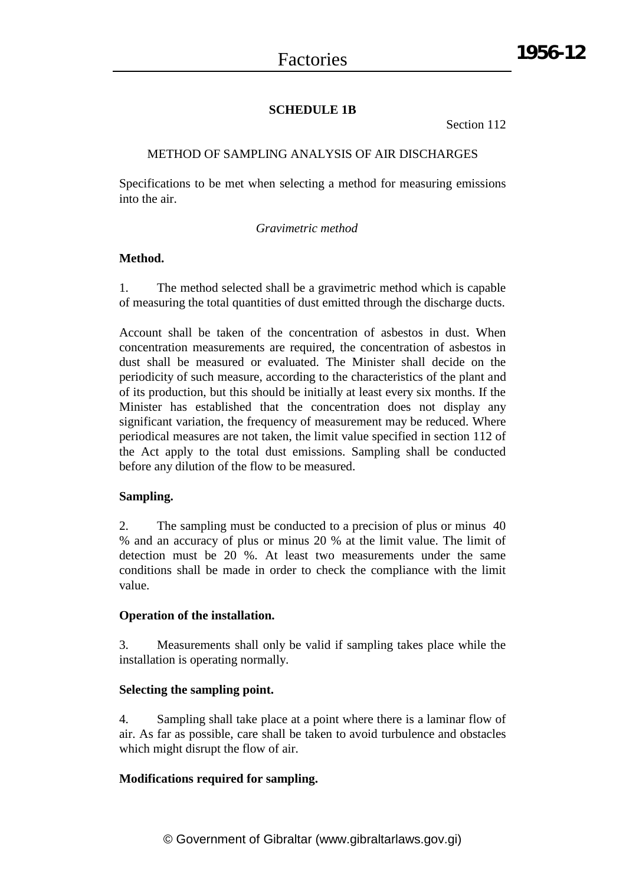## **SCHEDULE 1B**

Section 112

## METHOD OF SAMPLING ANALYSIS OF AIR DISCHARGES

Specifications to be met when selecting a method for measuring emissions into the air.

## *Gravimetric method*

## **Method.**

1. The method selected shall be a gravimetric method which is capable of measuring the total quantities of dust emitted through the discharge ducts.

Account shall be taken of the concentration of asbestos in dust. When concentration measurements are required, the concentration of asbestos in dust shall be measured or evaluated. The Minister shall decide on the periodicity of such measure, according to the characteristics of the plant and of its production, but this should be initially at least every six months. If the Minister has established that the concentration does not display any significant variation, the frequency of measurement may be reduced. Where periodical measures are not taken, the limit value specified in section 112 of the Act apply to the total dust emissions. Sampling shall be conducted before any dilution of the flow to be measured.

## **Sampling.**

2. The sampling must be conducted to a precision of plus or minus 40 % and an accuracy of plus or minus 20 % at the limit value. The limit of detection must be 20 %. At least two measurements under the same conditions shall be made in order to check the compliance with the limit value.

## **Operation of the installation.**

3. Measurements shall only be valid if sampling takes place while the installation is operating normally.

## **Selecting the sampling point.**

4. Sampling shall take place at a point where there is a laminar flow of air. As far as possible, care shall be taken to avoid turbulence and obstacles which might disrupt the flow of air.

## **Modifications required for sampling.**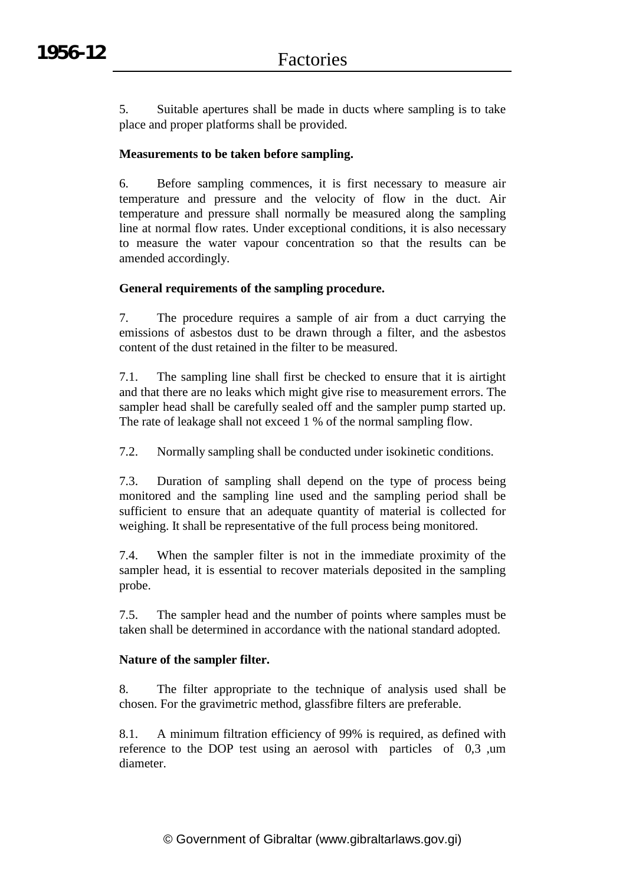5. Suitable apertures shall be made in ducts where sampling is to take place and proper platforms shall be provided.

## **Measurements to be taken before sampling.**

6. Before sampling commences, it is first necessary to measure air temperature and pressure and the velocity of flow in the duct. Air temperature and pressure shall normally be measured along the sampling line at normal flow rates. Under exceptional conditions, it is also necessary to measure the water vapour concentration so that the results can be amended accordingly.

## **General requirements of the sampling procedure.**

7. The procedure requires a sample of air from a duct carrying the emissions of asbestos dust to be drawn through a filter, and the asbestos content of the dust retained in the filter to be measured.

7.1. The sampling line shall first be checked to ensure that it is airtight and that there are no leaks which might give rise to measurement errors. The sampler head shall be carefully sealed off and the sampler pump started up. The rate of leakage shall not exceed 1 % of the normal sampling flow.

7.2. Normally sampling shall be conducted under isokinetic conditions.

7.3. Duration of sampling shall depend on the type of process being monitored and the sampling line used and the sampling period shall be sufficient to ensure that an adequate quantity of material is collected for weighing. It shall be representative of the full process being monitored.

7.4. When the sampler filter is not in the immediate proximity of the sampler head, it is essential to recover materials deposited in the sampling probe.

7.5. The sampler head and the number of points where samples must be taken shall be determined in accordance with the national standard adopted.

## **Nature of the sampler filter.**

8. The filter appropriate to the technique of analysis used shall be chosen. For the gravimetric method, glassfibre filters are preferable.

8.1. A minimum filtration efficiency of 99% is required, as defined with reference to the DOP test using an aerosol with particles of 0,3 ,um diameter.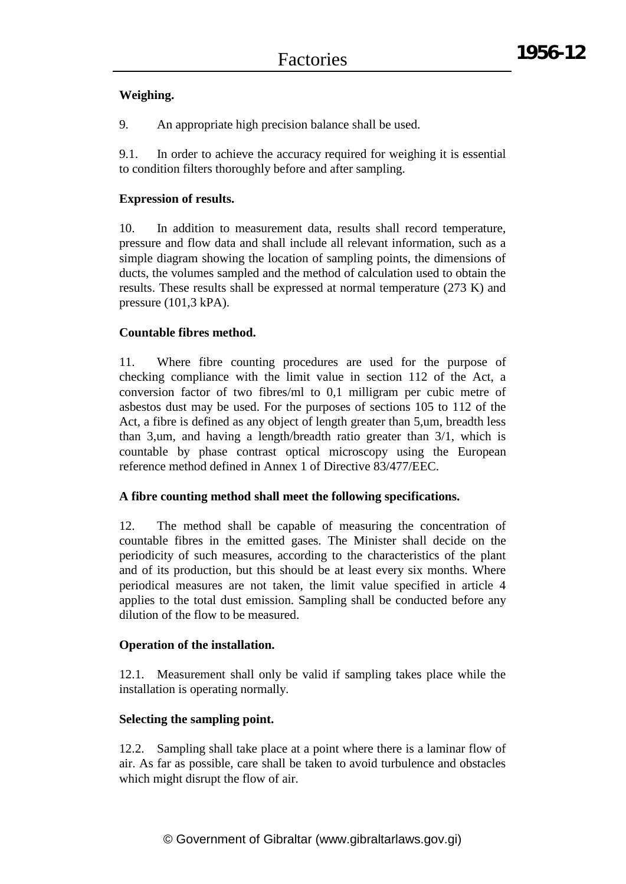## **Weighing.**

9. An appropriate high precision balance shall be used.

9.1. In order to achieve the accuracy required for weighing it is essential to condition filters thoroughly before and after sampling.

## **Expression of results.**

10. In addition to measurement data, results shall record temperature, pressure and flow data and shall include all relevant information, such as a simple diagram showing the location of sampling points, the dimensions of ducts, the volumes sampled and the method of calculation used to obtain the results. These results shall be expressed at normal temperature (273 K) and pressure (101,3 kPA).

## **Countable fibres method.**

11. Where fibre counting procedures are used for the purpose of checking compliance with the limit value in section 112 of the Act, a conversion factor of two fibres/ml to 0,1 milligram per cubic metre of asbestos dust may be used. For the purposes of sections 105 to 112 of the Act, a fibre is defined as any object of length greater than 5,um, breadth less than 3,um, and having a length/breadth ratio greater than 3/1, which is countable by phase contrast optical microscopy using the European reference method defined in Annex 1 of Directive 83/477/EEC.

## **A fibre counting method shall meet the following specifications.**

12. The method shall be capable of measuring the concentration of countable fibres in the emitted gases. The Minister shall decide on the periodicity of such measures, according to the characteristics of the plant and of its production, but this should be at least every six months. Where periodical measures are not taken, the limit value specified in article 4 applies to the total dust emission. Sampling shall be conducted before any dilution of the flow to be measured.

## **Operation of the installation.**

12.1. Measurement shall only be valid if sampling takes place while the installation is operating normally.

## **Selecting the sampling point.**

12.2. Sampling shall take place at a point where there is a laminar flow of air. As far as possible, care shall be taken to avoid turbulence and obstacles which might disrupt the flow of air.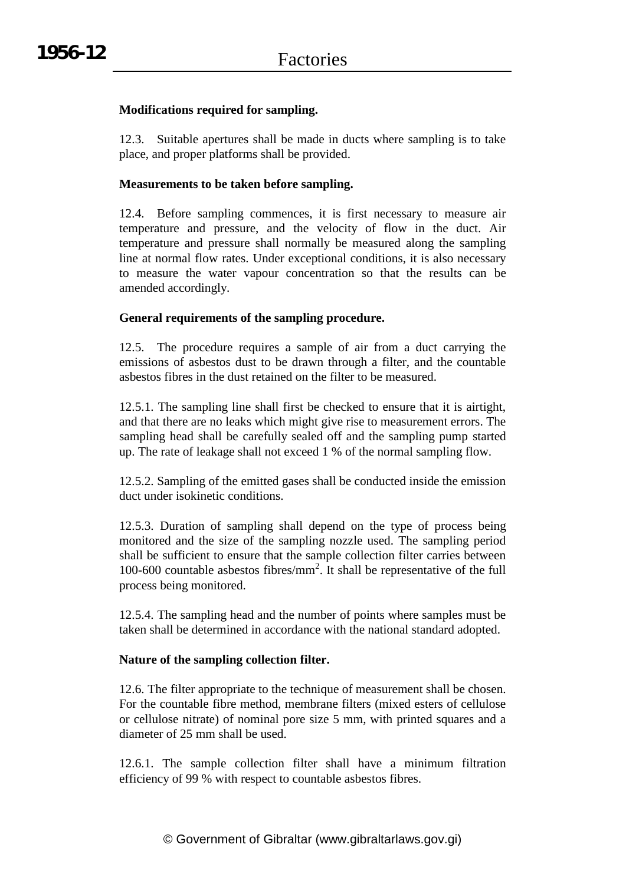## **Modifications required for sampling.**

12.3. Suitable apertures shall be made in ducts where sampling is to take place, and proper platforms shall be provided.

## **Measurements to be taken before sampling.**

12.4. Before sampling commences, it is first necessary to measure air temperature and pressure, and the velocity of flow in the duct. Air temperature and pressure shall normally be measured along the sampling line at normal flow rates. Under exceptional conditions, it is also necessary to measure the water vapour concentration so that the results can be amended accordingly.

## **General requirements of the sampling procedure.**

12.5. The procedure requires a sample of air from a duct carrying the emissions of asbestos dust to be drawn through a filter, and the countable asbestos fibres in the dust retained on the filter to be measured.

12.5.1. The sampling line shall first be checked to ensure that it is airtight, and that there are no leaks which might give rise to measurement errors. The sampling head shall be carefully sealed off and the sampling pump started up. The rate of leakage shall not exceed 1 % of the normal sampling flow.

12.5.2. Sampling of the emitted gases shall be conducted inside the emission duct under isokinetic conditions.

12.5.3. Duration of sampling shall depend on the type of process being monitored and the size of the sampling nozzle used. The sampling period shall be sufficient to ensure that the sample collection filter carries between 100-600 countable asbestos fibres/ $mm^2$ . It shall be representative of the full process being monitored.

12.5.4. The sampling head and the number of points where samples must be taken shall be determined in accordance with the national standard adopted.

## **Nature of the sampling collection filter.**

12.6. The filter appropriate to the technique of measurement shall be chosen. For the countable fibre method, membrane filters (mixed esters of cellulose or cellulose nitrate) of nominal pore size 5 mm, with printed squares and a diameter of 25 mm shall be used.

12.6.1. The sample collection filter shall have a minimum filtration efficiency of 99 % with respect to countable asbestos fibres.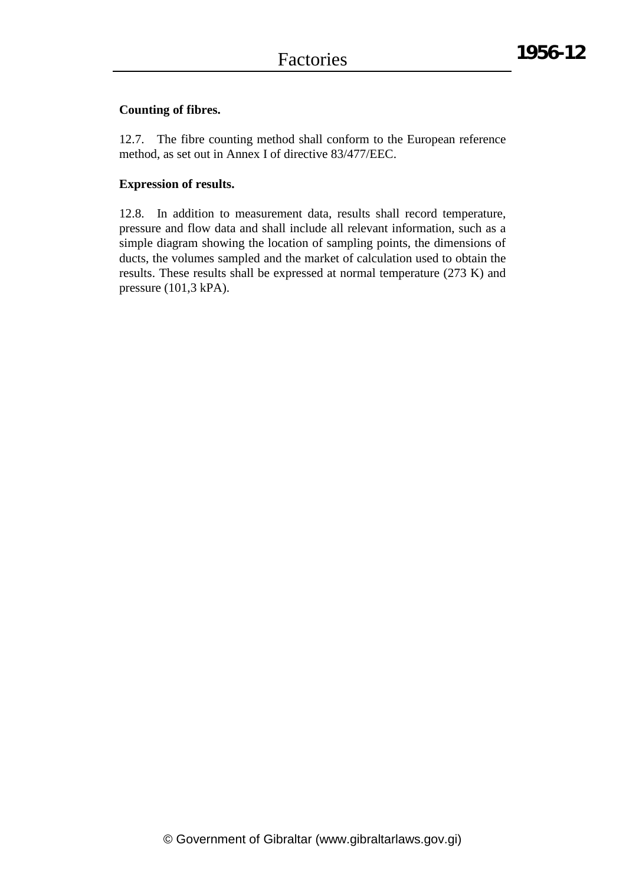## **Counting of fibres.**

12.7. The fibre counting method shall conform to the European reference method, as set out in Annex I of directive 83/477/EEC.

## **Expression of results.**

12.8. In addition to measurement data, results shall record temperature, pressure and flow data and shall include all relevant information, such as a simple diagram showing the location of sampling points, the dimensions of ducts, the volumes sampled and the market of calculation used to obtain the results. These results shall be expressed at normal temperature (273 K) and pressure (101,3 kPA).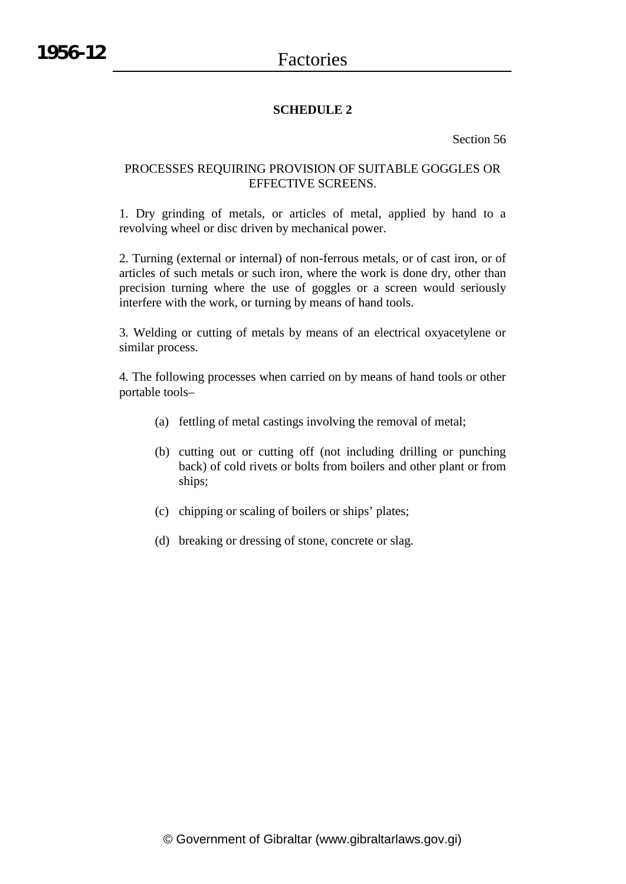## **SCHEDULE 2**

Section 56

## PROCESSES REQUIRING PROVISION OF SUITABLE GOGGLES OR EFFECTIVE SCREENS.

1. Dry grinding of metals, or articles of metal, applied by hand to a revolving wheel or disc driven by mechanical power.

2. Turning (external or internal) of non-ferrous metals, or of cast iron, or of articles of such metals or such iron, where the work is done dry, other than precision turning where the use of goggles or a screen would seriously interfere with the work, or turning by means of hand tools.

3. Welding or cutting of metals by means of an electrical oxyacetylene or similar process.

4. The following processes when carried on by means of hand tools or other portable tools–

- (a) fettling of metal castings involving the removal of metal;
- (b) cutting out or cutting off (not including drilling or punching back) of cold rivets or bolts from boilers and other plant or from ships;
- (c) chipping or scaling of boilers or ships' plates;
- (d) breaking or dressing of stone, concrete or slag.